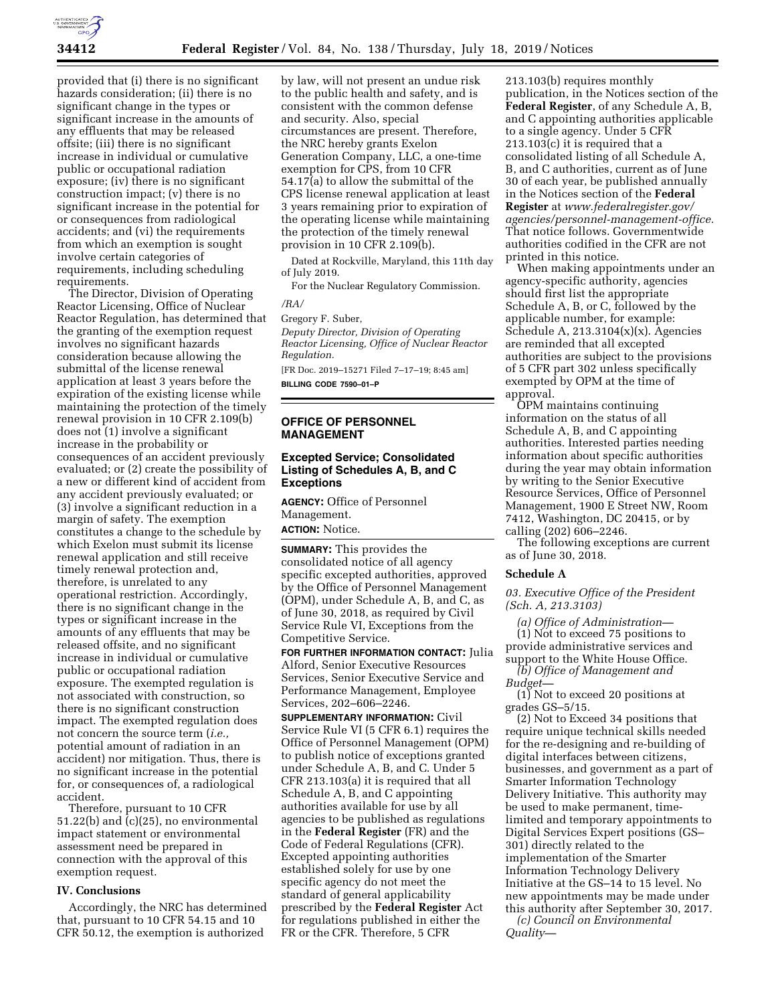

provided that (i) there is no significant hazards consideration; (ii) there is no significant change in the types or significant increase in the amounts of any effluents that may be released offsite; (iii) there is no significant increase in individual or cumulative public or occupational radiation exposure; (iv) there is no significant construction impact; (v) there is no significant increase in the potential for or consequences from radiological accidents; and (vi) the requirements from which an exemption is sought involve certain categories of requirements, including scheduling requirements.

The Director, Division of Operating Reactor Licensing, Office of Nuclear Reactor Regulation, has determined that the granting of the exemption request involves no significant hazards consideration because allowing the submittal of the license renewal application at least 3 years before the expiration of the existing license while maintaining the protection of the timely renewal provision in 10 CFR 2.109(b) does not (1) involve a significant increase in the probability or consequences of an accident previously evaluated; or (2) create the possibility of a new or different kind of accident from any accident previously evaluated; or (3) involve a significant reduction in a margin of safety. The exemption constitutes a change to the schedule by which Exelon must submit its license renewal application and still receive timely renewal protection and, therefore, is unrelated to any operational restriction. Accordingly, there is no significant change in the types or significant increase in the amounts of any effluents that may be released offsite, and no significant increase in individual or cumulative public or occupational radiation exposure. The exempted regulation is not associated with construction, so there is no significant construction impact. The exempted regulation does not concern the source term (*i.e.,*  potential amount of radiation in an accident) nor mitigation. Thus, there is no significant increase in the potential for, or consequences of, a radiological accident.

Therefore, pursuant to 10 CFR 51.22(b) and (c)(25), no environmental impact statement or environmental assessment need be prepared in connection with the approval of this exemption request.

### **IV. Conclusions**

Accordingly, the NRC has determined that, pursuant to 10 CFR 54.15 and 10 CFR 50.12, the exemption is authorized

by law, will not present an undue risk to the public health and safety, and is consistent with the common defense and security. Also, special circumstances are present. Therefore, the NRC hereby grants Exelon Generation Company, LLC, a one-time exemption for CPS, from 10 CFR 54.17(a) to allow the submittal of the CPS license renewal application at least 3 years remaining prior to expiration of the operating license while maintaining the protection of the timely renewal provision in 10 CFR 2.109(b).

Dated at Rockville, Maryland, this 11th day of July 2019.

For the Nuclear Regulatory Commission.

### */RA/*

Gregory F. Suber, *Deputy Director, Division of Operating Reactor Licensing, Office of Nuclear Reactor Regulation.* 

[FR Doc. 2019–15271 Filed 7–17–19; 8:45 am] **BILLING CODE 7590–01–P** 

### **OFFICE OF PERSONNEL MANAGEMENT**

### **Excepted Service; Consolidated Listing of Schedules A, B, and C Exceptions**

**AGENCY:** Office of Personnel Management. **ACTION:** Notice.

**SUMMARY:** This provides the consolidated notice of all agency specific excepted authorities, approved by the Office of Personnel Management (OPM), under Schedule A, B, and C, as of June 30, 2018, as required by Civil Service Rule VI, Exceptions from the Competitive Service.

**FOR FURTHER INFORMATION CONTACT:** Julia Alford, Senior Executive Resources Services, Senior Executive Service and Performance Management, Employee Services, 202–606–2246.

**SUPPLEMENTARY INFORMATION:** Civil Service Rule VI (5 CFR 6.1) requires the Office of Personnel Management (OPM) to publish notice of exceptions granted under Schedule A, B, and C. Under 5 CFR 213.103(a) it is required that all Schedule A, B, and C appointing authorities available for use by all agencies to be published as regulations in the **Federal Register** (FR) and the Code of Federal Regulations (CFR). Excepted appointing authorities established solely for use by one specific agency do not meet the standard of general applicability prescribed by the **Federal Register** Act for regulations published in either the FR or the CFR. Therefore, 5 CFR

213.103(b) requires monthly publication, in the Notices section of the **Federal Register**, of any Schedule A, B, and C appointing authorities applicable to a single agency. Under 5 CFR 213.103(c) it is required that a consolidated listing of all Schedule A, B, and C authorities, current as of June 30 of each year, be published annually in the Notices section of the **Federal Register** at *[www.federalregister.gov/](http://www.federalregister.gov/agencies/personnel-management-office)  [agencies/personnel-management-office.](http://www.federalregister.gov/agencies/personnel-management-office)*  That notice follows. Governmentwide authorities codified in the CFR are not printed in this notice.

When making appointments under an agency-specific authority, agencies should first list the appropriate Schedule A, B, or C, followed by the applicable number, for example: Schedule A,  $213.3104(x)(x)$ . Agencies are reminded that all excepted authorities are subject to the provisions of 5 CFR part 302 unless specifically exempted by OPM at the time of approval.

OPM maintains continuing information on the status of all Schedule A, B, and C appointing authorities. Interested parties needing information about specific authorities during the year may obtain information by writing to the Senior Executive Resource Services, Office of Personnel Management, 1900 E Street NW, Room 7412, Washington, DC 20415, or by calling (202) 606–2246.

The following exceptions are current as of June 30, 2018.

#### **Schedule A**

*03. Executive Office of the President (Sch. A, 213.3103)* 

*(a) Office of Administration—*  (1) Not to exceed 75 positions to provide administrative services and support to the White House Office. *(b) Office of Management and* 

*Budget—* 

(1) Not to exceed 20 positions at grades GS–5/15.

(2) Not to Exceed 34 positions that require unique technical skills needed for the re-designing and re-building of digital interfaces between citizens, businesses, and government as a part of Smarter Information Technology Delivery Initiative. This authority may be used to make permanent, timelimited and temporary appointments to Digital Services Expert positions (GS– 301) directly related to the implementation of the Smarter Information Technology Delivery Initiative at the GS–14 to 15 level. No new appointments may be made under this authority after September 30, 2017. *(c) Council on Environmental* 

*Quality—*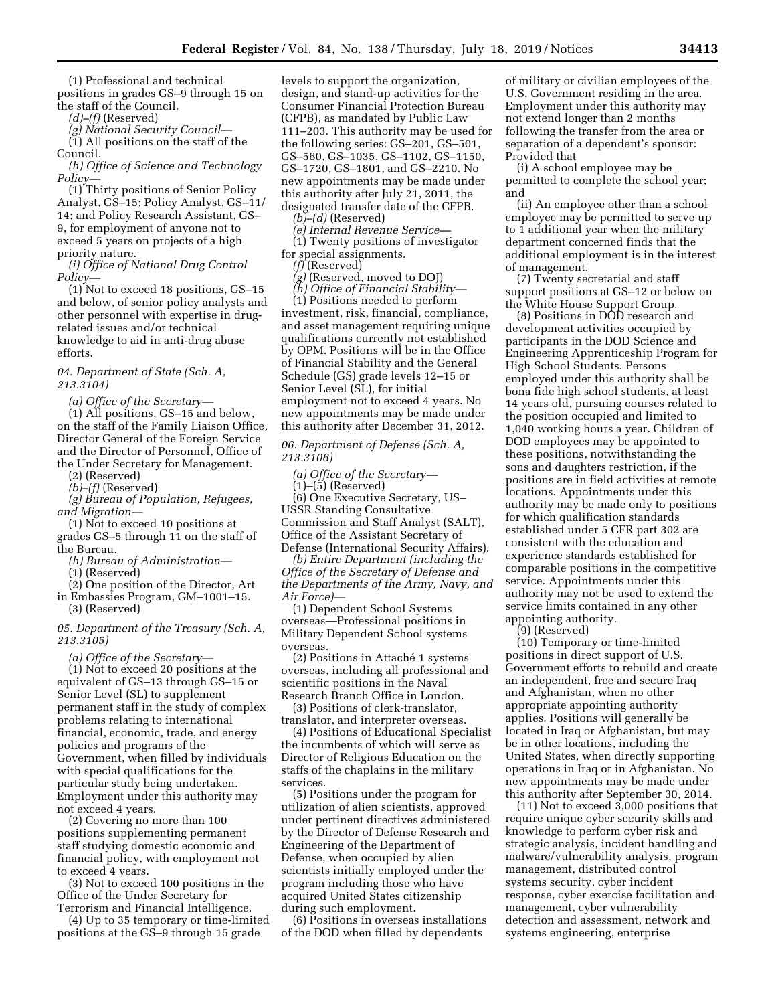(1) Professional and technical positions in grades GS–9 through 15 on the staff of the Council.

*(d)–(f)* (Reserved)

*(g) National Security Council—* 

(1) All positions on the staff of the Council.

*(h) Office of Science and Technology Policy—* 

(1) Thirty positions of Senior Policy Analyst, GS–15; Policy Analyst, GS–11/ 14; and Policy Research Assistant, GS– 9, for employment of anyone not to exceed 5 years on projects of a high priority nature.

*(i) Office of National Drug Control Policy—* 

(1) Not to exceed 18 positions, GS–15 and below, of senior policy analysts and other personnel with expertise in drugrelated issues and/or technical knowledge to aid in anti-drug abuse efforts.

### *04. Department of State (Sch. A, 213.3104)*

*(a) Office of the Secretary—* 

(1) All positions, GS–15 and below, on the staff of the Family Liaison Office, Director General of the Foreign Service and the Director of Personnel, Office of the Under Secretary for Management.

(2) (Reserved)

*(b)–(f)* (Reserved)

*(g) Bureau of Population, Refugees, and Migration—* 

(1) Not to exceed 10 positions at grades GS–5 through 11 on the staff of the Bureau.

*(h) Bureau of Administration—* 

(1) (Reserved)

(2) One position of the Director, Art in Embassies Program, GM–1001–15.

(3) (Reserved)

*05. Department of the Treasury (Sch. A, 213.3105)* 

*(a) Office of the Secretary—* 

(1) Not to exceed 20 positions at the equivalent of GS–13 through GS–15 or Senior Level (SL) to supplement permanent staff in the study of complex problems relating to international financial, economic, trade, and energy policies and programs of the Government, when filled by individuals with special qualifications for the particular study being undertaken. Employment under this authority may not exceed 4 years.

(2) Covering no more than 100 positions supplementing permanent staff studying domestic economic and financial policy, with employment not to exceed 4 years.

(3) Not to exceed 100 positions in the Office of the Under Secretary for Terrorism and Financial Intelligence.

(4) Up to 35 temporary or time-limited positions at the GS–9 through 15 grade

levels to support the organization, design, and stand-up activities for the Consumer Financial Protection Bureau (CFPB), as mandated by Public Law 111–203. This authority may be used for the following series: GS–201, GS–501, GS–560, GS–1035, GS–1102, GS–1150, GS–1720, GS–1801, and GS–2210. No new appointments may be made under this authority after July 21, 2011, the designated transfer date of the CFPB. *(b)–(d)* (Reserved)

*(e) Internal Revenue Service—*  (1) Twenty positions of investigator for special assignments.

*(f)* (Reserved)

*(g)* (Reserved, moved to DOJ)

*(h) Office of Financial Stability—* 

(1) Positions needed to perform investment, risk, financial, compliance, and asset management requiring unique qualifications currently not established by OPM. Positions will be in the Office of Financial Stability and the General Schedule (GS) grade levels 12–15 or Senior Level (SL), for initial employment not to exceed 4 years. No new appointments may be made under this authority after December 31, 2012.

*06. Department of Defense (Sch. A, 213.3106)* 

*(a) Office of the Secretary—* 

 $(1)$ – $(5)$  (Reserved)

(6) One Executive Secretary, US– USSR Standing Consultative Commission and Staff Analyst (SALT), Office of the Assistant Secretary of Defense (International Security Affairs).

*(b) Entire Department (including the Office of the Secretary of Defense and the Departments of the Army, Navy, and Air Force)—* 

(1) Dependent School Systems overseas—Professional positions in Military Dependent School systems overseas.

(2) Positions in Attaché 1 systems overseas, including all professional and scientific positions in the Naval Research Branch Office in London.

(3) Positions of clerk-translator, translator, and interpreter overseas.

(4) Positions of Educational Specialist the incumbents of which will serve as Director of Religious Education on the staffs of the chaplains in the military services.

(5) Positions under the program for utilization of alien scientists, approved under pertinent directives administered by the Director of Defense Research and Engineering of the Department of Defense, when occupied by alien scientists initially employed under the program including those who have acquired United States citizenship during such employment.

(6) Positions in overseas installations of the DOD when filled by dependents

of military or civilian employees of the U.S. Government residing in the area. Employment under this authority may not extend longer than 2 months following the transfer from the area or separation of a dependent's sponsor: Provided that

(i) A school employee may be permitted to complete the school year; and

(ii) An employee other than a school employee may be permitted to serve up to 1 additional year when the military department concerned finds that the additional employment is in the interest of management.

(7) Twenty secretarial and staff support positions at GS–12 or below on the White House Support Group.

(8) Positions in DOD research and development activities occupied by participants in the DOD Science and Engineering Apprenticeship Program for High School Students. Persons employed under this authority shall be bona fide high school students, at least 14 years old, pursuing courses related to the position occupied and limited to 1,040 working hours a year. Children of DOD employees may be appointed to these positions, notwithstanding the sons and daughters restriction, if the positions are in field activities at remote locations. Appointments under this authority may be made only to positions for which qualification standards established under 5 CFR part 302 are consistent with the education and experience standards established for comparable positions in the competitive service. Appointments under this authority may not be used to extend the service limits contained in any other appointing authority.

(9) (Reserved)

(10) Temporary or time-limited positions in direct support of U.S. Government efforts to rebuild and create an independent, free and secure Iraq and Afghanistan, when no other appropriate appointing authority applies. Positions will generally be located in Iraq or Afghanistan, but may be in other locations, including the United States, when directly supporting operations in Iraq or in Afghanistan. No new appointments may be made under this authority after September 30, 2014.

(11) Not to exceed 3,000 positions that require unique cyber security skills and knowledge to perform cyber risk and strategic analysis, incident handling and malware/vulnerability analysis, program management, distributed control systems security, cyber incident response, cyber exercise facilitation and management, cyber vulnerability detection and assessment, network and systems engineering, enterprise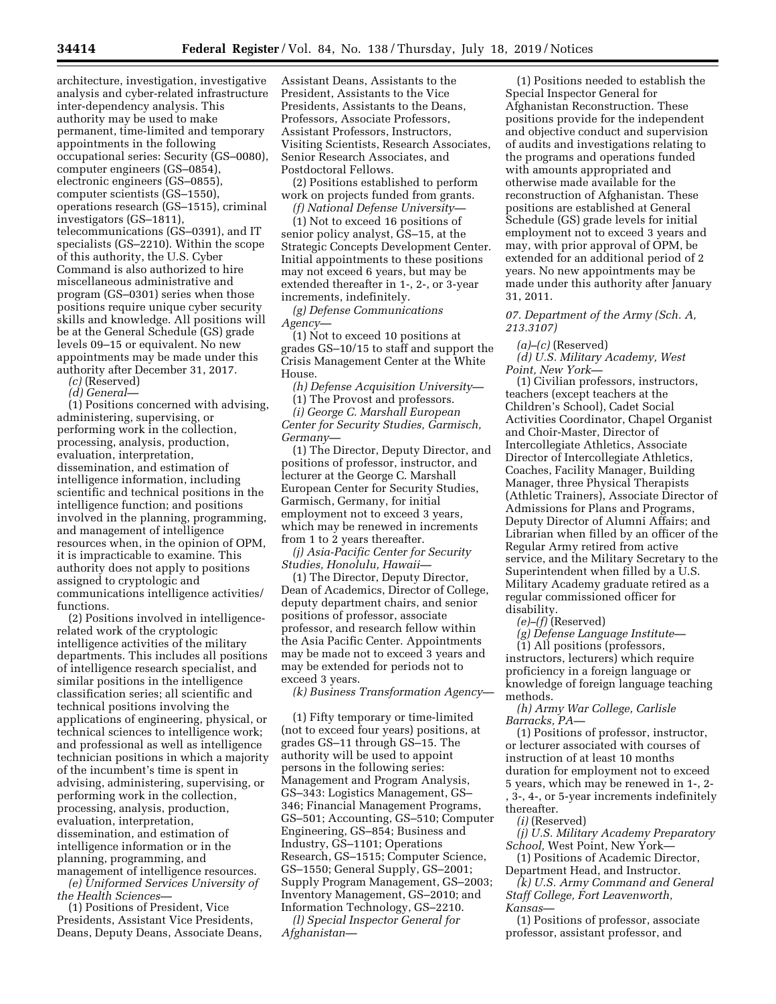architecture, investigation, investigative analysis and cyber-related infrastructure inter-dependency analysis. This authority may be used to make permanent, time-limited and temporary appointments in the following occupational series: Security (GS–0080), computer engineers (GS–0854), electronic engineers (GS–0855), computer scientists (GS–1550), operations research (GS–1515), criminal investigators (GS–1811), telecommunications (GS–0391), and IT specialists (GS–2210). Within the scope of this authority, the U.S. Cyber Command is also authorized to hire miscellaneous administrative and program (GS–0301) series when those positions require unique cyber security skills and knowledge. All positions will be at the General Schedule (GS) grade levels 09–15 or equivalent. No new appointments may be made under this authority after December 31, 2017.

*(c)* (Reserved) *(d) General—* 

(1) Positions concerned with advising, administering, supervising, or performing work in the collection, processing, analysis, production, evaluation, interpretation, dissemination, and estimation of intelligence information, including scientific and technical positions in the intelligence function; and positions involved in the planning, programming, and management of intelligence resources when, in the opinion of OPM, it is impracticable to examine. This authority does not apply to positions assigned to cryptologic and communications intelligence activities/ functions.

(2) Positions involved in intelligencerelated work of the cryptologic intelligence activities of the military departments. This includes all positions of intelligence research specialist, and similar positions in the intelligence classification series; all scientific and technical positions involving the applications of engineering, physical, or technical sciences to intelligence work; and professional as well as intelligence technician positions in which a majority of the incumbent's time is spent in advising, administering, supervising, or performing work in the collection, processing, analysis, production, evaluation, interpretation, dissemination, and estimation of intelligence information or in the planning, programming, and management of intelligence resources.

*(e) Uniformed Services University of the Health Sciences—* 

(1) Positions of President, Vice Presidents, Assistant Vice Presidents, Deans, Deputy Deans, Associate Deans, Assistant Deans, Assistants to the President, Assistants to the Vice Presidents, Assistants to the Deans, Professors, Associate Professors, Assistant Professors, Instructors, Visiting Scientists, Research Associates, Senior Research Associates, and Postdoctoral Fellows.

(2) Positions established to perform work on projects funded from grants.

*(f) National Defense University—* 

(1) Not to exceed 16 positions of senior policy analyst, GS–15, at the Strategic Concepts Development Center. Initial appointments to these positions may not exceed 6 years, but may be extended thereafter in 1-, 2-, or 3-year increments, indefinitely.

*(g) Defense Communications Agency—* 

(1) Not to exceed 10 positions at grades GS–10/15 to staff and support the Crisis Management Center at the White House.

*(h) Defense Acquisition University—*  (1) The Provost and professors. *(i) George C. Marshall European Center for Security Studies, Garmisch, Germany—* 

(1) The Director, Deputy Director, and positions of professor, instructor, and lecturer at the George C. Marshall European Center for Security Studies, Garmisch, Germany, for initial employment not to exceed 3 years, which may be renewed in increments from 1 to 2 years thereafter.

*(j) Asia-Pacific Center for Security Studies, Honolulu, Hawaii—* 

(1) The Director, Deputy Director, Dean of Academics, Director of College, deputy department chairs, and senior positions of professor, associate professor, and research fellow within the Asia Pacific Center. Appointments may be made not to exceed 3 years and may be extended for periods not to exceed 3 years.

*(k) Business Transformation Agency—* 

(1) Fifty temporary or time-limited (not to exceed four years) positions, at grades GS–11 through GS–15. The authority will be used to appoint persons in the following series: Management and Program Analysis, GS–343: Logistics Management, GS– 346; Financial Management Programs, GS–501; Accounting, GS–510; Computer Engineering, GS–854; Business and Industry, GS–1101; Operations Research, GS–1515; Computer Science, GS–1550; General Supply, GS–2001; Supply Program Management, GS–2003; Inventory Management, GS–2010; and Information Technology, GS–2210.

*(l) Special Inspector General for Afghanistan—* 

(1) Positions needed to establish the Special Inspector General for Afghanistan Reconstruction. These positions provide for the independent and objective conduct and supervision of audits and investigations relating to the programs and operations funded with amounts appropriated and otherwise made available for the reconstruction of Afghanistan. These positions are established at General Schedule (GS) grade levels for initial employment not to exceed 3 years and may, with prior approval of OPM, be extended for an additional period of 2 years. No new appointments may be made under this authority after January 31, 2011.

*07. Department of the Army (Sch. A, 213.3107)* 

*(a)–(c)* (Reserved)

*(d) U.S. Military Academy, West Point, New York—* 

(1) Civilian professors, instructors, teachers (except teachers at the Children's School), Cadet Social Activities Coordinator, Chapel Organist and Choir-Master, Director of Intercollegiate Athletics, Associate Director of Intercollegiate Athletics, Coaches, Facility Manager, Building Manager, three Physical Therapists (Athletic Trainers), Associate Director of Admissions for Plans and Programs, Deputy Director of Alumni Affairs; and Librarian when filled by an officer of the Regular Army retired from active service, and the Military Secretary to the Superintendent when filled by a U.S. Military Academy graduate retired as a regular commissioned officer for disability.

*(e)–(f)* (Reserved)

*(g) Defense Language Institute—* 

(1) All positions (professors, instructors, lecturers) which require proficiency in a foreign language or knowledge of foreign language teaching methods.

*(h) Army War College, Carlisle Barracks, PA—* 

(1) Positions of professor, instructor, or lecturer associated with courses of instruction of at least 10 months duration for employment not to exceed 5 years, which may be renewed in 1-, 2- , 3-, 4-, or 5-year increments indefinitely thereafter.

*(i)* (Reserved)

*(j) U.S. Military Academy Preparatory School,* West Point, New York—

(1) Positions of Academic Director, Department Head, and Instructor.

*(k) U.S. Army Command and General Staff College, Fort Leavenworth, Kansas—* 

(1) Positions of professor, associate professor, assistant professor, and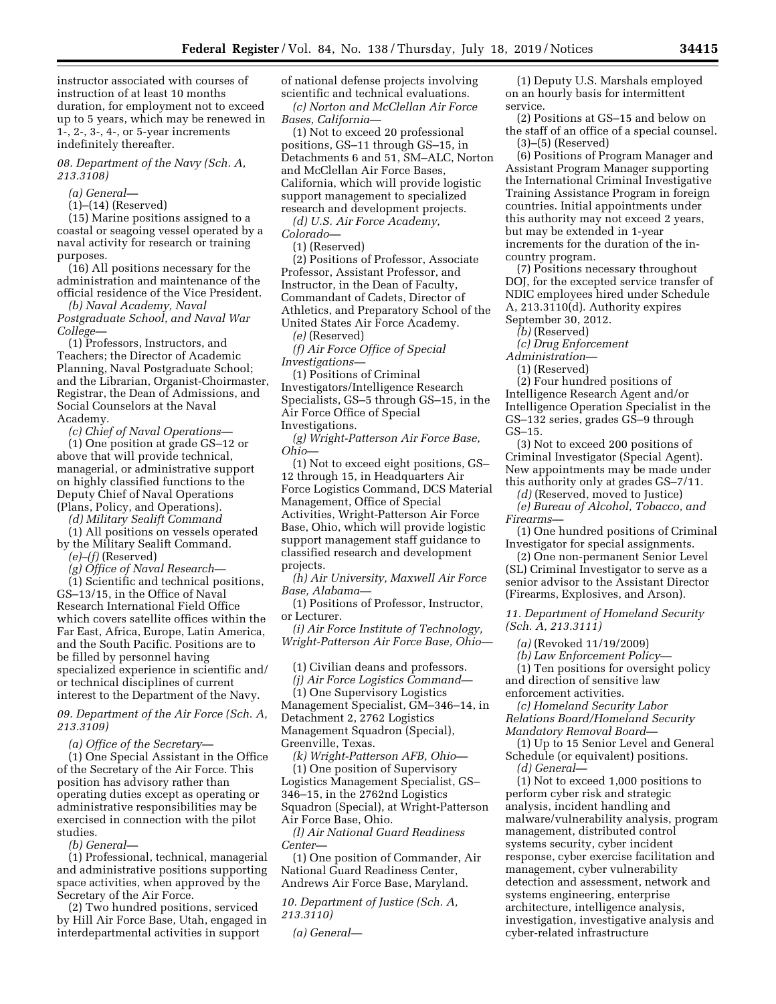instructor associated with courses of instruction of at least 10 months duration, for employment not to exceed up to 5 years, which may be renewed in 1-, 2-, 3-, 4-, or 5-year increments indefinitely thereafter.

### *08. Department of the Navy (Sch. A, 213.3108)*

*(a) General—* 

(1)–(14) (Reserved)

(15) Marine positions assigned to a coastal or seagoing vessel operated by a naval activity for research or training purposes.

(16) All positions necessary for the administration and maintenance of the official residence of the Vice President.

*(b) Naval Academy, Naval Postgraduate School, and Naval War College—* 

(1) Professors, Instructors, and Teachers; the Director of Academic Planning, Naval Postgraduate School; and the Librarian, Organist-Choirmaster, Registrar, the Dean of Admissions, and Social Counselors at the Naval Academy.

*(c) Chief of Naval Operations—* 

(1) One position at grade GS–12 or above that will provide technical, managerial, or administrative support on highly classified functions to the Deputy Chief of Naval Operations (Plans, Policy, and Operations).

*(d) Military Sealift Command* 

(1) All positions on vessels operated by the Military Sealift Command. *(e)–(f)* (Reserved)

*(g) Office of Naval Research—* 

(1) Scientific and technical positions, GS–13/15, in the Office of Naval Research International Field Office which covers satellite offices within the Far East, Africa, Europe, Latin America, and the South Pacific. Positions are to be filled by personnel having specialized experience in scientific and/ or technical disciplines of current interest to the Department of the Navy.

*09. Department of the Air Force (Sch. A, 213.3109)* 

*(a) Office of the Secretary—* 

(1) One Special Assistant in the Office of the Secretary of the Air Force. This position has advisory rather than operating duties except as operating or administrative responsibilities may be exercised in connection with the pilot studies.

*(b) General—* 

(1) Professional, technical, managerial and administrative positions supporting space activities, when approved by the Secretary of the Air Force.

(2) Two hundred positions, serviced by Hill Air Force Base, Utah, engaged in interdepartmental activities in support

of national defense projects involving scientific and technical evaluations.

*(c) Norton and McClellan Air Force Bases, California—* 

(1) Not to exceed 20 professional positions, GS–11 through GS–15, in Detachments 6 and 51, SM–ALC, Norton and McClellan Air Force Bases, California, which will provide logistic support management to specialized research and development projects.

*(d) U.S. Air Force Academy, Colorado—* 

(1) (Reserved)

(2) Positions of Professor, Associate Professor, Assistant Professor, and Instructor, in the Dean of Faculty, Commandant of Cadets, Director of Athletics, and Preparatory School of the United States Air Force Academy.

*(e)* (Reserved)

*(f) Air Force Office of Special Investigations—* 

(1) Positions of Criminal Investigators/Intelligence Research Specialists, GS–5 through GS–15, in the Air Force Office of Special Investigations.

*(g) Wright-Patterson Air Force Base, Ohio—* 

(1) Not to exceed eight positions, GS– 12 through 15, in Headquarters Air Force Logistics Command, DCS Material Management, Office of Special Activities, Wright-Patterson Air Force Base, Ohio, which will provide logistic support management staff guidance to classified research and development projects.

*(h) Air University, Maxwell Air Force Base, Alabama—* 

(1) Positions of Professor, Instructor, or Lecturer.

*(i) Air Force Institute of Technology, Wright-Patterson Air Force Base, Ohio—* 

(1) Civilian deans and professors.

*(j) Air Force Logistics Command—*  (1) One Supervisory Logistics Management Specialist, GM–346–14, in

Detachment 2, 2762 Logistics Management Squadron (Special), Greenville, Texas.

*(k) Wright-Patterson AFB, Ohio—*  (1) One position of Supervisory Logistics Management Specialist, GS–

346–15, in the 2762nd Logistics Squadron (Special), at Wright-Patterson Air Force Base, Ohio.

*(l) Air National Guard Readiness Center—* 

(1) One position of Commander, Air National Guard Readiness Center, Andrews Air Force Base, Maryland.

*10. Department of Justice (Sch. A, 213.3110)* 

*(a) General—* 

(1) Deputy U.S. Marshals employed on an hourly basis for intermittent service.

(2) Positions at GS–15 and below on the staff of an office of a special counsel. (3)–(5) (Reserved)

(6) Positions of Program Manager and Assistant Program Manager supporting the International Criminal Investigative Training Assistance Program in foreign countries. Initial appointments under this authority may not exceed 2 years, but may be extended in 1-year increments for the duration of the incountry program.

(7) Positions necessary throughout DOJ, for the excepted service transfer of NDIC employees hired under Schedule A, 213.3110(d). Authority expires September 30, 2012.

*(b)* (Reserved)

*(c) Drug Enforcement* 

*Administration—* 

(1) (Reserved)

(2) Four hundred positions of Intelligence Research Agent and/or Intelligence Operation Specialist in the GS–132 series, grades GS–9 through GS–15.

(3) Not to exceed 200 positions of Criminal Investigator (Special Agent). New appointments may be made under this authority only at grades GS–7/11.

*(d)* (Reserved, moved to Justice)

*(e) Bureau of Alcohol, Tobacco, and Firearms—* 

(1) One hundred positions of Criminal Investigator for special assignments.

(2) One non-permanent Senior Level (SL) Criminal Investigator to serve as a senior advisor to the Assistant Director (Firearms, Explosives, and Arson).

*11. Department of Homeland Security (Sch. A, 213.3111)* 

*(a)* (Revoked 11/19/2009)

*(b) Law Enforcement Policy—* 

(1) Ten positions for oversight policy and direction of sensitive law enforcement activities.

*(c) Homeland Security Labor Relations Board/Homeland Security Mandatory Removal Board—* 

(1) Up to 15 Senior Level and General Schedule (or equivalent) positions.

*(d) General—* 

(1) Not to exceed 1,000 positions to perform cyber risk and strategic analysis, incident handling and malware/vulnerability analysis, program management, distributed control systems security, cyber incident response, cyber exercise facilitation and management, cyber vulnerability detection and assessment, network and systems engineering, enterprise architecture, intelligence analysis, investigation, investigative analysis and cyber-related infrastructure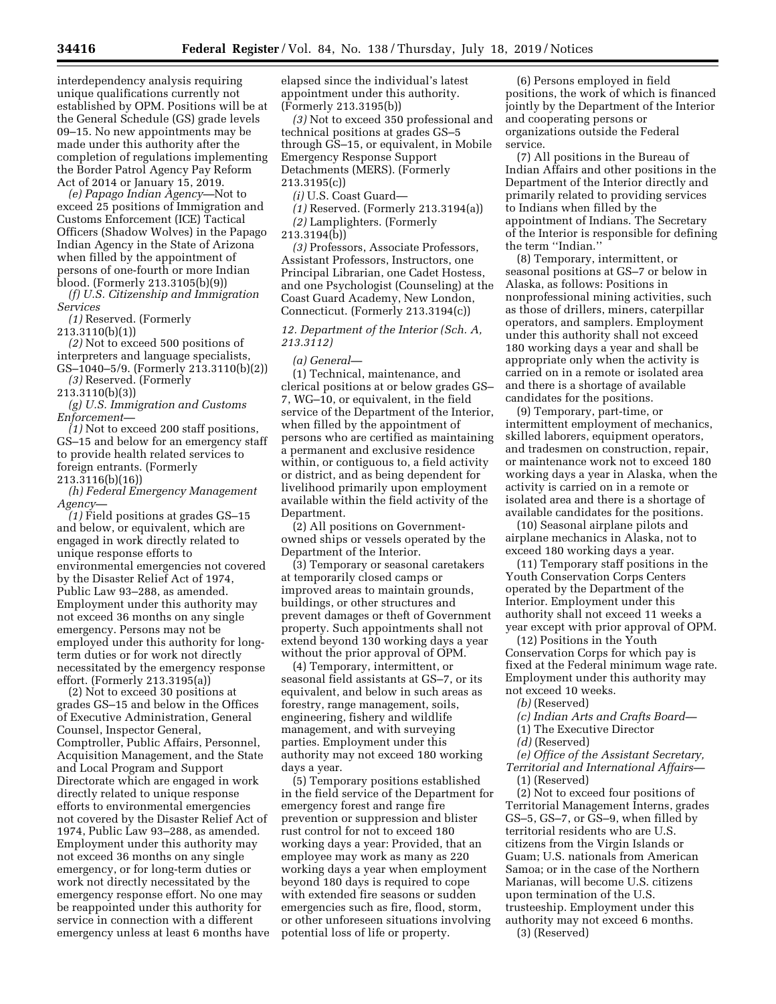interdependency analysis requiring unique qualifications currently not established by OPM. Positions will be at the General Schedule (GS) grade levels 09–15. No new appointments may be made under this authority after the completion of regulations implementing the Border Patrol Agency Pay Reform Act of 2014 or January 15, 2019.

*(e) Papago Indian Agency—*Not to exceed 25 positions of Immigration and Customs Enforcement (ICE) Tactical Officers (Shadow Wolves) in the Papago Indian Agency in the State of Arizona when filled by the appointment of persons of one-fourth or more Indian blood. (Formerly 213.3105(b)(9))

*(f) U.S. Citizenship and Immigration Services* 

*(1)* Reserved. (Formerly

213.3110(b)(1))

*(2)* Not to exceed 500 positions of interpreters and language specialists, GS–1040–5/9. (Formerly 213.3110(b)(2))

*(3)* Reserved. (Formerly

213.3110(b)(3)) *(g) U.S. Immigration and Customs* 

*Enforcement—* 

*(1)* Not to exceed 200 staff positions, GS–15 and below for an emergency staff to provide health related services to foreign entrants. (Formerly 213.3116(b)(16))

*(h) Federal Emergency Management Agency—* 

*(1)* Field positions at grades GS–15 and below, or equivalent, which are engaged in work directly related to unique response efforts to environmental emergencies not covered by the Disaster Relief Act of 1974, Public Law 93–288, as amended. Employment under this authority may not exceed 36 months on any single emergency. Persons may not be employed under this authority for longterm duties or for work not directly necessitated by the emergency response effort. (Formerly 213.3195(a))

(2) Not to exceed 30 positions at grades GS–15 and below in the Offices of Executive Administration, General Counsel, Inspector General, Comptroller, Public Affairs, Personnel, Acquisition Management, and the State and Local Program and Support Directorate which are engaged in work directly related to unique response efforts to environmental emergencies not covered by the Disaster Relief Act of 1974, Public Law 93–288, as amended. Employment under this authority may not exceed 36 months on any single emergency, or for long-term duties or work not directly necessitated by the emergency response effort. No one may be reappointed under this authority for service in connection with a different emergency unless at least 6 months have elapsed since the individual's latest appointment under this authority. (Formerly 213.3195(b))

*(3)* Not to exceed 350 professional and technical positions at grades GS–5 through GS–15, or equivalent, in Mobile Emergency Response Support Detachments (MERS). (Formerly 213.3195(c))

*(i)* U.S. Coast Guard—

*(1)* Reserved. (Formerly 213.3194(a)) *(2)* Lamplighters. (Formerly

213.3194(b))

*(3)* Professors, Associate Professors, Assistant Professors, Instructors, one Principal Librarian, one Cadet Hostess, and one Psychologist (Counseling) at the Coast Guard Academy, New London, Connecticut. (Formerly 213.3194(c))

### *12. Department of the Interior (Sch. A, 213.3112)*

### *(a) General—*

(1) Technical, maintenance, and clerical positions at or below grades GS– 7, WG–10, or equivalent, in the field service of the Department of the Interior, when filled by the appointment of persons who are certified as maintaining a permanent and exclusive residence within, or contiguous to, a field activity or district, and as being dependent for livelihood primarily upon employment available within the field activity of the Department.

(2) All positions on Governmentowned ships or vessels operated by the Department of the Interior.

(3) Temporary or seasonal caretakers at temporarily closed camps or improved areas to maintain grounds, buildings, or other structures and prevent damages or theft of Government property. Such appointments shall not extend beyond 130 working days a year without the prior approval of OPM.

(4) Temporary, intermittent, or seasonal field assistants at GS–7, or its equivalent, and below in such areas as forestry, range management, soils, engineering, fishery and wildlife management, and with surveying parties. Employment under this authority may not exceed 180 working days a year.

(5) Temporary positions established in the field service of the Department for emergency forest and range fire prevention or suppression and blister rust control for not to exceed 180 working days a year: Provided, that an employee may work as many as 220 working days a year when employment beyond 180 days is required to cope with extended fire seasons or sudden emergencies such as fire, flood, storm, or other unforeseen situations involving potential loss of life or property.

(6) Persons employed in field positions, the work of which is financed jointly by the Department of the Interior and cooperating persons or organizations outside the Federal service.

(7) All positions in the Bureau of Indian Affairs and other positions in the Department of the Interior directly and primarily related to providing services to Indians when filled by the appointment of Indians. The Secretary of the Interior is responsible for defining the term ''Indian.''

(8) Temporary, intermittent, or seasonal positions at GS–7 or below in Alaska, as follows: Positions in nonprofessional mining activities, such as those of drillers, miners, caterpillar operators, and samplers. Employment under this authority shall not exceed 180 working days a year and shall be appropriate only when the activity is carried on in a remote or isolated area and there is a shortage of available candidates for the positions.

(9) Temporary, part-time, or intermittent employment of mechanics, skilled laborers, equipment operators, and tradesmen on construction, repair, or maintenance work not to exceed 180 working days a year in Alaska, when the activity is carried on in a remote or isolated area and there is a shortage of available candidates for the positions.

(10) Seasonal airplane pilots and airplane mechanics in Alaska, not to exceed 180 working days a year.

(11) Temporary staff positions in the Youth Conservation Corps Centers operated by the Department of the Interior. Employment under this authority shall not exceed 11 weeks a year except with prior approval of OPM.

(12) Positions in the Youth Conservation Corps for which pay is fixed at the Federal minimum wage rate. Employment under this authority may not exceed 10 weeks.

*(b)* (Reserved)

- *(c) Indian Arts and Crafts Board—*
- (1) The Executive Director
- *(d)* (Reserved)

*(e) Office of the Assistant Secretary, Territorial and International Affairs—* 

(1) (Reserved)

(2) Not to exceed four positions of Territorial Management Interns, grades GS–5, GS–7, or GS–9, when filled by territorial residents who are U.S. citizens from the Virgin Islands or Guam; U.S. nationals from American Samoa; or in the case of the Northern Marianas, will become U.S. citizens upon termination of the U.S. trusteeship. Employment under this authority may not exceed 6 months. (3) (Reserved)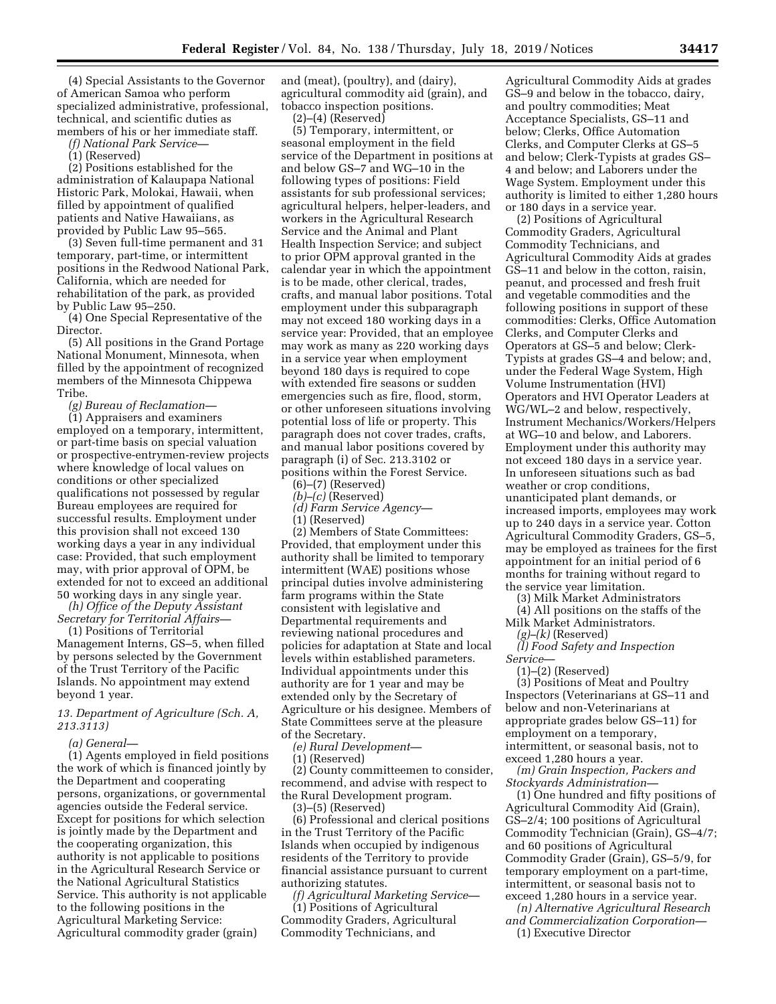(4) Special Assistants to the Governor of American Samoa who perform specialized administrative, professional, technical, and scientific duties as members of his or her immediate staff.

*(f) National Park Service—* 

(1) (Reserved)

(2) Positions established for the administration of Kalaupapa National Historic Park, Molokai, Hawaii, when filled by appointment of qualified patients and Native Hawaiians, as provided by Public Law 95–565.

(3) Seven full-time permanent and 31 temporary, part-time, or intermittent positions in the Redwood National Park, California, which are needed for rehabilitation of the park, as provided by Public Law 95–250.

(4) One Special Representative of the Director.

(5) All positions in the Grand Portage National Monument, Minnesota, when filled by the appointment of recognized members of the Minnesota Chippewa Tribe.

*(g) Bureau of Reclamation—* 

(1) Appraisers and examiners employed on a temporary, intermittent, or part-time basis on special valuation or prospective-entrymen-review projects where knowledge of local values on conditions or other specialized qualifications not possessed by regular Bureau employees are required for successful results. Employment under this provision shall not exceed 130 working days a year in any individual case: Provided, that such employment may, with prior approval of OPM, be extended for not to exceed an additional 50 working days in any single year.

*(h) Office of the Deputy Assistant Secretary for Territorial Affairs—* 

(1) Positions of Territorial Management Interns, GS–5, when filled by persons selected by the Government of the Trust Territory of the Pacific Islands. No appointment may extend beyond 1 year.

### *13. Department of Agriculture (Sch. A, 213.3113)*

*(a) General—* 

(1) Agents employed in field positions the work of which is financed jointly by the Department and cooperating persons, organizations, or governmental agencies outside the Federal service. Except for positions for which selection is jointly made by the Department and the cooperating organization, this authority is not applicable to positions in the Agricultural Research Service or the National Agricultural Statistics Service. This authority is not applicable to the following positions in the Agricultural Marketing Service: Agricultural commodity grader (grain)

and (meat), (poultry), and (dairy), agricultural commodity aid (grain), and tobacco inspection positions.

(2)–(4) (Reserved)

(5) Temporary, intermittent, or seasonal employment in the field service of the Department in positions at and below GS–7 and WG–10 in the following types of positions: Field assistants for sub professional services; agricultural helpers, helper-leaders, and workers in the Agricultural Research Service and the Animal and Plant Health Inspection Service; and subject to prior OPM approval granted in the calendar year in which the appointment is to be made, other clerical, trades, crafts, and manual labor positions. Total employment under this subparagraph may not exceed 180 working days in a service year: Provided, that an employee may work as many as 220 working days in a service year when employment beyond 180 days is required to cope with extended fire seasons or sudden emergencies such as fire, flood, storm, or other unforeseen situations involving potential loss of life or property. This paragraph does not cover trades, crafts, and manual labor positions covered by paragraph (i) of Sec. 213.3102 or positions within the Forest Service.

(6)–(7) (Reserved)

*(b)–(c)* (Reserved)

*(d) Farm Service Agency—* 

(1) (Reserved)

(2) Members of State Committees: Provided, that employment under this authority shall be limited to temporary intermittent (WAE) positions whose principal duties involve administering farm programs within the State consistent with legislative and Departmental requirements and reviewing national procedures and policies for adaptation at State and local levels within established parameters. Individual appointments under this authority are for 1 year and may be extended only by the Secretary of Agriculture or his designee. Members of State Committees serve at the pleasure of the Secretary.

*(e) Rural Development—* 

(1) (Reserved)

(2) County committeemen to consider, recommend, and advise with respect to the Rural Development program. (3)–(5) (Reserved)

(6) Professional and clerical positions in the Trust Territory of the Pacific Islands when occupied by indigenous residents of the Territory to provide financial assistance pursuant to current authorizing statutes.

*(f) Agricultural Marketing Service—*  (1) Positions of Agricultural Commodity Graders, Agricultural Commodity Technicians, and

Agricultural Commodity Aids at grades GS–9 and below in the tobacco, dairy, and poultry commodities; Meat Acceptance Specialists, GS–11 and below; Clerks, Office Automation Clerks, and Computer Clerks at GS–5 and below; Clerk-Typists at grades GS– 4 and below; and Laborers under the Wage System. Employment under this authority is limited to either 1,280 hours or 180 days in a service year.

(2) Positions of Agricultural Commodity Graders, Agricultural Commodity Technicians, and Agricultural Commodity Aids at grades GS–11 and below in the cotton, raisin, peanut, and processed and fresh fruit and vegetable commodities and the following positions in support of these commodities: Clerks, Office Automation Clerks, and Computer Clerks and Operators at GS–5 and below; Clerk-Typists at grades GS–4 and below; and, under the Federal Wage System, High Volume Instrumentation (HVI) Operators and HVI Operator Leaders at WG/WL–2 and below, respectively, Instrument Mechanics/Workers/Helpers at WG–10 and below, and Laborers. Employment under this authority may not exceed 180 days in a service year. In unforeseen situations such as bad weather or crop conditions, unanticipated plant demands, or increased imports, employees may work up to 240 days in a service year. Cotton Agricultural Commodity Graders, GS–5, may be employed as trainees for the first appointment for an initial period of 6 months for training without regard to the service year limitation.

(3) Milk Market Administrators

(4) All positions on the staffs of the Milk Market Administrators. *(g)–(k)* (Reserved)

*(l) Food Safety and Inspection Service*—

(1)–(2) (Reserved)

(3) Positions of Meat and Poultry Inspectors (Veterinarians at GS–11 and below and non-Veterinarians at appropriate grades below GS–11) for employment on a temporary, intermittent, or seasonal basis, not to exceed 1,280 hours a year.

*(m) Grain Inspection, Packers and Stockyards Administration—* 

(1) One hundred and fifty positions of Agricultural Commodity Aid (Grain), GS–2/4; 100 positions of Agricultural Commodity Technician (Grain), GS–4/7; and 60 positions of Agricultural Commodity Grader (Grain), GS–5/9, for temporary employment on a part-time, intermittent, or seasonal basis not to exceed 1,280 hours in a service year.

*(n) Alternative Agricultural Research and Commercialization Corporation—*  (1) Executive Director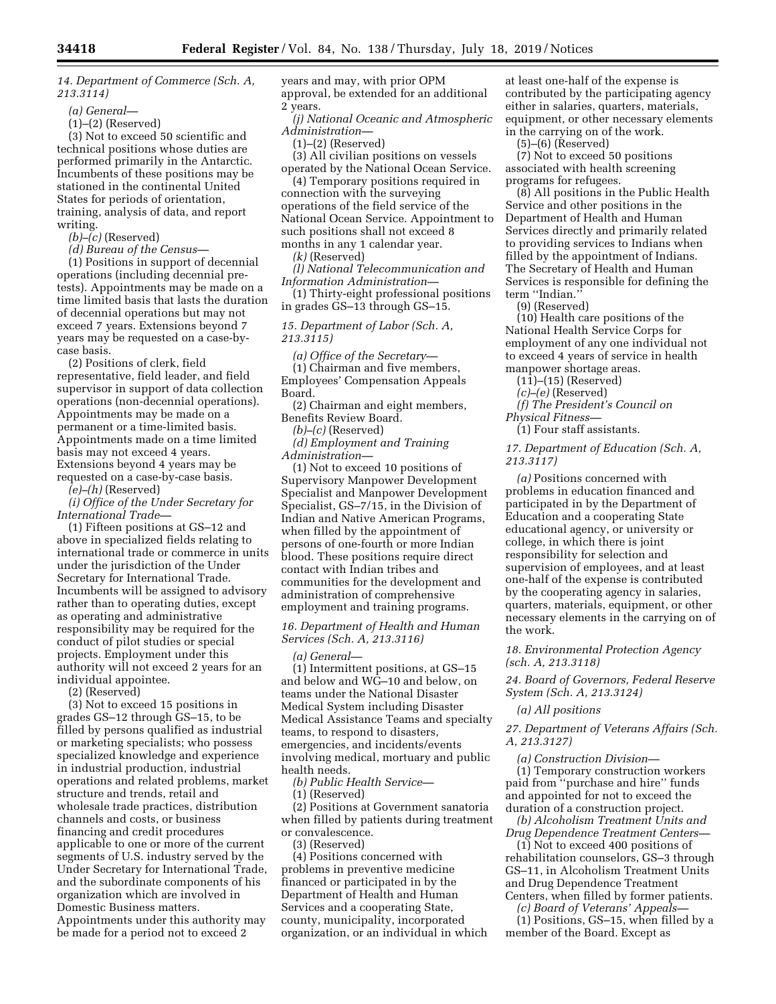*14. Department of Commerce (Sch. A, 213.3114)* 

*(a) General—* 

(1)–(2) (Reserved)

(3) Not to exceed 50 scientific and technical positions whose duties are performed primarily in the Antarctic. Incumbents of these positions may be stationed in the continental United States for periods of orientation, training, analysis of data, and report writing.

*(b)–(c)* (Reserved)

*(d) Bureau of the Census—* 

(1) Positions in support of decennial operations (including decennial pretests). Appointments may be made on a time limited basis that lasts the duration of decennial operations but may not exceed 7 years. Extensions beyond 7 years may be requested on a case-bycase basis.

(2) Positions of clerk, field representative, field leader, and field supervisor in support of data collection operations (non-decennial operations). Appointments may be made on a permanent or a time-limited basis. Appointments made on a time limited basis may not exceed 4 years. Extensions beyond 4 years may be requested on a case-by-case basis.

*(e)–(h)* (Reserved)

*(i) Office of the Under Secretary for International Trade—* 

(1) Fifteen positions at GS–12 and above in specialized fields relating to international trade or commerce in units under the jurisdiction of the Under Secretary for International Trade. Incumbents will be assigned to advisory rather than to operating duties, except as operating and administrative responsibility may be required for the conduct of pilot studies or special projects. Employment under this authority will not exceed 2 years for an individual appointee.

(2) (Reserved)

(3) Not to exceed 15 positions in grades GS–12 through GS–15, to be filled by persons qualified as industrial or marketing specialists; who possess specialized knowledge and experience in industrial production, industrial operations and related problems, market structure and trends, retail and wholesale trade practices, distribution channels and costs, or business financing and credit procedures applicable to one or more of the current segments of U.S. industry served by the Under Secretary for International Trade, and the subordinate components of his organization which are involved in Domestic Business matters. Appointments under this authority may be made for a period not to exceed 2

years and may, with prior OPM approval, be extended for an additional 2 years.

*(j) National Oceanic and Atmospheric Administration—* 

(1)–(2) (Reserved)

(3) All civilian positions on vessels operated by the National Ocean Service.

(4) Temporary positions required in connection with the surveying operations of the field service of the National Ocean Service. Appointment to such positions shall not exceed 8 months in any 1 calendar year.

*(k)* (Reserved)

*(l) National Telecommunication and Information Administration—* 

(1) Thirty-eight professional positions in grades GS–13 through GS–15.

## *15. Department of Labor (Sch. A, 213.3115)*

*(a) Office of the Secretary—*  (1) Chairman and five members, Employees' Compensation Appeals Board.

(2) Chairman and eight members, Benefits Review Board.

*(b)–(c)* (Reserved)

*(d) Employment and Training Administration—* 

(1) Not to exceed 10 positions of Supervisory Manpower Development Specialist and Manpower Development Specialist, GS–7/15, in the Division of Indian and Native American Programs, when filled by the appointment of persons of one-fourth or more Indian blood. These positions require direct contact with Indian tribes and communities for the development and administration of comprehensive employment and training programs.

### *16. Department of Health and Human Services (Sch. A, 213.3116)*

*(a) General—* 

(1) Intermittent positions, at GS–15 and below and WG–10 and below, on teams under the National Disaster Medical System including Disaster Medical Assistance Teams and specialty teams, to respond to disasters, emergencies, and incidents/events involving medical, mortuary and public health needs.

*(b) Public Health Service—* 

(1) (Reserved)

(2) Positions at Government sanatoria when filled by patients during treatment or convalescence.

(3) (Reserved)

(4) Positions concerned with problems in preventive medicine financed or participated in by the Department of Health and Human Services and a cooperating State, county, municipality, incorporated organization, or an individual in which at least one-half of the expense is contributed by the participating agency either in salaries, quarters, materials, equipment, or other necessary elements in the carrying on of the work.

(5)–(6) (Reserved)

(7) Not to exceed 50 positions associated with health screening programs for refugees.

(8) All positions in the Public Health Service and other positions in the Department of Health and Human Services directly and primarily related to providing services to Indians when filled by the appointment of Indians. The Secretary of Health and Human Services is responsible for defining the term "Indian.

(9) (Reserved)

(10) Health care positions of the National Health Service Corps for employment of any one individual not to exceed 4 years of service in health manpower shortage areas.

(11)–(15) (Reserved)

*(c)–(e)* (Reserved)

*(f) The President's Council on Physical Fitness—* 

(1) Four staff assistants.

*17. Department of Education (Sch. A, 213.3117)* 

*(a)* Positions concerned with problems in education financed and participated in by the Department of Education and a cooperating State educational agency, or university or college, in which there is joint responsibility for selection and supervision of employees, and at least one-half of the expense is contributed by the cooperating agency in salaries, quarters, materials, equipment, or other necessary elements in the carrying on of the work.

*18. Environmental Protection Agency (sch. A, 213.3118)* 

*24. Board of Governors, Federal Reserve System (Sch. A, 213.3124)* 

*(a) All positions* 

*27. Department of Veterans Affairs (Sch. A, 213.3127)* 

*(a) Construction Division—*  (1) Temporary construction workers paid from ''purchase and hire'' funds and appointed for not to exceed the duration of a construction project.

*(b) Alcoholism Treatment Units and Drug Dependence Treatment Centers—* 

(1) Not to exceed 400 positions of rehabilitation counselors, GS–3 through GS–11, in Alcoholism Treatment Units and Drug Dependence Treatment Centers, when filled by former patients.

*(c) Board of Veterans' Appeals—* 

(1) Positions, GS–15, when filled by a member of the Board. Except as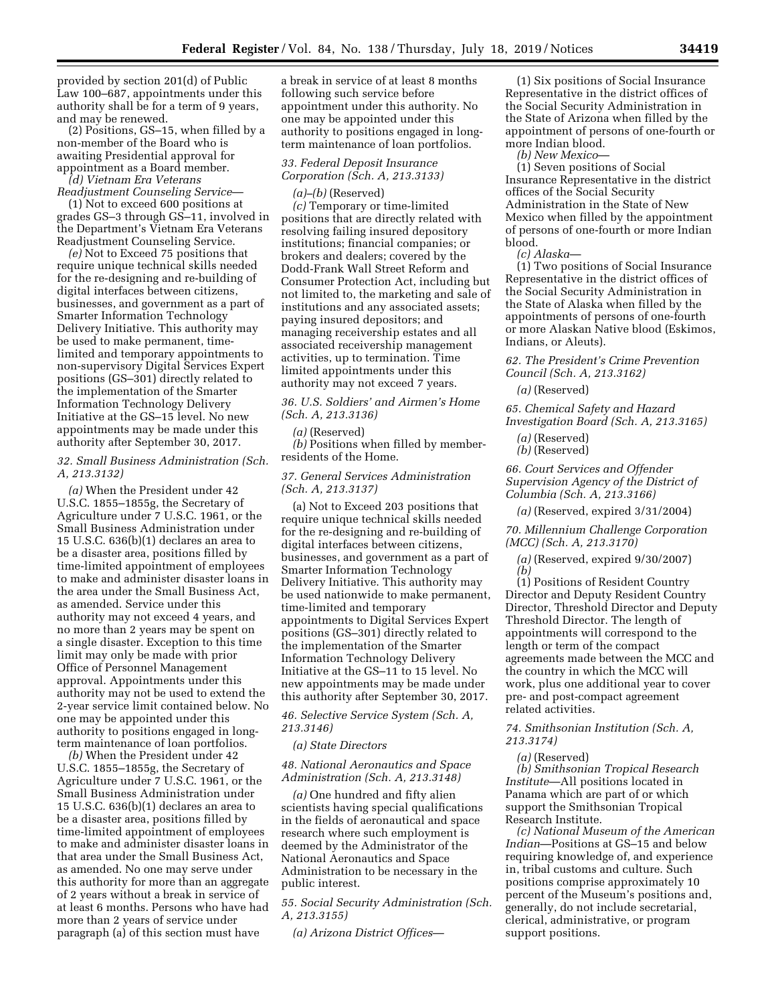provided by section 201(d) of Public Law 100–687, appointments under this authority shall be for a term of 9 years, and may be renewed.

 $(2)$  Positions, GS-15, when filled by a non-member of the Board who is awaiting Presidential approval for appointment as a Board member.

*(d) Vietnam Era Veterans Readjustment Counseling Service*—

(1) Not to exceed 600 positions at grades GS–3 through GS–11, involved in the Department's Vietnam Era Veterans Readjustment Counseling Service.

*(e)* Not to Exceed 75 positions that require unique technical skills needed for the re-designing and re-building of digital interfaces between citizens, businesses, and government as a part of Smarter Information Technology Delivery Initiative. This authority may be used to make permanent, timelimited and temporary appointments to non-supervisory Digital Services Expert positions (GS–301) directly related to the implementation of the Smarter Information Technology Delivery Initiative at the GS–15 level. No new appointments may be made under this authority after September 30, 2017.

### *32. Small Business Administration (Sch. A, 213.3132)*

*(a)* When the President under 42 U.S.C. 1855–1855g, the Secretary of Agriculture under 7 U.S.C. 1961, or the Small Business Administration under 15 U.S.C. 636(b)(1) declares an area to be a disaster area, positions filled by time-limited appointment of employees to make and administer disaster loans in the area under the Small Business Act, as amended. Service under this authority may not exceed 4 years, and no more than 2 years may be spent on a single disaster. Exception to this time limit may only be made with prior Office of Personnel Management approval. Appointments under this authority may not be used to extend the 2-year service limit contained below. No one may be appointed under this authority to positions engaged in longterm maintenance of loan portfolios.

*(b)* When the President under 42 U.S.C. 1855–1855g, the Secretary of Agriculture under 7 U.S.C. 1961, or the Small Business Administration under 15 U.S.C. 636(b)(1) declares an area to be a disaster area, positions filled by time-limited appointment of employees to make and administer disaster loans in that area under the Small Business Act, as amended. No one may serve under this authority for more than an aggregate of 2 years without a break in service of at least 6 months. Persons who have had more than 2 years of service under paragraph (a) of this section must have

a break in service of at least 8 months following such service before appointment under this authority. No one may be appointed under this authority to positions engaged in longterm maintenance of loan portfolios.

## *33. Federal Deposit Insurance Corporation (Sch. A, 213.3133)*

*(a)–(b)* (Reserved) *(c)* Temporary or time-limited positions that are directly related with resolving failing insured depository institutions; financial companies; or brokers and dealers; covered by the Dodd-Frank Wall Street Reform and Consumer Protection Act, including but not limited to, the marketing and sale of institutions and any associated assets; paying insured depositors; and managing receivership estates and all associated receivership management activities, up to termination. Time limited appointments under this authority may not exceed 7 years.

*36. U.S. Soldiers' and Airmen's Home (Sch. A, 213.3136)* 

#### *(a)* (Reserved)

*(b)* Positions when filled by memberresidents of the Home.

### *37. General Services Administration (Sch. A, 213.3137)*

(a) Not to Exceed 203 positions that require unique technical skills needed for the re-designing and re-building of digital interfaces between citizens, businesses, and government as a part of Smarter Information Technology Delivery Initiative. This authority may be used nationwide to make permanent, time-limited and temporary appointments to Digital Services Expert positions (GS–301) directly related to the implementation of the Smarter Information Technology Delivery Initiative at the GS–11 to 15 level. No new appointments may be made under this authority after September 30, 2017.

*46. Selective Service System (Sch. A, 213.3146)* 

### *(a) State Directors*

### *48. National Aeronautics and Space Administration (Sch. A, 213.3148)*

*(a)* One hundred and fifty alien scientists having special qualifications in the fields of aeronautical and space research where such employment is deemed by the Administrator of the National Aeronautics and Space Administration to be necessary in the public interest.

*55. Social Security Administration (Sch. A, 213.3155)* 

*(a) Arizona District Offices*—

(1) Six positions of Social Insurance Representative in the district offices of the Social Security Administration in the State of Arizona when filled by the appointment of persons of one-fourth or more Indian blood.

*(b) New Mexico*—

(1) Seven positions of Social Insurance Representative in the district offices of the Social Security Administration in the State of New Mexico when filled by the appointment of persons of one-fourth or more Indian blood.

*(c) Alaska*—

(1) Two positions of Social Insurance Representative in the district offices of the Social Security Administration in the State of Alaska when filled by the appointments of persons of one-fourth or more Alaskan Native blood (Eskimos, Indians, or Aleuts).

*62. The President's Crime Prevention Council (Sch. A, 213.3162)* 

*(a)* (Reserved)

*65. Chemical Safety and Hazard Investigation Board (Sch. A, 213.3165)* 

*(a)* (Reserved)

*(b)* (Reserved)

*66. Court Services and Offender Supervision Agency of the District of Columbia (Sch. A, 213.3166)* 

*(a)* (Reserved, expired 3/31/2004)

*70. Millennium Challenge Corporation (MCC) (Sch. A, 213.3170)* 

*(a)* (Reserved, expired 9/30/2007) *(b)* 

(1) Positions of Resident Country Director and Deputy Resident Country Director, Threshold Director and Deputy Threshold Director. The length of appointments will correspond to the length or term of the compact agreements made between the MCC and the country in which the MCC will work, plus one additional year to cover pre- and post-compact agreement related activities.

*74. Smithsonian Institution (Sch. A, 213.3174)* 

*(a)* (Reserved)

*(b) Smithsonian Tropical Research Institute*—All positions located in Panama which are part of or which support the Smithsonian Tropical Research Institute.

*(c) National Museum of the American Indian*—Positions at GS–15 and below requiring knowledge of, and experience in, tribal customs and culture. Such positions comprise approximately 10 percent of the Museum's positions and, generally, do not include secretarial, clerical, administrative, or program support positions.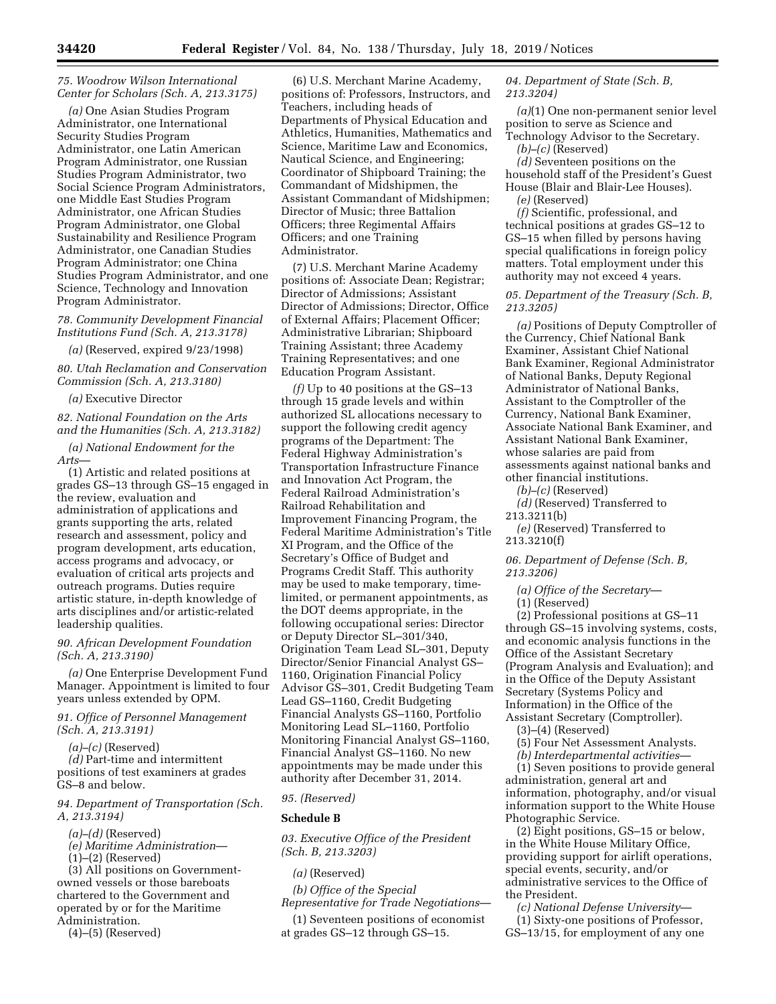### *75. Woodrow Wilson International Center for Scholars (Sch. A, 213.3175)*

*(a)* One Asian Studies Program Administrator, one International Security Studies Program Administrator, one Latin American Program Administrator, one Russian Studies Program Administrator, two Social Science Program Administrators, one Middle East Studies Program Administrator, one African Studies Program Administrator, one Global Sustainability and Resilience Program Administrator, one Canadian Studies Program Administrator; one China Studies Program Administrator, and one Science, Technology and Innovation Program Administrator.

### *78. Community Development Financial Institutions Fund (Sch. A, 213.3178)*

*(a)* (Reserved, expired 9/23/1998)

*80. Utah Reclamation and Conservation Commission (Sch. A, 213.3180)* 

### *(a)* Executive Director

*82. National Foundation on the Arts and the Humanities (Sch. A, 213.3182)* 

*(a) National Endowment for the Arts*—

(1) Artistic and related positions at grades GS–13 through GS–15 engaged in the review, evaluation and administration of applications and grants supporting the arts, related research and assessment, policy and program development, arts education, access programs and advocacy, or evaluation of critical arts projects and outreach programs. Duties require artistic stature, in-depth knowledge of arts disciplines and/or artistic-related leadership qualities.

### *90. African Development Foundation (Sch. A, 213.3190)*

*(a)* One Enterprise Development Fund Manager. Appointment is limited to four years unless extended by OPM.

### *91. Office of Personnel Management (Sch. A, 213.3191)*

*(a)–(c)* (Reserved)

*(d)* Part-time and intermittent positions of test examiners at grades GS–8 and below.

*94. Department of Transportation (Sch. A, 213.3194)* 

- *(a)–(d)* (Reserved)
- *(e) Maritime Administration*—
- (1)–(2) (Reserved)

(3) All positions on Governmentowned vessels or those bareboats chartered to the Government and operated by or for the Maritime Administration.

(4)–(5) (Reserved)

(6) U.S. Merchant Marine Academy, positions of: Professors, Instructors, and Teachers, including heads of Departments of Physical Education and Athletics, Humanities, Mathematics and Science, Maritime Law and Economics, Nautical Science, and Engineering; Coordinator of Shipboard Training; the Commandant of Midshipmen, the Assistant Commandant of Midshipmen; Director of Music; three Battalion Officers; three Regimental Affairs Officers; and one Training Administrator.

(7) U.S. Merchant Marine Academy positions of: Associate Dean; Registrar; Director of Admissions; Assistant Director of Admissions; Director, Office of External Affairs; Placement Officer; Administrative Librarian; Shipboard Training Assistant; three Academy Training Representatives; and one Education Program Assistant.

*(f)* Up to 40 positions at the GS–13 through 15 grade levels and within authorized SL allocations necessary to support the following credit agency programs of the Department: The Federal Highway Administration's Transportation Infrastructure Finance and Innovation Act Program, the Federal Railroad Administration's Railroad Rehabilitation and Improvement Financing Program, the Federal Maritime Administration's Title XI Program, and the Office of the Secretary's Office of Budget and Programs Credit Staff. This authority may be used to make temporary, timelimited, or permanent appointments, as the DOT deems appropriate, in the following occupational series: Director or Deputy Director SL–301/340, Origination Team Lead SL–301, Deputy Director/Senior Financial Analyst GS– 1160, Origination Financial Policy Advisor GS–301, Credit Budgeting Team Lead GS–1160, Credit Budgeting Financial Analysts GS–1160, Portfolio Monitoring Lead SL–1160, Portfolio Monitoring Financial Analyst GS–1160, Financial Analyst GS–1160. No new appointments may be made under this authority after December 31, 2014.

#### *95. (Reserved)*

#### **Schedule B**

*03. Executive Office of the President (Sch. B, 213.3203)* 

*(a)* (Reserved)

*(b) Office of the Special Representative for Trade Negotiations*—

(1) Seventeen positions of economist at grades GS–12 through GS–15.

*04. Department of State (Sch. B, 213.3204)* 

*(a)*(1) One non-permanent senior level position to serve as Science and Technology Advisor to the Secretary.

*(b)–(c)* (Reserved)

*(d)* Seventeen positions on the household staff of the President's Guest House (Blair and Blair-Lee Houses).

*(e)* (Reserved)

*(f)* Scientific, professional, and technical positions at grades GS–12 to GS–15 when filled by persons having special qualifications in foreign policy matters. Total employment under this authority may not exceed 4 years.

*05. Department of the Treasury (Sch. B, 213.3205)* 

*(a)* Positions of Deputy Comptroller of the Currency, Chief National Bank Examiner, Assistant Chief National Bank Examiner, Regional Administrator of National Banks, Deputy Regional Administrator of National Banks, Assistant to the Comptroller of the Currency, National Bank Examiner, Associate National Bank Examiner, and Assistant National Bank Examiner, whose salaries are paid from assessments against national banks and other financial institutions.

*(b)–(c)* (Reserved)

*(d)* (Reserved) Transferred to 213.3211(b)

*(e)* (Reserved) Transferred to 213.3210(f)

*06. Department of Defense (Sch. B, 213.3206)* 

*(a) Office of the Secretary*—

(1) (Reserved)

(2) Professional positions at GS–11 through GS–15 involving systems, costs, and economic analysis functions in the Office of the Assistant Secretary (Program Analysis and Evaluation); and in the Office of the Deputy Assistant Secretary (Systems Policy and Information) in the Office of the Assistant Secretary (Comptroller).

(3)–(4) (Reserved)

(5) Four Net Assessment Analysts.

*(b) Interdepartmental activities*—

(1) Seven positions to provide general administration, general art and information, photography, and/or visual information support to the White House Photographic Service.

(2) Eight positions, GS–15 or below, in the White House Military Office, providing support for airlift operations, special events, security, and/or administrative services to the Office of the President.

*(c) National Defense University*— (1) Sixty-one positions of Professor, GS–13/15, for employment of any one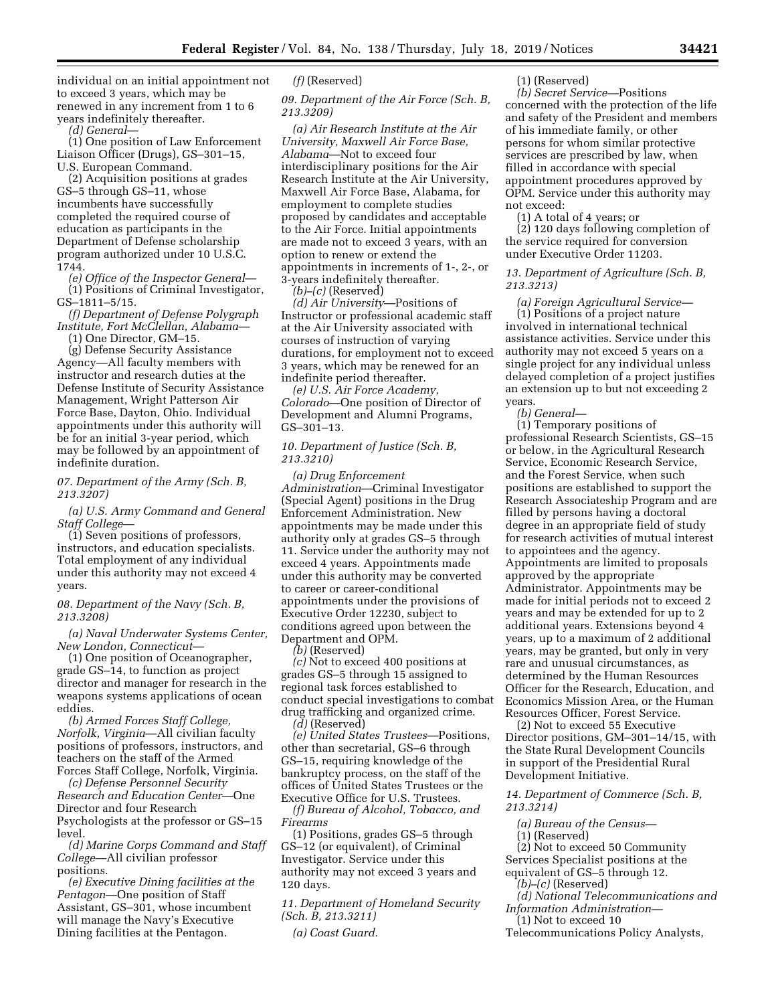individual on an initial appointment not to exceed 3 years, which may be renewed in any increment from 1 to 6 years indefinitely thereafter.

*(d) General*—

(1) One position of Law Enforcement Liaison Officer (Drugs), GS–301–15, U.S. European Command.

(2) Acquisition positions at grades GS–5 through GS–11, whose incumbents have successfully completed the required course of education as participants in the Department of Defense scholarship program authorized under 10 U.S.C. 1744.

*(e) Office of the Inspector General*— (1) Positions of Criminal Investigator, GS–1811–5/15.

*(f) Department of Defense Polygraph Institute, Fort McClellan, Alabama*— (1) One Director, GM–15.

(g) Defense Security Assistance Agency—All faculty members with instructor and research duties at the Defense Institute of Security Assistance Management, Wright Patterson Air Force Base, Dayton, Ohio. Individual appointments under this authority will be for an initial 3-year period, which may be followed by an appointment of indefinite duration.

### *07. Department of the Army (Sch. B, 213.3207)*

*(a) U.S. Army Command and General Staff College*—

(1) Seven positions of professors, instructors, and education specialists. Total employment of any individual under this authority may not exceed 4 years.

### *08. Department of the Navy (Sch. B, 213.3208)*

*(a) Naval Underwater Systems Center, New London, Connecticut*—

(1) One position of Oceanographer, grade GS–14, to function as project director and manager for research in the weapons systems applications of ocean eddies.

*(b) Armed Forces Staff College, Norfolk, Virginia*—All civilian faculty positions of professors, instructors, and teachers on the staff of the Armed Forces Staff College, Norfolk, Virginia.

*(c) Defense Personnel Security Research and Education Center*—One Director and four Research Psychologists at the professor or GS–15 level.

*(d) Marine Corps Command and Staff College*—All civilian professor positions.

*(e) Executive Dining facilities at the Pentagon*—One position of Staff Assistant, GS–301, whose incumbent will manage the Navy's Executive Dining facilities at the Pentagon.

### *(f)* (Reserved)

*09. Department of the Air Force (Sch. B, 213.3209)* 

*(a) Air Research Institute at the Air University, Maxwell Air Force Base, Alabama*—Not to exceed four interdisciplinary positions for the Air Research Institute at the Air University, Maxwell Air Force Base, Alabama, for employment to complete studies proposed by candidates and acceptable to the Air Force. Initial appointments are made not to exceed 3 years, with an option to renew or extend the appointments in increments of 1-, 2-, or 3-years indefinitely thereafter.

 $(b)$ – $(c)$  (Reserved) *(d) Air University*—Positions of

Instructor or professional academic staff at the Air University associated with courses of instruction of varying durations, for employment not to exceed 3 years, which may be renewed for an indefinite period thereafter.

*(e) U.S. Air Force Academy, Colorado*—One position of Director of Development and Alumni Programs, GS–301–13.

### *10. Department of Justice (Sch. B, 213.3210)*

*(a) Drug Enforcement Administration*—Criminal Investigator (Special Agent) positions in the Drug Enforcement Administration. New appointments may be made under this authority only at grades GS–5 through 11. Service under the authority may not exceed 4 years. Appointments made under this authority may be converted to career or career-conditional appointments under the provisions of Executive Order 12230, subject to conditions agreed upon between the Department and OPM.

*(b)* (Reserved)

*(c)* Not to exceed 400 positions at grades GS–5 through 15 assigned to regional task forces established to conduct special investigations to combat drug trafficking and organized crime. *(d)* (Reserved)

*(e) United States Trustees*—Positions,

other than secretarial, GS–6 through GS–15, requiring knowledge of the bankruptcy process, on the staff of the offices of United States Trustees or the Executive Office for U.S. Trustees.

*(f) Bureau of Alcohol, Tobacco, and Firearms* 

(1) Positions, grades GS–5 through GS–12 (or equivalent), of Criminal Investigator. Service under this authority may not exceed 3 years and 120 days.

*11. Department of Homeland Security (Sch. B, 213.3211)* 

*(a) Coast Guard.* 

### (1) (Reserved)

*(b) Secret Service—*Positions concerned with the protection of the life and safety of the President and members of his immediate family, or other persons for whom similar protective services are prescribed by law, when filled in accordance with special appointment procedures approved by OPM. Service under this authority may not exceed:

(1) A total of 4 years; or (2) 120 days following completion of the service required for conversion under Executive Order 11203.

### *13. Department of Agriculture (Sch. B, 213.3213)*

*(a) Foreign Agricultural Service—*  (1) Positions of a project nature involved in international technical assistance activities. Service under this authority may not exceed 5 years on a single project for any individual unless delayed completion of a project justifies an extension up to but not exceeding 2 years.

*(b) General—* 

(1) Temporary positions of professional Research Scientists, GS–15 or below, in the Agricultural Research Service, Economic Research Service, and the Forest Service, when such positions are established to support the Research Associateship Program and are filled by persons having a doctoral degree in an appropriate field of study for research activities of mutual interest to appointees and the agency. Appointments are limited to proposals approved by the appropriate Administrator. Appointments may be made for initial periods not to exceed 2 years and may be extended for up to 2 additional years. Extensions beyond 4 years, up to a maximum of 2 additional years, may be granted, but only in very rare and unusual circumstances, as determined by the Human Resources Officer for the Research, Education, and Economics Mission Area, or the Human Resources Officer, Forest Service.

(2) Not to exceed 55 Executive Director positions, GM–301–14/15, with the State Rural Development Councils in support of the Presidential Rural Development Initiative.

*14. Department of Commerce (Sch. B, 213.3214)* 

*(a) Bureau of the Census—*  (1) (Reserved)

(2) Not to exceed 50 Community

Services Specialist positions at the equivalent of GS–5 through 12.

*(b)–(c)* (Reserved)

*(d) National Telecommunications and Information Administration—* 

(1) Not to exceed 10

Telecommunications Policy Analysts,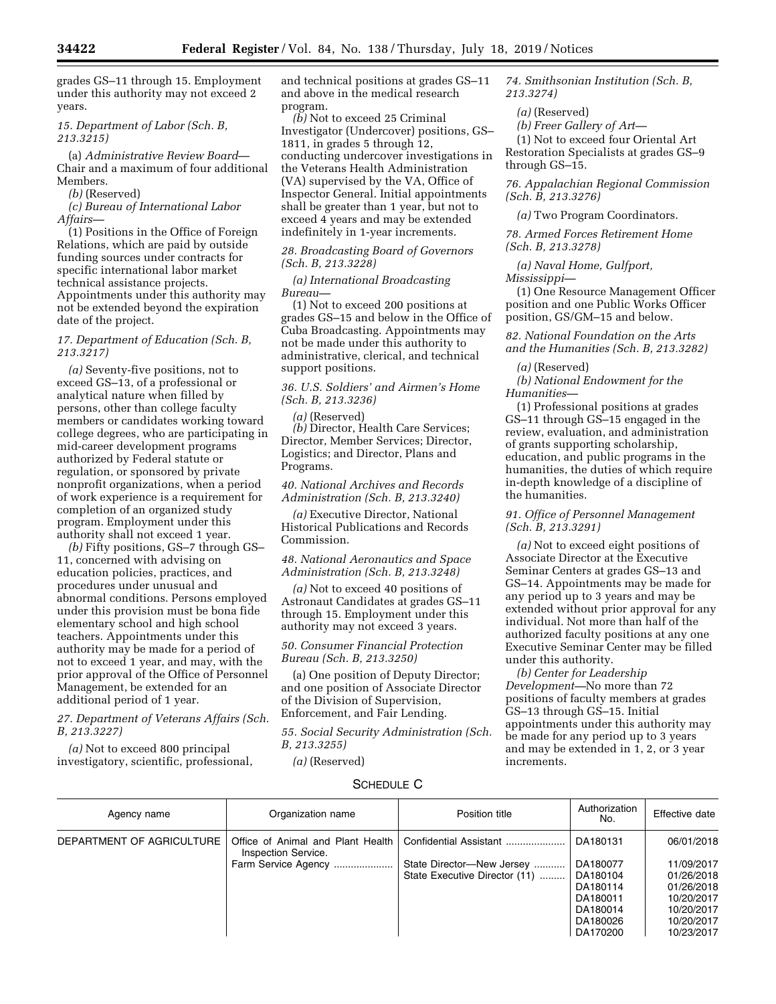grades GS–11 through 15. Employment under this authority may not exceed 2 years.

### *15. Department of Labor (Sch. B, 213.3215)*

(a) *Administrative Review Board*— Chair and a maximum of four additional Members.

#### *(b)* (Reserved)

*(c) Bureau of International Labor Affairs—* 

(1) Positions in the Office of Foreign Relations, which are paid by outside funding sources under contracts for specific international labor market technical assistance projects. Appointments under this authority may not be extended beyond the expiration date of the project.

### *17. Department of Education (Sch. B, 213.3217)*

*(a)* Seventy-five positions, not to exceed GS–13, of a professional or analytical nature when filled by persons, other than college faculty members or candidates working toward college degrees, who are participating in mid-career development programs authorized by Federal statute or regulation, or sponsored by private nonprofit organizations, when a period of work experience is a requirement for completion of an organized study program. Employment under this authority shall not exceed 1 year.

*(b)* Fifty positions, GS–7 through GS– 11, concerned with advising on education policies, practices, and procedures under unusual and abnormal conditions. Persons employed under this provision must be bona fide elementary school and high school teachers. Appointments under this authority may be made for a period of not to exceed 1 year, and may, with the prior approval of the Office of Personnel Management, be extended for an additional period of 1 year.

*27. Department of Veterans Affairs (Sch. B, 213.3227)* 

*(a)* Not to exceed 800 principal investigatory, scientific, professional, and technical positions at grades GS–11 and above in the medical research program.

*(b)* Not to exceed 25 Criminal Investigator (Undercover) positions, GS– 1811, in grades 5 through 12, conducting undercover investigations in the Veterans Health Administration (VA) supervised by the VA, Office of Inspector General. Initial appointments shall be greater than 1 year, but not to exceed 4 years and may be extended indefinitely in 1-year increments.

### *28. Broadcasting Board of Governors (Sch. B, 213.3228)*

*(a) International Broadcasting* 

*Bureau—* 

(1) Not to exceed 200 positions at grades GS–15 and below in the Office of Cuba Broadcasting. Appointments may not be made under this authority to administrative, clerical, and technical support positions.

*36. U.S. Soldiers' and Airmen's Home (Sch. B, 213.3236)* 

*(a)* (Reserved) *(b)* Director, Health Care Services; Director, Member Services; Director, Logistics; and Director, Plans and Programs.

*40. National Archives and Records Administration (Sch. B, 213.3240)* 

*(a)* Executive Director, National Historical Publications and Records Commission.

*48. National Aeronautics and Space Administration (Sch. B, 213.3248)* 

*(a)* Not to exceed 40 positions of Astronaut Candidates at grades GS–11 through 15. Employment under this authority may not exceed 3 years.

*50. Consumer Financial Protection Bureau (Sch. B, 213.3250)* 

(a) One position of Deputy Director; and one position of Associate Director of the Division of Supervision, Enforcement, and Fair Lending.

*55. Social Security Administration (Sch. B, 213.3255)* 

*(a)* (Reserved)

*74. Smithsonian Institution (Sch. B, 213.3274)* 

*(a)* (Reserved)

*(b) Freer Gallery of Art—* 

(1) Not to exceed four Oriental Art Restoration Specialists at grades GS–9 through GS–15.

*76. Appalachian Regional Commission (Sch. B, 213.3276)* 

*(a)* Two Program Coordinators.

*78. Armed Forces Retirement Home (Sch. B, 213.3278)* 

*(a) Naval Home, Gulfport, Mississippi—* 

(1) One Resource Management Officer position and one Public Works Officer position, GS/GM–15 and below.

*82. National Foundation on the Arts and the Humanities (Sch. B, 213.3282)* 

*(a)* (Reserved)

*(b) National Endowment for the Humanities—* 

(1) Professional positions at grades GS–11 through GS–15 engaged in the review, evaluation, and administration of grants supporting scholarship, education, and public programs in the humanities, the duties of which require in-depth knowledge of a discipline of the humanities.

*91. Office of Personnel Management (Sch. B, 213.3291)* 

*(a)* Not to exceed eight positions of Associate Director at the Executive Seminar Centers at grades GS–13 and GS–14. Appointments may be made for any period up to 3 years and may be extended without prior approval for any individual. Not more than half of the authorized faculty positions at any one Executive Seminar Center may be filled under this authority.

*(b) Center for Leadership Development—*No more than 72 positions of faculty members at grades GS–13 through GS–15. Initial appointments under this authority may be made for any period up to 3 years and may be extended in 1, 2, or 3 year increments.

## SCHEDULE C

| Agency name               | Organization name                                        | Position title                | Authorization<br>No. | Effective date |
|---------------------------|----------------------------------------------------------|-------------------------------|----------------------|----------------|
| DEPARTMENT OF AGRICULTURE | Office of Animal and Plant Health<br>Inspection Service. | Confidential Assistant        | DA180131             | 06/01/2018     |
|                           | Farm Service Agency                                      | State Director-New Jersey     | DA180077             | 11/09/2017     |
|                           |                                                          | State Executive Director (11) | DA180104             | 01/26/2018     |
|                           |                                                          |                               | DA180114             | 01/26/2018     |
|                           |                                                          |                               | DA180011             | 10/20/2017     |
|                           |                                                          |                               | DA180014             | 10/20/2017     |
|                           |                                                          |                               | DA180026             | 10/20/2017     |
|                           |                                                          |                               | DA170200             | 10/23/2017     |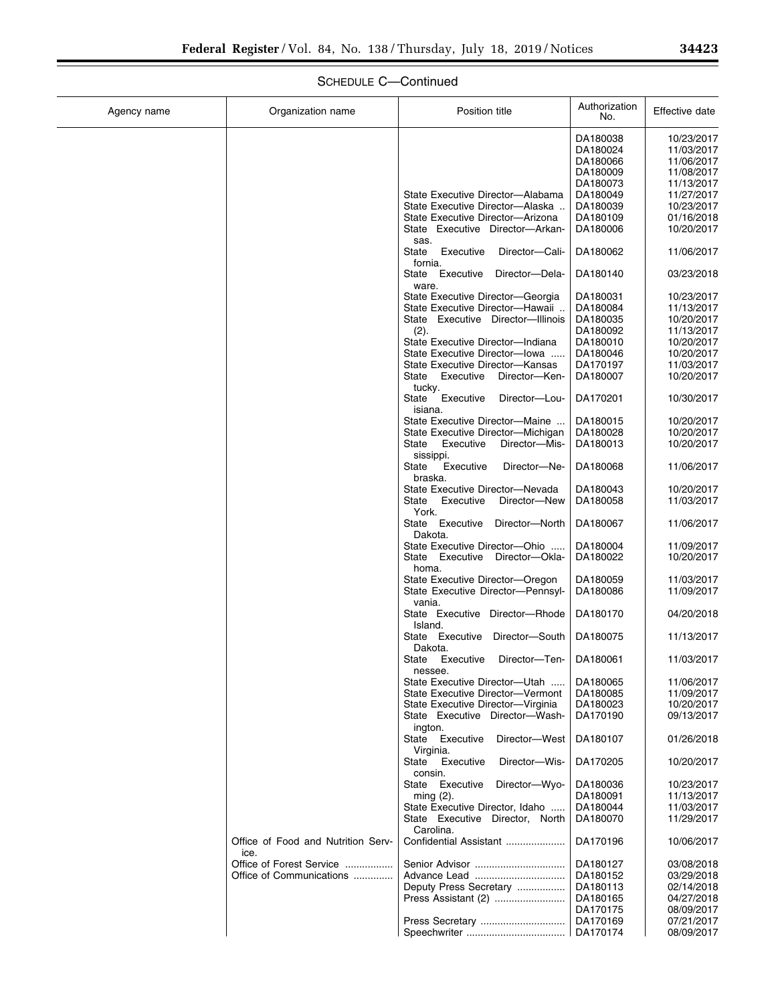| Agency name | Organization name                  | Position title                                   | Authorization<br>No. | Effective date           |
|-------------|------------------------------------|--------------------------------------------------|----------------------|--------------------------|
|             |                                    |                                                  | DA180038             | 10/23/2017               |
|             |                                    |                                                  | DA180024             | 11/03/2017               |
|             |                                    |                                                  | DA180066             | 11/06/2017               |
|             |                                    |                                                  | DA180009             | 11/08/2017               |
|             |                                    |                                                  | DA180073             | 11/13/2017               |
|             |                                    | State Executive Director-Alabama                 | DA180049             | 11/27/2017               |
|             |                                    | State Executive Director-Alaska.                 | DA180039             | 10/23/2017               |
|             |                                    | State Executive Director-Arizona                 | DA180109<br>DA180006 | 01/16/2018<br>10/20/2017 |
|             |                                    | State Executive Director-Arkan-<br>sas.          |                      |                          |
|             |                                    | State<br>Executive<br>Director-Cali-             | DA180062             | 11/06/2017               |
|             |                                    | fornia.                                          |                      |                          |
|             |                                    | State Executive<br>Director-Dela-<br>ware.       | DA180140             | 03/23/2018               |
|             |                                    | State Executive Director-Georgia                 | DA180031             | 10/23/2017               |
|             |                                    | State Executive Director-Hawaii                  | DA180084             | 11/13/2017               |
|             |                                    | State Executive Director-Illinois                | DA180035             | 10/20/2017               |
|             |                                    | (2).                                             | DA180092             | 11/13/2017               |
|             |                                    | State Executive Director-Indiana                 | DA180010             | 10/20/2017               |
|             |                                    | State Executive Director-lowa                    | DA180046             | 10/20/2017               |
|             |                                    | State Executive Director-Kansas                  | DA170197             | 11/03/2017               |
|             |                                    | State<br>Executive<br>Director-Ken-              | DA180007             | 10/20/2017               |
|             |                                    | tucky.                                           |                      |                          |
|             |                                    | State<br>Executive<br>Director-Lou-<br>isiana.   | DA170201             | 10/30/2017               |
|             |                                    | State Executive Director-Maine                   | DA180015             | 10/20/2017               |
|             |                                    | State Executive Director-Michigan                | DA180028             | 10/20/2017               |
|             |                                    | Executive<br>Director-Mis-<br>State              | DA180013             | 10/20/2017               |
|             |                                    | sissippi.                                        |                      |                          |
|             |                                    | Executive<br>State<br>Director-Ne-<br>braska.    | DA180068             | 11/06/2017               |
|             |                                    | State Executive Director-Nevada                  | DA180043             | 10/20/2017               |
|             |                                    | Executive<br>Director-New<br>State               | DA180058             | 11/03/2017               |
|             |                                    | York.                                            |                      |                          |
|             |                                    | Executive<br>State<br>Director-North             | DA180067             | 11/06/2017               |
|             |                                    | Dakota.                                          |                      |                          |
|             |                                    | State Executive Director-Ohio                    | DA180004             | 11/09/2017               |
|             |                                    | State Executive<br>Director-Okla-<br>homa.       | DA180022             | 10/20/2017               |
|             |                                    | State Executive Director-Oregon                  | DA180059             | 11/03/2017               |
|             |                                    | State Executive Director-Pennsyl-                | DA180086             | 11/09/2017               |
|             |                                    | vania.                                           |                      |                          |
|             |                                    | State Executive Director-Rhode                   | DA180170             | 04/20/2018               |
|             |                                    | Island.                                          |                      |                          |
|             |                                    | State Executive<br>Director-South                | DA180075             | 11/13/2017               |
|             |                                    | Dakota.                                          |                      | 11/03/2017               |
|             |                                    | State<br>Executive<br>Director-Ten-<br>nessee.   | DA180061             |                          |
|             |                                    | State Executive Director-Utah                    | DA180065             | 11/06/2017               |
|             |                                    | State Executive Director-Vermont                 | DA180085             | 11/09/2017               |
|             |                                    | State Executive Director-Virginia                | DA180023             | 10/20/2017               |
|             |                                    | State Executive Director-Wash-                   | DA170190             | 09/13/2017               |
|             |                                    | ington.                                          |                      |                          |
|             |                                    | State Executive<br>Director-West                 | DA180107             | 01/26/2018               |
|             |                                    | Virginia.<br>State<br>Executive<br>Director-Wis- | DA170205             | 10/20/2017               |
|             |                                    | consin.                                          |                      |                          |
|             |                                    | State Executive<br>Director-Wyo-                 | DA180036             | 10/23/2017               |
|             |                                    | $ming(2)$ .                                      | DA180091             | 11/13/2017               |
|             |                                    | State Executive Director, Idaho                  | DA180044             | 11/03/2017               |
|             |                                    | State Executive Director, North                  | DA180070             | 11/29/2017               |
|             | Office of Food and Nutrition Serv- | Carolina.<br>Confidential Assistant              | DA170196             | 10/06/2017               |
|             | ice.                               |                                                  |                      |                          |
|             | Office of Forest Service           |                                                  | DA180127             | 03/08/2018               |
|             | Office of Communications           | Advance Lead                                     | DA180152             | 03/29/2018               |
|             |                                    | Deputy Press Secretary                           | DA180113             | 02/14/2018               |
|             |                                    | Press Assistant (2)                              | DA180165             | 04/27/2018               |
|             |                                    |                                                  | DA170175             | 08/09/2017               |
|             |                                    |                                                  | DA170169             | 07/21/2017               |
|             |                                    |                                                  | DA170174             | 08/09/2017               |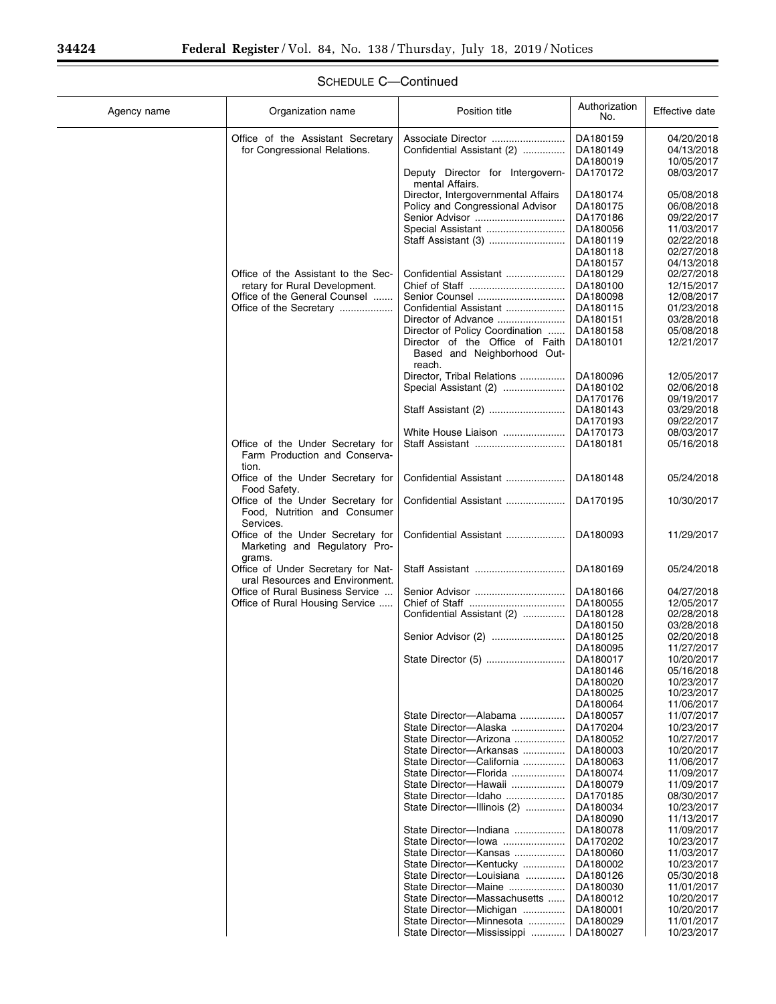| Agency name | Organization name                                                               | Position title                                                          | Authorization<br>No. | Effective date           |
|-------------|---------------------------------------------------------------------------------|-------------------------------------------------------------------------|----------------------|--------------------------|
|             | Office of the Assistant Secretary<br>for Congressional Relations.               | Associate Director<br>Confidential Assistant (2)                        | DA180159<br>DA180149 | 04/20/2018<br>04/13/2018 |
|             |                                                                                 | Deputy Director for Intergovern-                                        | DA180019<br>DA170172 | 10/05/2017<br>08/03/2017 |
|             |                                                                                 | mental Affairs.                                                         |                      |                          |
|             |                                                                                 | Director, Intergovernmental Affairs<br>Policy and Congressional Advisor | DA180174<br>DA180175 | 05/08/2018<br>06/08/2018 |
|             |                                                                                 | Senior Advisor                                                          | DA170186             | 09/22/2017               |
|             |                                                                                 | Special Assistant                                                       | DA180056             | 11/03/2017               |
|             |                                                                                 |                                                                         | DA180119<br>DA180118 | 02/22/2018<br>02/27/2018 |
|             |                                                                                 |                                                                         | DA180157             | 04/13/2018               |
|             | Office of the Assistant to the Sec-<br>retary for Rural Development.            | Confidential Assistant                                                  | DA180129<br>DA180100 | 02/27/2018<br>12/15/2017 |
|             | Office of the General Counsel                                                   | Senior Counsel                                                          | DA180098             | 12/08/2017               |
|             | Office of the Secretary                                                         | Confidential Assistant                                                  | DA180115             | 01/23/2018               |
|             |                                                                                 | Director of Policy Coordination                                         | DA180151<br>DA180158 | 03/28/2018<br>05/08/2018 |
|             |                                                                                 | Director of the Office of Faith<br>Based and Neighborhood Out-          | DA180101             | 12/21/2017               |
|             |                                                                                 | reach.<br>Director, Tribal Relations                                    | DA180096             | 12/05/2017               |
|             |                                                                                 | Special Assistant (2)                                                   | DA180102             | 02/06/2018               |
|             |                                                                                 |                                                                         | DA170176             | 09/19/2017               |
|             |                                                                                 |                                                                         | DA180143<br>DA170193 | 03/29/2018<br>09/22/2017 |
|             |                                                                                 | White House Liaison                                                     | DA170173             | 08/03/2017               |
|             | Office of the Under Secretary for<br>Farm Production and Conserva-<br>tion.     | Staff Assistant                                                         | DA180181             | 05/16/2018               |
|             | Office of the Under Secretary for<br>Food Safety.                               | Confidential Assistant                                                  | DA180148             | 05/24/2018               |
|             | Office of the Under Secretary for<br>Food, Nutrition and Consumer<br>Services.  | Confidential Assistant                                                  | DA170195             | 10/30/2017               |
|             | Office of the Under Secretary for<br>Marketing and Regulatory Pro-              | Confidential Assistant                                                  | DA180093             | 11/29/2017               |
|             | grams.<br>Office of Under Secretary for Nat-<br>ural Resources and Environment. |                                                                         | DA180169             | 05/24/2018               |
|             | Office of Rural Business Service                                                |                                                                         | DA180166             | 04/27/2018<br>12/05/2017 |
|             | Office of Rural Housing Service                                                 | Confidential Assistant (2)                                              | DA180055<br>DA180128 | 02/28/2018               |
|             |                                                                                 |                                                                         | DA180150             | 03/28/2018               |
|             |                                                                                 | Senior Advisor (2)                                                      | DA180125<br>DA180095 | 02/20/2018<br>11/27/2017 |
|             |                                                                                 | State Director (5)                                                      | DA180017             | 10/20/2017               |
|             |                                                                                 |                                                                         | DA180146<br>DA180020 | 05/16/2018<br>10/23/2017 |
|             |                                                                                 |                                                                         | DA180025             | 10/23/2017               |
|             |                                                                                 |                                                                         | DA180064             | 11/06/2017               |
|             |                                                                                 | State Director-Alabama<br>State Director-Alaska                         | DA180057<br>DA170204 | 11/07/2017<br>10/23/2017 |
|             |                                                                                 | State Director-Arizona                                                  | DA180052             | 10/27/2017               |
|             |                                                                                 | State Director-Arkansas<br>State Director-California                    | DA180003<br>DA180063 | 10/20/2017<br>11/06/2017 |
|             |                                                                                 | State Director-Florida                                                  | DA180074             | 11/09/2017               |
|             |                                                                                 | State Director-Hawaii                                                   | DA180079             | 11/09/2017               |
|             |                                                                                 | State Director-Idaho<br>State Director-Illinois (2)                     | DA170185<br>DA180034 | 08/30/2017<br>10/23/2017 |
|             |                                                                                 |                                                                         | DA180090             | 11/13/2017               |
|             |                                                                                 | State Director-Indiana                                                  | DA180078             | 11/09/2017               |
|             |                                                                                 | State Director-lowa<br>State Director-Kansas                            | DA170202<br>DA180060 | 10/23/2017<br>11/03/2017 |
|             |                                                                                 | State Director-Kentucky                                                 | DA180002             | 10/23/2017               |
|             |                                                                                 | State Director-Louisiana<br>State Director-Maine                        | DA180126             | 05/30/2018               |
|             |                                                                                 | State Director-Massachusetts                                            | DA180030<br>DA180012 | 11/01/2017<br>10/20/2017 |
|             |                                                                                 | State Director-Michigan                                                 | DA180001             | 10/20/2017               |
|             |                                                                                 | State Director-Minnesota<br>State Director-Mississippi                  | DA180029<br>DA180027 | 11/01/2017<br>10/23/2017 |
|             |                                                                                 |                                                                         |                      |                          |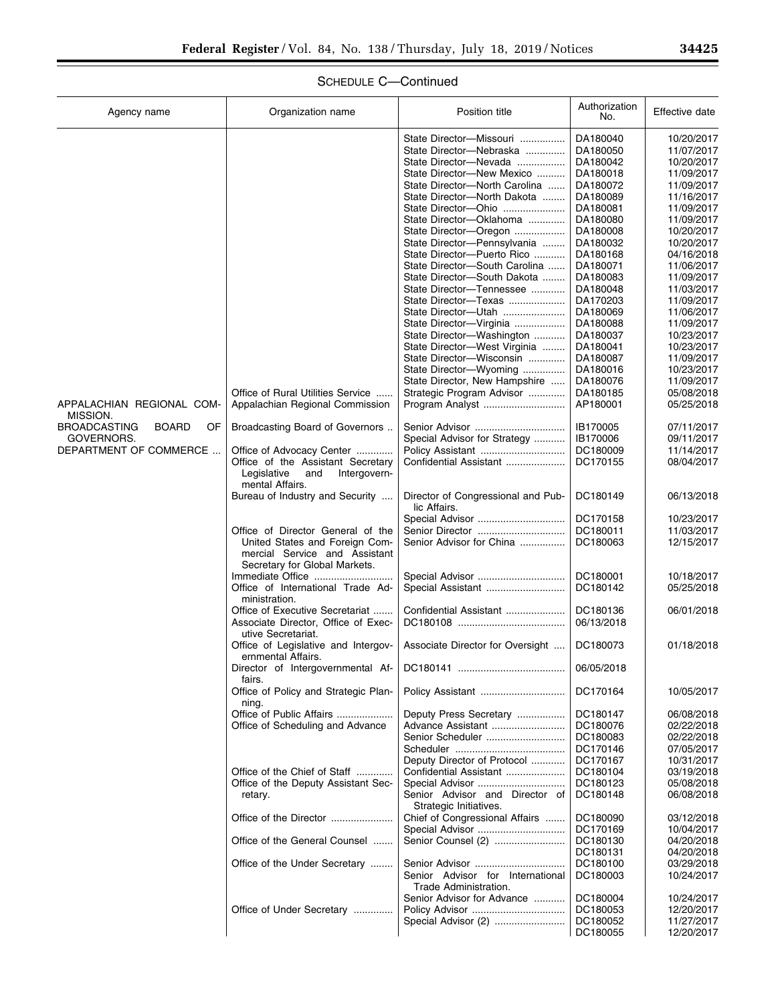| Agency name                               | Organization name                                                                                    | Position title                                            | Authorization<br>No.   | Effective date           |
|-------------------------------------------|------------------------------------------------------------------------------------------------------|-----------------------------------------------------------|------------------------|--------------------------|
|                                           |                                                                                                      | State Director-Missouri                                   | DA180040               | 10/20/2017               |
|                                           |                                                                                                      | State Director-Nebraska                                   | DA180050               | 11/07/2017               |
|                                           |                                                                                                      | State Director-Nevada                                     | DA180042               | 10/20/2017               |
|                                           |                                                                                                      | State Director-New Mexico                                 | DA180018               | 11/09/2017               |
|                                           |                                                                                                      | State Director-North Carolina                             | DA180072               | 11/09/2017               |
|                                           |                                                                                                      | State Director-North Dakota                               | DA180089               | 11/16/2017               |
|                                           |                                                                                                      | State Director-Ohio                                       | DA180081               | 11/09/2017               |
|                                           |                                                                                                      | State Director-Oklahoma                                   | DA180080               | 11/09/2017               |
|                                           |                                                                                                      | State Director-Oregon                                     | DA180008               | 10/20/2017               |
|                                           |                                                                                                      | State Director-Pennsylvania                               | DA180032               | 10/20/2017               |
|                                           |                                                                                                      | State Director-Puerto Rico                                | DA180168               | 04/16/2018               |
|                                           |                                                                                                      | State Director-South Carolina                             | DA180071               | 11/06/2017               |
|                                           |                                                                                                      | State Director-South Dakota<br>State Director-Tennessee   | DA180083               | 11/09/2017<br>11/03/2017 |
|                                           |                                                                                                      | State Director-Texas                                      | DA180048<br>DA170203   | 11/09/2017               |
|                                           |                                                                                                      | State Director-Utah                                       | DA180069               | 11/06/2017               |
|                                           |                                                                                                      | State Director-Virginia                                   | DA180088               | 11/09/2017               |
|                                           |                                                                                                      | State Director-Washington                                 | DA180037               | 10/23/2017               |
|                                           |                                                                                                      | State Director-West Virginia                              | DA180041               | 10/23/2017               |
|                                           |                                                                                                      | State Director-Wisconsin                                  | DA180087               | 11/09/2017               |
|                                           |                                                                                                      | State Director-Wyoming                                    | DA180016               | 10/23/2017               |
|                                           |                                                                                                      | State Director, New Hampshire                             | DA180076               | 11/09/2017               |
|                                           | Office of Rural Utilities Service                                                                    | Strategic Program Advisor                                 | DA180185               | 05/08/2018               |
| APPALACHIAN REGIONAL COM-<br>MISSION.     | Appalachian Regional Commission                                                                      | Program Analyst                                           | AP180001               | 05/25/2018               |
| <b>BROADCASTING</b><br><b>BOARD</b><br>OF | Broadcasting Board of Governors                                                                      |                                                           | IB170005               | 07/11/2017               |
| GOVERNORS.                                |                                                                                                      | Special Advisor for Strategy                              | IB170006               | 09/11/2017               |
| DEPARTMENT OF COMMERCE                    | Office of Advocacy Center                                                                            |                                                           | DC180009               | 11/14/2017               |
|                                           | Office of the Assistant Secretary<br>Legislative<br>and<br>Intergovern-<br>mental Affairs.           | Confidential Assistant                                    | DC170155               | 08/04/2017               |
|                                           | Bureau of Industry and Security                                                                      | Director of Congressional and Pub-<br>lic Affairs.        | DC180149               | 06/13/2018               |
|                                           |                                                                                                      |                                                           | DC170158               | 10/23/2017               |
|                                           | Office of Director General of the<br>United States and Foreign Com-<br>mercial Service and Assistant | Senior Advisor for China                                  | DC180011<br>DC180063   | 11/03/2017<br>12/15/2017 |
|                                           | Secretary for Global Markets.                                                                        |                                                           |                        |                          |
|                                           | Immediate Office<br>Office of International Trade Ad-<br>ministration.                               |                                                           | DC180001<br>DC180142   | 10/18/2017<br>05/25/2018 |
|                                           | Office of Executive Secretariat<br>Associate Director, Office of Exec-<br>utive Secretariat.         | Confidential Assistant                                    | DC180136<br>06/13/2018 | 06/01/2018               |
|                                           | Office of Legislative and Intergov-<br>ernmental Affairs.                                            | Associate Director for Oversight                          | DC180073               | 01/18/2018               |
|                                           | Director of Intergovernmental Af-<br>fairs.                                                          |                                                           | 06/05/2018             |                          |
|                                           | Office of Policy and Strategic Plan-<br>ning.                                                        |                                                           | DC170164               | 10/05/2017               |
|                                           | Office of Public Affairs                                                                             | Deputy Press Secretary                                    | DC180147               | 06/08/2018               |
|                                           | Office of Scheduling and Advance                                                                     | Advance Assistant                                         | DC180076               | 02/22/2018               |
|                                           |                                                                                                      | Senior Scheduler                                          | DC180083               | 02/22/2018               |
|                                           |                                                                                                      |                                                           | DC170146               | 07/05/2017               |
|                                           |                                                                                                      | Deputy Director of Protocol                               | DC170167               | 10/31/2017               |
|                                           | Office of the Chief of Staff                                                                         | Confidential Assistant                                    | DC180104               | 03/19/2018               |
|                                           | Office of the Deputy Assistant Sec-                                                                  | Special Advisor                                           | DC180123               | 05/08/2018               |
|                                           | retary.                                                                                              | Senior Advisor and Director of<br>Strategic Initiatives.  | DC180148               | 06/08/2018               |
|                                           | Office of the Director                                                                               | Chief of Congressional Affairs                            | DC180090               | 03/12/2018               |
|                                           |                                                                                                      | Special Advisor                                           | DC170169               | 10/04/2017               |
|                                           | Office of the General Counsel                                                                        |                                                           | DC180130               | 04/20/2018               |
|                                           |                                                                                                      |                                                           | DC180131               | 04/20/2018               |
|                                           | Office of the Under Secretary                                                                        |                                                           | DC180100               | 03/29/2018               |
|                                           |                                                                                                      | Senior Advisor for International<br>Trade Administration. | DC180003               | 10/24/2017               |
|                                           |                                                                                                      | Senior Advisor for Advance                                | DC180004               | 10/24/2017               |
|                                           | Office of Under Secretary                                                                            |                                                           | DC180053               | 12/20/2017               |
|                                           |                                                                                                      | Special Advisor (2)                                       | DC180052               | 11/27/2017               |
|                                           |                                                                                                      |                                                           | DC180055               | 12/20/2017               |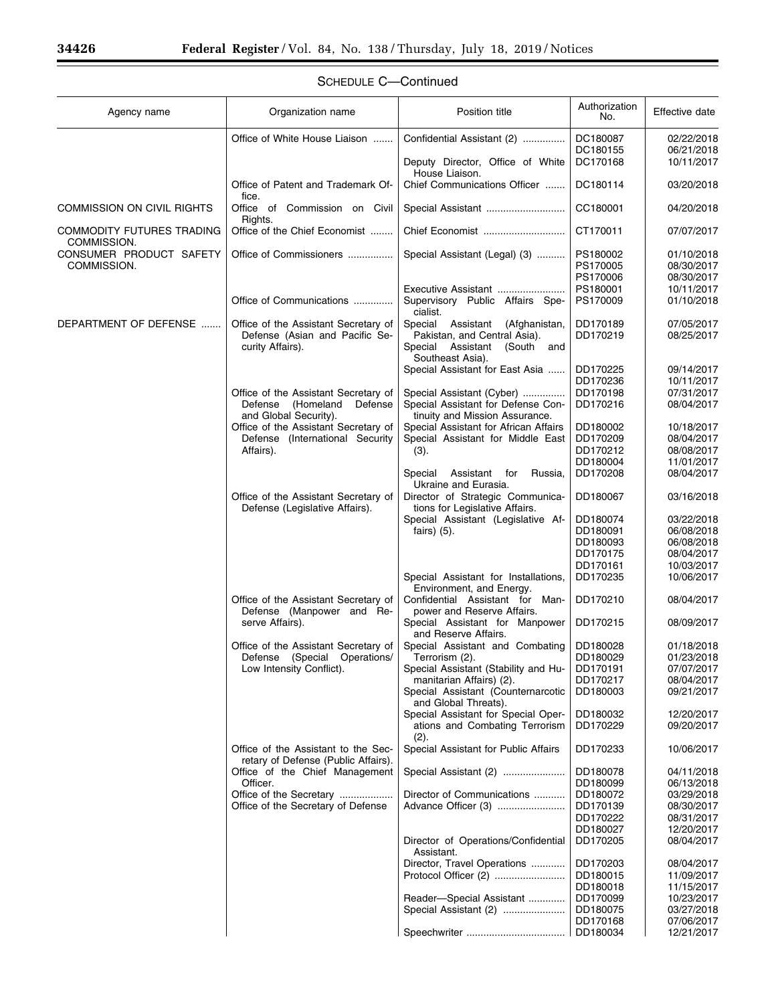| Agency name                              | Organization name                                                                                      | Position title                                                                                              | Authorization<br>No.                         | Effective date                         |
|------------------------------------------|--------------------------------------------------------------------------------------------------------|-------------------------------------------------------------------------------------------------------------|----------------------------------------------|----------------------------------------|
|                                          | Office of White House Liaison                                                                          | Confidential Assistant (2)                                                                                  | DC180087                                     | 02/22/2018                             |
|                                          |                                                                                                        | Deputy Director, Office of White<br>House Liaison.                                                          | DC180155<br>DC170168                         | 06/21/2018<br>10/11/2017               |
|                                          | Office of Patent and Trademark Of-<br>fice.                                                            | Chief Communications Officer                                                                                | DC180114                                     | 03/20/2018                             |
| <b>COMMISSION ON CIVIL RIGHTS</b>        | Office of Commission on Civil<br>Rights.                                                               |                                                                                                             | CC180001                                     | 04/20/2018                             |
| COMMODITY FUTURES TRADING<br>COMMISSION. | Office of the Chief Economist                                                                          | Chief Economist                                                                                             | CT170011                                     | 07/07/2017                             |
| CONSUMER PRODUCT SAFETY<br>COMMISSION.   | Office of Commissioners                                                                                | Special Assistant (Legal) (3)                                                                               | PS180002<br>PS170005                         | 01/10/2018<br>08/30/2017               |
|                                          | Office of Communications                                                                               | Executive Assistant<br>Supervisory Public Affairs Spe-<br>cialist.                                          | PS170006<br>PS180001<br>PS170009             | 08/30/2017<br>10/11/2017<br>01/10/2018 |
| DEPARTMENT OF DEFENSE                    | Office of the Assistant Secretary of<br>Defense (Asian and Pacific Se-<br>curity Affairs).             | Special<br>Assistant<br>(Afghanistan,<br>Pakistan, and Central Asia).<br>(South and<br>Special<br>Assistant | DD170189<br>DD170219                         | 07/05/2017<br>08/25/2017               |
|                                          |                                                                                                        | Southeast Asia).<br>Special Assistant for East Asia                                                         | DD170225<br>DD170236                         | 09/14/2017<br>10/11/2017               |
|                                          | Office of the Assistant Secretary of<br>(Homeland<br>Defense<br>Defense<br>and Global Security).       | Special Assistant (Cyber)<br>Special Assistant for Defense Con-<br>tinuity and Mission Assurance.           | DD170198<br>DD170216                         | 07/31/2017<br>08/04/2017               |
|                                          | Office of the Assistant Secretary of<br>Defense (International Security<br>Affairs).                   | Special Assistant for African Affairs<br>Special Assistant for Middle East<br>(3).                          | DD180002<br>DD170209<br>DD170212             | 10/18/2017<br>08/04/2017<br>08/08/2017 |
|                                          |                                                                                                        | Special<br>Assistant<br>for<br>Russia,<br>Ukraine and Eurasia.                                              | DD180004<br>DD170208                         | 11/01/2017<br>08/04/2017               |
|                                          | Office of the Assistant Secretary of<br>Defense (Legislative Affairs).                                 | Director of Strategic Communica-<br>tions for Legislative Affairs.                                          | DD180067                                     | 03/16/2018                             |
|                                          |                                                                                                        | Special Assistant (Legislative Af-<br>fairs $(5)$ .                                                         | DD180074<br>DD180091                         | 03/22/2018<br>06/08/2018               |
|                                          |                                                                                                        |                                                                                                             | DD180093<br>DD170175                         | 06/08/2018<br>08/04/2017               |
|                                          |                                                                                                        | Special Assistant for Installations,<br>Environment, and Energy.                                            | DD170161<br>DD170235                         | 10/03/2017<br>10/06/2017               |
|                                          | Office of the Assistant Secretary of<br>Defense (Manpower and Re-                                      | Confidential Assistant for Man-<br>power and Reserve Affairs.                                               | DD170210                                     | 08/04/2017                             |
|                                          | serve Affairs).                                                                                        | Special Assistant for Manpower<br>and Reserve Affairs.                                                      | DD170215                                     | 08/09/2017                             |
|                                          | Office of the Assistant Secretary of<br>Defense<br>(Special<br>Operations/<br>Low Intensity Conflict). | Special Assistant and Combating<br>Terrorism (2).<br>Special Assistant (Stability and Hu-                   | DD180028<br>DD180029<br>DD170191<br>DD170217 | 01/18/2018<br>01/23/2018<br>07/07/2017 |
|                                          |                                                                                                        | manitarian Affairs) (2).<br>Special Assistant (Counternarcotic<br>and Global Threats).                      | DD180003                                     | 08/04/2017<br>09/21/2017               |
|                                          |                                                                                                        | Special Assistant for Special Oper-<br>ations and Combating Terrorism<br>(2).                               | DD180032<br>DD170229                         | 12/20/2017<br>09/20/2017               |
|                                          | Office of the Assistant to the Sec-<br>retary of Defense (Public Affairs).                             | Special Assistant for Public Affairs                                                                        | DD170233                                     | 10/06/2017                             |
|                                          | Office of the Chief Management<br>Officer.                                                             | Special Assistant (2)                                                                                       | DD180078<br>DD180099                         | 04/11/2018<br>06/13/2018               |
|                                          | Office of the Secretary<br>Office of the Secretary of Defense                                          | Director of Communications<br>Advance Officer (3)                                                           | DD180072<br>DD170139<br>DD170222             | 03/29/2018<br>08/30/2017<br>08/31/2017 |
|                                          |                                                                                                        | Director of Operations/Confidential<br>Assistant.                                                           | DD180027<br>DD170205                         | 12/20/2017<br>08/04/2017               |
|                                          |                                                                                                        | Director, Travel Operations<br>Protocol Officer (2)                                                         | DD170203<br>DD180015<br>DD180018             | 08/04/2017<br>11/09/2017<br>11/15/2017 |
|                                          |                                                                                                        | Reader-Special Assistant<br>Special Assistant (2)                                                           | DD170099<br>DD180075<br>DD170168             | 10/23/2017<br>03/27/2018<br>07/06/2017 |
|                                          |                                                                                                        |                                                                                                             | DD180034                                     | 12/21/2017                             |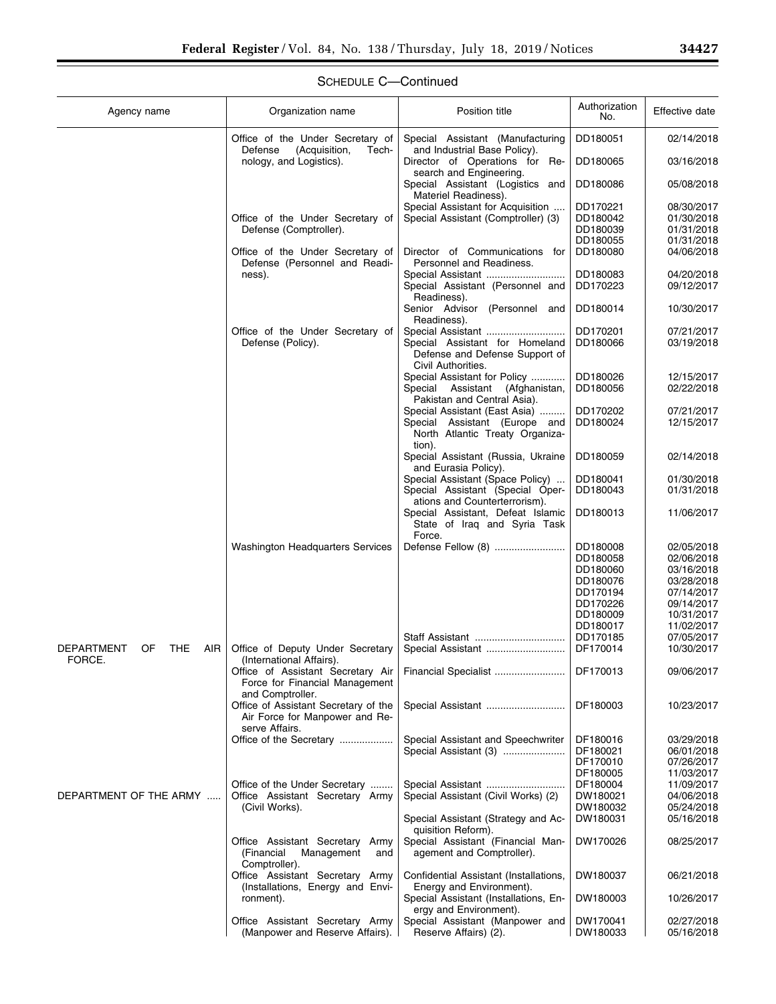▀

| Agency name                    | Organization name                                                      | Position title                                                                         | Authorization<br>No. | Effective date |
|--------------------------------|------------------------------------------------------------------------|----------------------------------------------------------------------------------------|----------------------|----------------|
|                                | Office of the Under Secretary of<br>Defense<br>(Acquisition,<br>Tech-  | Special Assistant (Manufacturing<br>and Industrial Base Policy).                       | DD180051             | 02/14/2018     |
|                                | nology, and Logistics).                                                | Director of Operations for Re-<br>search and Engineering.                              | DD180065             | 03/16/2018     |
|                                |                                                                        | Special Assistant (Logistics and<br>Materiel Readiness).                               | DD180086             | 05/08/2018     |
|                                |                                                                        | Special Assistant for Acquisition                                                      | DD170221             | 08/30/2017     |
|                                | Office of the Under Secretary of                                       |                                                                                        |                      | 01/30/2018     |
|                                |                                                                        | Special Assistant (Comptroller) (3)                                                    | DD180042             |                |
|                                | Defense (Comptroller).                                                 |                                                                                        | DD180039             | 01/31/2018     |
|                                |                                                                        |                                                                                        | DD180055             | 01/31/2018     |
|                                | Office of the Under Secretary of<br>Defense (Personnel and Readi-      | Director of Communications for<br>Personnel and Readiness.                             | DD180080             | 04/06/2018     |
|                                | ness).                                                                 | Special Assistant                                                                      | DD180083             | 04/20/2018     |
|                                |                                                                        | Special Assistant (Personnel and<br>Readiness).                                        | DD170223             | 09/12/2017     |
|                                |                                                                        | Senior Advisor (Personnel and<br>Readiness).                                           | DD180014             | 10/30/2017     |
|                                | Office of the Under Secretary of                                       | Special Assistant                                                                      | DD170201             | 07/21/2017     |
|                                |                                                                        |                                                                                        |                      |                |
|                                | Defense (Policy).                                                      | Special Assistant for Homeland<br>Defense and Defense Support of<br>Civil Authorities. | DD180066             | 03/19/2018     |
|                                |                                                                        | Special Assistant for Policy                                                           | DD180026             | 12/15/2017     |
|                                |                                                                        | Special Assistant (Afghanistan,<br>Pakistan and Central Asia).                         | DD180056             | 02/22/2018     |
|                                |                                                                        | Special Assistant (East Asia)                                                          | DD170202             | 07/21/2017     |
|                                |                                                                        | Special Assistant (Europe and                                                          | DD180024             | 12/15/2017     |
|                                |                                                                        | North Atlantic Treaty Organiza-<br>tion).                                              |                      |                |
|                                |                                                                        | Special Assistant (Russia, Ukraine<br>and Eurasia Policy).                             | DD180059             | 02/14/2018     |
|                                |                                                                        | Special Assistant (Space Policy)                                                       | DD180041             | 01/30/2018     |
|                                |                                                                        | Special Assistant (Special Oper-                                                       | DD180043             | 01/31/2018     |
|                                |                                                                        | ations and Counterterrorism).                                                          |                      |                |
|                                |                                                                        | Special Assistant, Defeat Islamic                                                      | DD180013             | 11/06/2017     |
|                                |                                                                        | State of Iraq and Syria Task<br>Force.                                                 |                      |                |
|                                | <b>Washington Headquarters Services</b>                                | Defense Fellow (8)                                                                     | DD180008             | 02/05/2018     |
|                                |                                                                        |                                                                                        |                      |                |
|                                |                                                                        |                                                                                        | DD180058             | 02/06/2018     |
|                                |                                                                        |                                                                                        | DD180060             | 03/16/2018     |
|                                |                                                                        |                                                                                        | DD180076             | 03/28/2018     |
|                                |                                                                        |                                                                                        | DD170194             | 07/14/2017     |
|                                |                                                                        |                                                                                        | DD170226             | 09/14/2017     |
|                                |                                                                        |                                                                                        |                      |                |
|                                |                                                                        |                                                                                        | DD180009             | 10/31/2017     |
|                                |                                                                        |                                                                                        | DD180017             | 11/02/2017     |
|                                |                                                                        | Staff Assistant                                                                        | DD170185             | 07/05/2017     |
| DEPARTMENT<br>OF<br>THE<br>AIR | Office of Deputy Under Secretary                                       | Special Assistant                                                                      | DF170014             | 10/30/2017     |
| FORCE.                         | (International Affairs).                                               |                                                                                        |                      |                |
|                                | Office of Assistant Secretary Air<br>Force for Financial Management    | Financial Specialist                                                                   | DF170013             | 09/06/2017     |
|                                | and Comptroller.                                                       |                                                                                        |                      |                |
|                                | Office of Assistant Secretary of the<br>Air Force for Manpower and Re- |                                                                                        | DF180003             | 10/23/2017     |
|                                | serve Affairs.                                                         |                                                                                        |                      |                |
|                                | Office of the Secretary                                                | Special Assistant and Speechwriter                                                     | DF180016             | 03/29/2018     |
|                                |                                                                        | Special Assistant (3)                                                                  | DF180021             | 06/01/2018     |
|                                |                                                                        |                                                                                        | DF170010             | 07/26/2017     |
|                                |                                                                        |                                                                                        | DF180005             | 11/03/2017     |
|                                | Office of the Under Secretary                                          | Special Assistant                                                                      | DF180004             | 11/09/2017     |
| DEPARTMENT OF THE ARMY         | Office Assistant Secretary Army                                        | Special Assistant (Civil Works) (2)                                                    | DW180021             | 04/06/2018     |
|                                |                                                                        |                                                                                        |                      |                |
|                                | (Civil Works).                                                         |                                                                                        | DW180032             | 05/24/2018     |
|                                |                                                                        | Special Assistant (Strategy and Ac-<br>quisition Reform).                              | DW180031             | 05/16/2018     |
|                                | Office Assistant Secretary Army<br>(Financial<br>Management<br>and     | Special Assistant (Financial Man-<br>agement and Comptroller).                         | DW170026             | 08/25/2017     |
|                                | Comptroller).                                                          |                                                                                        |                      |                |
|                                | Office Assistant Secretary Army                                        | Confidential Assistant (Installations,                                                 | DW180037             | 06/21/2018     |
|                                | (Installations, Energy and Envi-                                       | Energy and Environment).                                                               |                      |                |
|                                | ronment).                                                              | Special Assistant (Installations, En-<br>ergy and Environment).                        | DW180003             | 10/26/2017     |
|                                | Office Assistant Secretary Army                                        | Special Assistant (Manpower and                                                        | DW170041             | 02/27/2018     |
|                                | (Manpower and Reserve Affairs).                                        | Reserve Affairs) (2).                                                                  | DW180033             | 05/16/2018     |
|                                |                                                                        |                                                                                        |                      |                |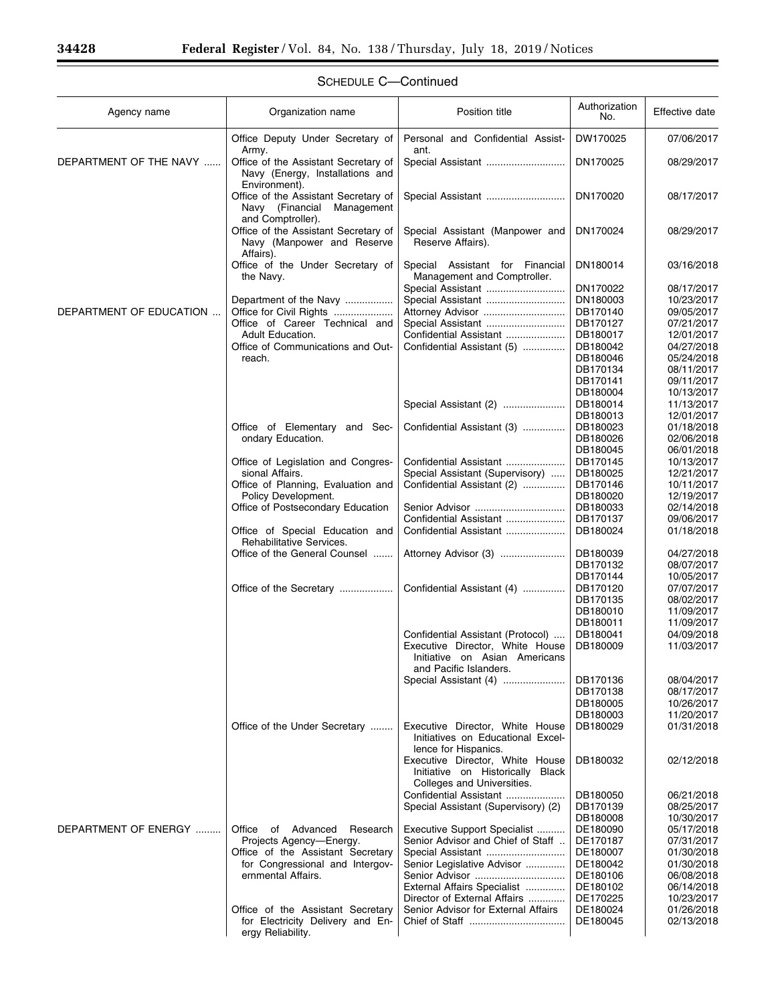| Agency name             | Organization name                                                                                 | Position title                                                                                    | Authorization<br>No. | Effective date           |
|-------------------------|---------------------------------------------------------------------------------------------------|---------------------------------------------------------------------------------------------------|----------------------|--------------------------|
|                         | Office Deputy Under Secretary of                                                                  | Personal and Confidential Assist-                                                                 | DW170025             | 07/06/2017               |
| DEPARTMENT OF THE NAVY  | Army.<br>Office of the Assistant Secretary of<br>Navy (Energy, Installations and<br>Environment). | ant.<br>Special Assistant                                                                         | DN170025             | 08/29/2017               |
|                         | Office of the Assistant Secretary of<br>Navy (Financial<br>Management<br>and Comptroller).        | Special Assistant                                                                                 | DN170020             | 08/17/2017               |
|                         | Office of the Assistant Secretary of<br>Navy (Manpower and Reserve<br>Affairs).                   | Special Assistant (Manpower and<br>Reserve Affairs).                                              | DN170024             | 08/29/2017               |
|                         | Office of the Under Secretary of<br>the Navy.                                                     | Special Assistant for Financial<br>Management and Comptroller.                                    | DN180014             | 03/16/2018               |
|                         |                                                                                                   | Special Assistant                                                                                 | DN170022             | 08/17/2017               |
|                         | Department of the Navy                                                                            | Special Assistant                                                                                 | DN180003             | 10/23/2017               |
| DEPARTMENT OF EDUCATION | Office for Civil Rights                                                                           |                                                                                                   | DB170140             | 09/05/2017               |
|                         | Office of Career Technical and                                                                    | Special Assistant                                                                                 | DB170127             | 07/21/2017               |
|                         | Adult Education.                                                                                  | Confidential Assistant                                                                            | DB180017             | 12/01/2017               |
|                         | Office of Communications and Out-                                                                 | Confidential Assistant (5)                                                                        | DB180042             | 04/27/2018               |
|                         | reach.                                                                                            |                                                                                                   | DB180046             | 05/24/2018               |
|                         |                                                                                                   |                                                                                                   | DB170134             | 08/11/2017               |
|                         |                                                                                                   |                                                                                                   | DB170141             | 09/11/2017               |
|                         |                                                                                                   |                                                                                                   | DB180004             | 10/13/2017               |
|                         |                                                                                                   | Special Assistant (2)                                                                             | DB180014             | 11/13/2017               |
|                         |                                                                                                   |                                                                                                   | DB180013             | 12/01/2017               |
|                         | Office of Elementary and Sec-                                                                     | Confidential Assistant (3)                                                                        | DB180023             | 01/18/2018               |
|                         | ondary Education.                                                                                 |                                                                                                   | DB180026             | 02/06/2018               |
|                         |                                                                                                   |                                                                                                   | DB180045             | 06/01/2018               |
|                         | Office of Legislation and Congres-                                                                | Confidential Assistant                                                                            | DB170145             | 10/13/2017               |
|                         | sional Affairs.                                                                                   | Special Assistant (Supervisory)                                                                   | DB180025             | 12/21/2017               |
|                         | Office of Planning, Evaluation and                                                                | Confidential Assistant (2)                                                                        | DB170146             | 10/11/2017               |
|                         | Policy Development.                                                                               |                                                                                                   | DB180020             | 12/19/2017               |
|                         | Office of Postsecondary Education                                                                 |                                                                                                   | DB180033             | 02/14/2018               |
|                         | Office of Special Education and<br>Rehabilitative Services.                                       | Confidential Assistant<br>Confidential Assistant                                                  | DB170137<br>DB180024 | 09/06/2017<br>01/18/2018 |
|                         | Office of the General Counsel                                                                     | Attorney Advisor (3)                                                                              | DB180039             | 04/27/2018               |
|                         |                                                                                                   |                                                                                                   | DB170132             | 08/07/2017               |
|                         |                                                                                                   |                                                                                                   | DB170144             | 10/05/2017               |
|                         | Office of the Secretary                                                                           | Confidential Assistant (4)                                                                        | DB170120             | 07/07/2017               |
|                         |                                                                                                   |                                                                                                   | DB170135             | 08/02/2017               |
|                         |                                                                                                   |                                                                                                   | DB180010             | 11/09/2017               |
|                         |                                                                                                   |                                                                                                   | DB180011             | 11/09/2017               |
|                         |                                                                                                   | Confidential Assistant (Protocol)                                                                 | DB180041             | 04/09/2018               |
|                         |                                                                                                   | Executive Director, White House<br>Initiative on Asian Americans                                  | DB180009             | 11/03/2017               |
|                         |                                                                                                   | and Pacific Islanders.                                                                            |                      |                          |
|                         |                                                                                                   | Special Assistant (4)                                                                             | DB170136             | 08/04/2017               |
|                         |                                                                                                   |                                                                                                   | DB170138<br>DB180005 | 08/17/2017<br>10/26/2017 |
|                         |                                                                                                   |                                                                                                   | DB180003             | 11/20/2017               |
|                         | Office of the Under Secretary                                                                     | Executive Director, White House                                                                   | DB180029             | 01/31/2018               |
|                         |                                                                                                   | Initiatives on Educational Excel-<br>lence for Hispanics.                                         |                      |                          |
|                         |                                                                                                   | Executive Director, White House<br>Initiative on Historically Black<br>Colleges and Universities. | DB180032             | 02/12/2018               |
|                         |                                                                                                   | Confidential Assistant                                                                            | DB180050             | 06/21/2018               |
|                         |                                                                                                   | Special Assistant (Supervisory) (2)                                                               | DB170139             | 08/25/2017               |
|                         |                                                                                                   |                                                                                                   | DB180008             | 10/30/2017               |
| DEPARTMENT OF ENERGY    | Office<br>of Advanced<br>Research                                                                 | Executive Support Specialist                                                                      | DE180090             | 05/17/2018               |
|                         | Projects Agency-Energy.                                                                           | Senior Advisor and Chief of Staff                                                                 | DE170187             | 07/31/2017               |
|                         | Office of the Assistant Secretary                                                                 | Special Assistant                                                                                 | DE180007             | 01/30/2018               |
|                         | for Congressional and Intergov-                                                                   | Senior Legislative Advisor                                                                        | DE180042             | 01/30/2018               |
|                         | ernmental Affairs.                                                                                | Senior Advisor                                                                                    | DE180106             | 06/08/2018               |
|                         |                                                                                                   | External Affairs Specialist                                                                       | DE180102             | 06/14/2018               |
|                         |                                                                                                   | Director of External Affairs                                                                      | DE170225             | 10/23/2017               |
|                         | Office of the Assistant Secretary                                                                 | Senior Advisor for External Affairs                                                               | DE180024             | 01/26/2018               |
|                         | for Electricity Delivery and En-<br>ergy Reliability.                                             |                                                                                                   | DE180045             | 02/13/2018               |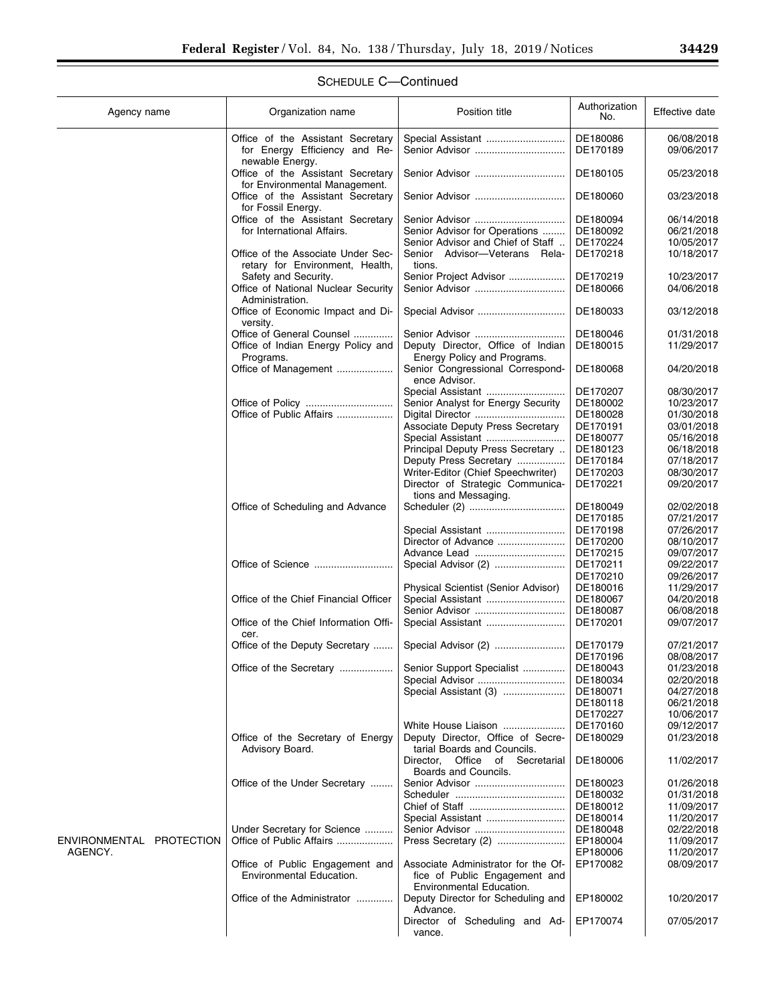EP180002 10/20/2017

EP170074 07/05/2017

| Agency name              | Organization name                                                     | Position title                                                   | Authorization<br>No. | Effective date           |
|--------------------------|-----------------------------------------------------------------------|------------------------------------------------------------------|----------------------|--------------------------|
|                          | Office of the Assistant Secretary<br>for Energy Efficiency and Re-    | Special Assistant<br>Senior Advisor                              | DE180086<br>DE170189 | 06/08/2018<br>09/06/2017 |
|                          | newable Energy.<br>Office of the Assistant Secretary                  |                                                                  | DE180105             | 05/23/2018               |
|                          | for Environmental Management.<br>Office of the Assistant Secretary    |                                                                  | DE180060             | 03/23/2018               |
|                          | for Fossil Energy.<br>Office of the Assistant Secretary               | Senior Advisor                                                   | DE180094             | 06/14/2018               |
|                          | for International Affairs.                                            | Senior Advisor for Operations                                    | DE180092             | 06/21/2018               |
|                          |                                                                       | Senior Advisor and Chief of Staff                                | DE170224             | 10/05/2017               |
|                          | Office of the Associate Under Sec-<br>retary for Environment, Health, | Senior Advisor-Veterans<br>Rela-<br>tions.                       | DE170218             | 10/18/2017               |
|                          | Safety and Security.                                                  | Senior Project Advisor                                           | DE170219             | 10/23/2017               |
|                          | Office of National Nuclear Security<br>Administration.                |                                                                  | DE180066             | 04/06/2018               |
|                          | Office of Economic Impact and Di-<br>versity.                         | Special Advisor                                                  | DE180033             | 03/12/2018               |
|                          | Office of General Counsel                                             |                                                                  | DE180046             | 01/31/2018               |
|                          | Office of Indian Energy Policy and                                    | Deputy Director, Office of Indian                                | DE180015             | 11/29/2017               |
|                          | Programs.                                                             | Energy Policy and Programs.                                      |                      |                          |
|                          | Office of Management                                                  | Senior Congressional Correspond-<br>ence Advisor.                | DE180068             | 04/20/2018               |
|                          |                                                                       | Special Assistant                                                | DE170207             | 08/30/2017               |
|                          |                                                                       | Senior Analyst for Energy Security                               | DE180002             | 10/23/2017               |
|                          | Office of Public Affairs                                              |                                                                  | DE180028             | 01/30/2018               |
|                          |                                                                       | <b>Associate Deputy Press Secretary</b>                          | DE170191             | 03/01/2018               |
|                          |                                                                       | Special Assistant                                                | DE180077             | 05/16/2018               |
|                          |                                                                       | Principal Deputy Press Secretary                                 | DE180123             | 06/18/2018               |
|                          |                                                                       | Deputy Press Secretary                                           | DE170184             | 07/18/2017               |
|                          |                                                                       | Writer-Editor (Chief Speechwriter)                               | DE170203             | 08/30/2017               |
|                          |                                                                       | Director of Strategic Communica-<br>tions and Messaging.         | DE170221             | 09/20/2017               |
|                          | Office of Scheduling and Advance                                      |                                                                  | DE180049             | 02/02/2018               |
|                          |                                                                       |                                                                  | DE170185             | 07/21/2017               |
|                          |                                                                       | Special Assistant                                                | DE170198             | 07/26/2017               |
|                          |                                                                       | Director of Advance                                              | DE170200             | 08/10/2017               |
|                          |                                                                       | Advance Lead                                                     | DE170215             | 09/07/2017               |
|                          | Office of Science                                                     | Special Advisor (2)                                              | DE170211             | 09/22/2017               |
|                          |                                                                       |                                                                  | DE170210             | 09/26/2017               |
|                          |                                                                       | Physical Scientist (Senior Advisor)                              | DE180016             | 11/29/2017               |
|                          | Office of the Chief Financial Officer                                 | Special Assistant                                                | DE180067             | 04/20/2018               |
|                          |                                                                       | Senior Advisor                                                   | DE180087             | 06/08/2018               |
|                          | Office of the Chief Information Offi-<br>cer.                         | Special Assistant                                                | DE170201             | 09/07/2017               |
|                          | Office of the Deputy Secretary                                        | Special Advisor (2)                                              | DE170179             | 07/21/2017               |
|                          |                                                                       |                                                                  | DE170196             | 08/08/2017               |
|                          | Office of the Secretary                                               | Senior Support Specialist                                        | DE180043             | 01/23/2018               |
|                          |                                                                       | Special Advisor                                                  | DE180034             | 02/20/2018               |
|                          |                                                                       | Special Assistant (3)                                            | DE180071             | 04/27/2018               |
|                          |                                                                       |                                                                  | DE180118             | 06/21/2018               |
|                          |                                                                       |                                                                  | DE170227             | 10/06/2017               |
|                          |                                                                       | White House Liaison                                              | DE170160             | 09/12/2017               |
|                          | Office of the Secretary of Energy<br>Advisory Board.                  | Deputy Director, Office of Secre-<br>tarial Boards and Councils. | DE180029             | 01/23/2018               |
|                          |                                                                       | Office of Secretarial<br>Director.<br>Boards and Councils.       | DE180006             | 11/02/2017               |
|                          | Office of the Under Secretary                                         |                                                                  | DE180023             | 01/26/2018               |
|                          |                                                                       |                                                                  | DE180032             | 01/31/2018               |
|                          |                                                                       |                                                                  | DE180012             | 11/09/2017               |
|                          |                                                                       | Special Assistant                                                | DE180014             | 11/20/2017               |
|                          | Under Secretary for Science                                           | Senior Advisor                                                   | DE180048             | 02/22/2018               |
| ENVIRONMENTAL PROTECTION | Office of Public Affairs                                              | Press Secretary (2)                                              | EP180004             | 11/09/2017               |
| AGENCY.                  |                                                                       |                                                                  | EP180006             | 11/20/2017               |
|                          | Office of Public Engagement and                                       | Associate Administrator for the Of-                              | EP170082             | 08/09/2017               |

Office of Public Engagement and Associate Administrator for the Of-

Office of the Administrator ............... Deputy Director for Scheduling and

Advance.

vance.

fice of Public Engagement and Environmental Education.

Director of Scheduling and Ad-

Environmental Education.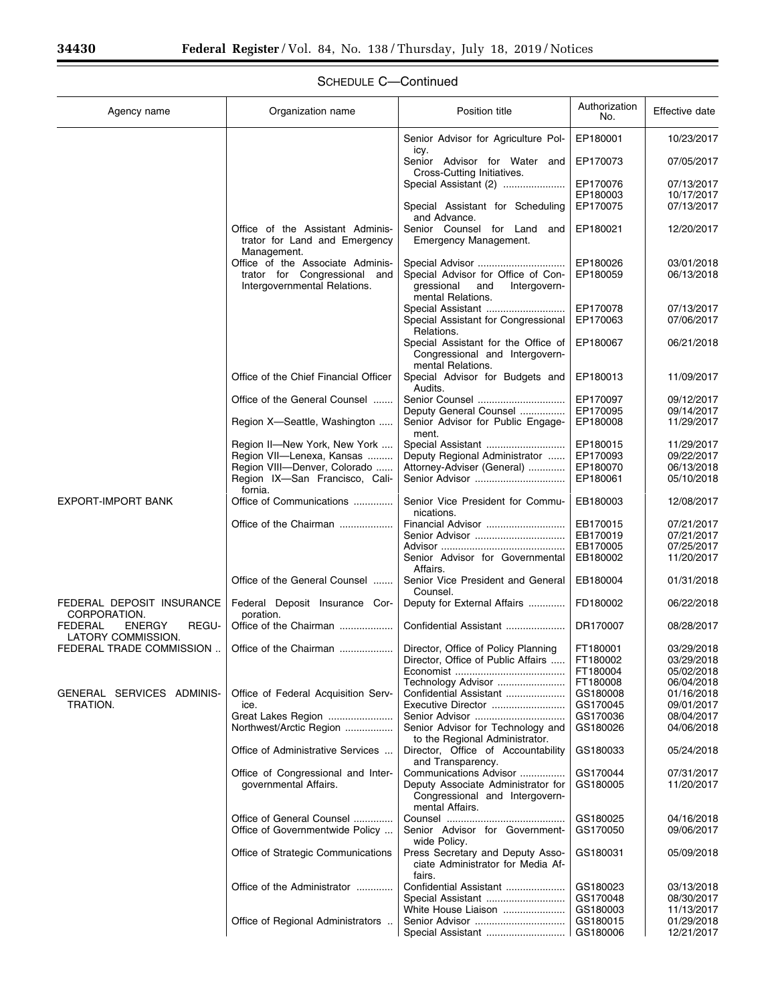۳

| Agency name                                                    | Organization name                                                                | Position title                                                                               | Authorization<br>No. | Effective date           |
|----------------------------------------------------------------|----------------------------------------------------------------------------------|----------------------------------------------------------------------------------------------|----------------------|--------------------------|
|                                                                |                                                                                  | Senior Advisor for Agriculture Pol-                                                          | EP180001             | 10/23/2017               |
|                                                                |                                                                                  | icy.<br>Senior Advisor for Water and<br>Cross-Cutting Initiatives.                           | EP170073             | 07/05/2017               |
|                                                                |                                                                                  | Special Assistant (2)                                                                        | EP170076             | 07/13/2017               |
|                                                                |                                                                                  |                                                                                              | EP180003             | 10/17/2017               |
|                                                                |                                                                                  | Special Assistant for Scheduling                                                             | EP170075             | 07/13/2017               |
|                                                                | Office of the Assistant Adminis-<br>trator for Land and Emergency<br>Management. | and Advance.<br>Senior Counsel for Land and<br>Emergency Management.                         | EP180021             | 12/20/2017               |
|                                                                | Office of the Associate Adminis-                                                 | Special Advisor                                                                              | EP180026             | 03/01/2018               |
|                                                                | trator for Congressional and<br>Intergovernmental Relations.                     | Special Advisor for Office of Con-<br>Intergovern-<br>gressional<br>and<br>mental Relations. | EP180059             | 06/13/2018               |
|                                                                |                                                                                  | Special Assistant                                                                            | EP170078             | 07/13/2017               |
|                                                                |                                                                                  | Special Assistant for Congressional<br>Relations.                                            | EP170063             | 07/06/2017               |
|                                                                |                                                                                  | Special Assistant for the Office of<br>Congressional and Intergovern-<br>mental Relations.   | EP180067             | 06/21/2018               |
|                                                                | Office of the Chief Financial Officer                                            | Special Advisor for Budgets and<br>Audits.                                                   | EP180013             | 11/09/2017               |
|                                                                | Office of the General Counsel                                                    | Senior Counsel                                                                               | EP170097             | 09/12/2017               |
|                                                                |                                                                                  | Deputy General Counsel                                                                       | EP170095             | 09/14/2017               |
|                                                                | Region X-Seattle, Washington                                                     | Senior Advisor for Public Engage-<br>ment.                                                   | EP180008             | 11/29/2017               |
|                                                                | Region II-New York, New York                                                     | Special Assistant                                                                            | EP180015             | 11/29/2017               |
|                                                                | Region VII-Lenexa, Kansas                                                        | Deputy Regional Administrator                                                                | EP170093             | 09/22/2017               |
|                                                                | Region VIII-Denver, Colorado<br>Region IX-San Francisco, Cali-                   | Attorney-Adviser (General)<br>Senior Advisor                                                 | EP180070<br>EP180061 | 06/13/2018<br>05/10/2018 |
|                                                                | fornia.                                                                          |                                                                                              |                      |                          |
| EXPORT-IMPORT BANK                                             | Office of Communications                                                         | Senior Vice President for Commu-<br>nications.                                               | EB180003             | 12/08/2017               |
|                                                                | Office of the Chairman                                                           | Financial Advisor                                                                            | EB170015             | 07/21/2017               |
|                                                                |                                                                                  | Senior Advisor                                                                               | EB170019             | 07/21/2017               |
|                                                                |                                                                                  |                                                                                              | EB170005             | 07/25/2017               |
|                                                                |                                                                                  | Senior Advisor for Governmental<br>Affairs.                                                  | EB180002             | 11/20/2017               |
|                                                                | Office of the General Counsel                                                    | Senior Vice President and General<br>Counsel.                                                | EB180004             | 01/31/2018               |
| FEDERAL DEPOSIT INSURANCE<br>CORPORATION.                      | Federal Deposit Insurance Cor-<br>poration.                                      | Deputy for External Affairs                                                                  | FD180002             | 06/22/2018               |
| REGU-<br><b>FEDERAL</b><br><b>ENERGY</b><br>LATORY COMMISSION. | Office of the Chairman                                                           | Confidential Assistant                                                                       | DR170007             | 08/28/2017               |
| FEDERAL TRADE COMMISSION                                       | Office of the Chairman                                                           | Director, Office of Policy Planning                                                          | FT180001             | 03/29/2018               |
|                                                                |                                                                                  | Director, Office of Public Affairs                                                           | FT180002             | 03/29/2018               |
|                                                                |                                                                                  |                                                                                              | FT180004             | 05/02/2018               |
|                                                                |                                                                                  | Technology Advisor                                                                           | FT180008             | 06/04/2018               |
| GENERAL SERVICES ADMINIS-                                      | Office of Federal Acquisition Serv-                                              | Confidential Assistant                                                                       | GS180008             | 01/16/2018               |
| TRATION.                                                       | ice.                                                                             | Executive Director                                                                           | GS170045             | 09/01/2017               |
|                                                                | Great Lakes Region                                                               |                                                                                              | GS170036             | 08/04/2017               |
|                                                                | Northwest/Arctic Region                                                          | Senior Advisor for Technology and<br>to the Regional Administrator.                          | GS180026             | 04/06/2018               |
|                                                                | Office of Administrative Services                                                | Director, Office of Accountability<br>and Transparency.                                      | GS180033             | 05/24/2018               |
|                                                                | Office of Congressional and Inter-                                               | Communications Advisor                                                                       | GS170044             | 07/31/2017               |
|                                                                | governmental Affairs.                                                            | Deputy Associate Administrator for<br>Congressional and Intergovern-<br>mental Affairs.      | GS180005             | 11/20/2017               |
|                                                                | Office of General Counsel                                                        |                                                                                              | GS180025             | 04/16/2018               |
|                                                                | Office of Governmentwide Policy                                                  | Senior Advisor for Government-<br>wide Policy.                                               | GS170050             | 09/06/2017               |
|                                                                | Office of Strategic Communications                                               | Press Secretary and Deputy Asso-<br>ciate Administrator for Media Af-                        | GS180031             | 05/09/2018               |
|                                                                | Office of the Administrator                                                      | fairs.<br>Confidential Assistant                                                             | GS180023             | 03/13/2018               |
|                                                                |                                                                                  | Special Assistant                                                                            | GS170048             | 08/30/2017               |
|                                                                |                                                                                  | White House Liaison                                                                          | GS180003             | 11/13/2017               |
|                                                                | Office of Regional Administrators                                                |                                                                                              | GS180015             | 01/29/2018               |
|                                                                |                                                                                  | Special Assistant                                                                            | GS180006             | 12/21/2017               |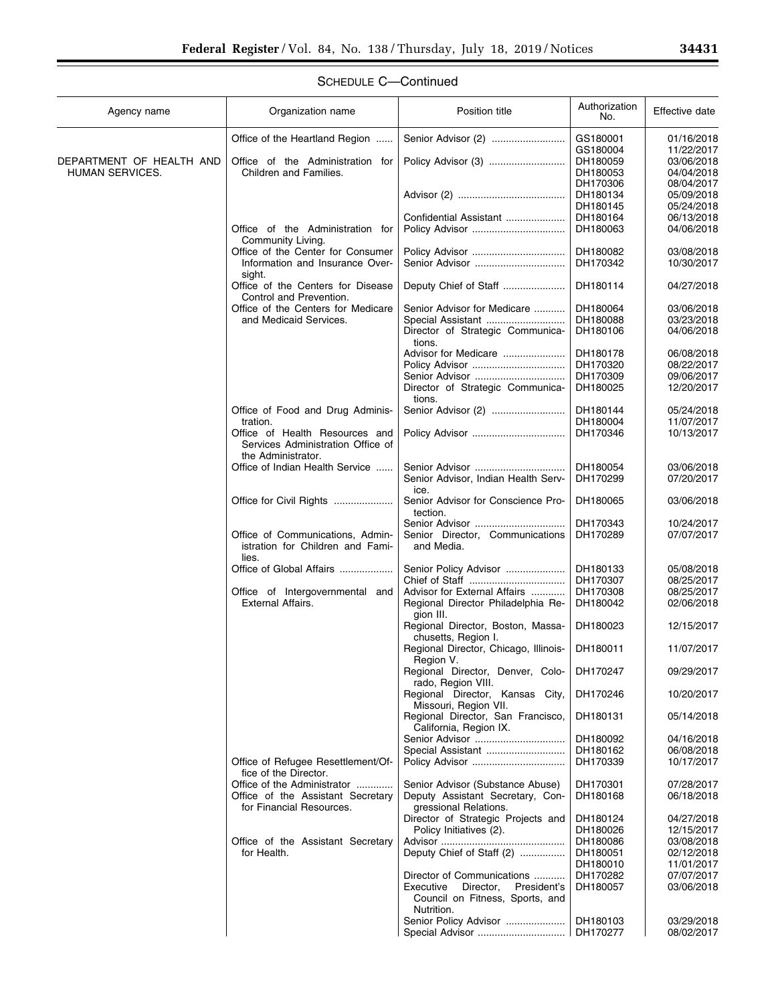▀

| Agency name              | Organization name                                                                         | Position title                                                           | Authorization<br>No. | Effective date           |
|--------------------------|-------------------------------------------------------------------------------------------|--------------------------------------------------------------------------|----------------------|--------------------------|
|                          | Office of the Heartland Region                                                            |                                                                          | GS180001             | 01/16/2018               |
|                          |                                                                                           |                                                                          | GS180004             | 11/22/2017               |
| DEPARTMENT OF HEALTH AND | Office of the Administration for                                                          |                                                                          | DH180059             | 03/06/2018               |
| HUMAN SERVICES.          | Children and Families.                                                                    |                                                                          | DH180053             | 04/04/2018               |
|                          |                                                                                           |                                                                          | DH170306             | 08/04/2017               |
|                          |                                                                                           |                                                                          | DH180134             | 05/09/2018               |
|                          |                                                                                           |                                                                          | DH180145             | 05/24/2018               |
|                          |                                                                                           | Confidential Assistant                                                   | DH180164             | 06/13/2018               |
|                          | Office of the Administration for                                                          |                                                                          | DH180063             | 04/06/2018               |
|                          | Community Living.<br>Office of the Center for Consumer                                    |                                                                          |                      | 03/08/2018               |
|                          | Information and Insurance Over-                                                           | Senior Advisor                                                           | DH180082<br>DH170342 | 10/30/2017               |
|                          | sight.                                                                                    |                                                                          |                      |                          |
|                          | Office of the Centers for Disease<br>Control and Prevention.                              | Deputy Chief of Staff                                                    | DH180114             | 04/27/2018               |
|                          | Office of the Centers for Medicare                                                        | Senior Advisor for Medicare                                              | DH180064             | 03/06/2018               |
|                          | and Medicaid Services.                                                                    | Special Assistant                                                        | DH180088             | 03/23/2018               |
|                          |                                                                                           | Director of Strategic Communica-                                         | DH180106             | 04/06/2018               |
|                          |                                                                                           | tions.                                                                   |                      |                          |
|                          |                                                                                           | Advisor for Medicare                                                     | DH180178             | 06/08/2018               |
|                          |                                                                                           |                                                                          | DH170320             | 08/22/2017               |
|                          |                                                                                           | Senior Advisor                                                           | DH170309             | 09/06/2017               |
|                          |                                                                                           | Director of Strategic Communica-                                         | DH180025             | 12/20/2017               |
|                          |                                                                                           | tions.                                                                   |                      |                          |
|                          | Office of Food and Drug Adminis-                                                          | Senior Advisor (2)                                                       | DH180144             | 05/24/2018               |
|                          | tration.                                                                                  |                                                                          | DH180004             | 11/07/2017               |
|                          | Office of Health Resources and<br>Services Administration Office of<br>the Administrator. |                                                                          | DH170346             | 10/13/2017               |
|                          | Office of Indian Health Service                                                           | Senior Advisor                                                           | DH180054             | 03/06/2018               |
|                          |                                                                                           | Senior Advisor, Indian Health Serv-                                      | DH170299             | 07/20/2017               |
|                          |                                                                                           | ice.                                                                     |                      |                          |
|                          | Office for Civil Rights                                                                   | Senior Advisor for Conscience Pro-<br>tection.                           | DH180065             | 03/06/2018               |
|                          |                                                                                           | Senior Advisor                                                           | DH170343             | 10/24/2017               |
|                          | Office of Communications, Admin-<br>istration for Children and Fami-                      | Senior Director, Communications<br>and Media.                            | DH170289             | 07/07/2017               |
|                          | lies.                                                                                     |                                                                          |                      |                          |
|                          | Office of Global Affairs                                                                  | Senior Policy Advisor                                                    | DH180133             | 05/08/2018               |
|                          |                                                                                           |                                                                          | DH170307             | 08/25/2017               |
|                          | Office of Intergovernmental and<br><b>External Affairs.</b>                               | Advisor for External Affairs<br>Regional Director Philadelphia Re-       | DH170308<br>DH180042 | 08/25/2017<br>02/06/2018 |
|                          |                                                                                           | gion III.                                                                |                      |                          |
|                          |                                                                                           | Regional Director, Boston, Massa-<br>chusetts, Region I.                 | DH180023             | 12/15/2017               |
|                          |                                                                                           | Regional Director, Chicago, Illinois-                                    | DH180011             | 11/07/2017               |
|                          |                                                                                           | Region V.                                                                |                      |                          |
|                          |                                                                                           | Regional Director, Denver, Colo-<br>rado, Region VIII.                   | DH170247             | 09/29/2017               |
|                          |                                                                                           | Regional Director, Kansas City,<br>Missouri, Region VII.                 | DH170246             | 10/20/2017               |
|                          |                                                                                           | Regional Director, San Francisco,<br>California, Region IX.              | DH180131             | 05/14/2018               |
|                          |                                                                                           | Senior Advisor                                                           | DH180092             | 04/16/2018               |
|                          |                                                                                           | Special Assistant                                                        | DH180162             | 06/08/2018               |
|                          | Office of Refugee Resettlement/Of-<br>fice of the Director.                               |                                                                          | DH170339             | 10/17/2017               |
|                          | Office of the Administrator                                                               | Senior Advisor (Substance Abuse)                                         | DH170301             | 07/28/2017               |
|                          | Office of the Assistant Secretary                                                         | Deputy Assistant Secretary, Con-                                         | DH180168             | 06/18/2018               |
|                          | for Financial Resources.                                                                  | gressional Relations.                                                    |                      |                          |
|                          |                                                                                           | Director of Strategic Projects and                                       | DH180124             | 04/27/2018               |
|                          |                                                                                           | Policy Initiatives (2).                                                  | DH180026             | 12/15/2017               |
|                          | Office of the Assistant Secretary                                                         |                                                                          | DH180086             | 03/08/2018               |
|                          | for Health.                                                                               | Deputy Chief of Staff (2)                                                | DH180051             | 02/12/2018               |
|                          |                                                                                           |                                                                          | DH180010             | 11/01/2017               |
|                          |                                                                                           | Director of Communications                                               | DH170282             | 07/07/2017               |
|                          |                                                                                           | Executive<br>Director,<br>President's<br>Council on Fitness, Sports, and | DH180057             | 03/06/2018               |
|                          |                                                                                           | Nutrition.                                                               |                      |                          |
|                          |                                                                                           | Senior Policy Advisor                                                    | DH180103<br>DH170277 | 03/29/2018               |
|                          |                                                                                           |                                                                          |                      | 08/02/2017               |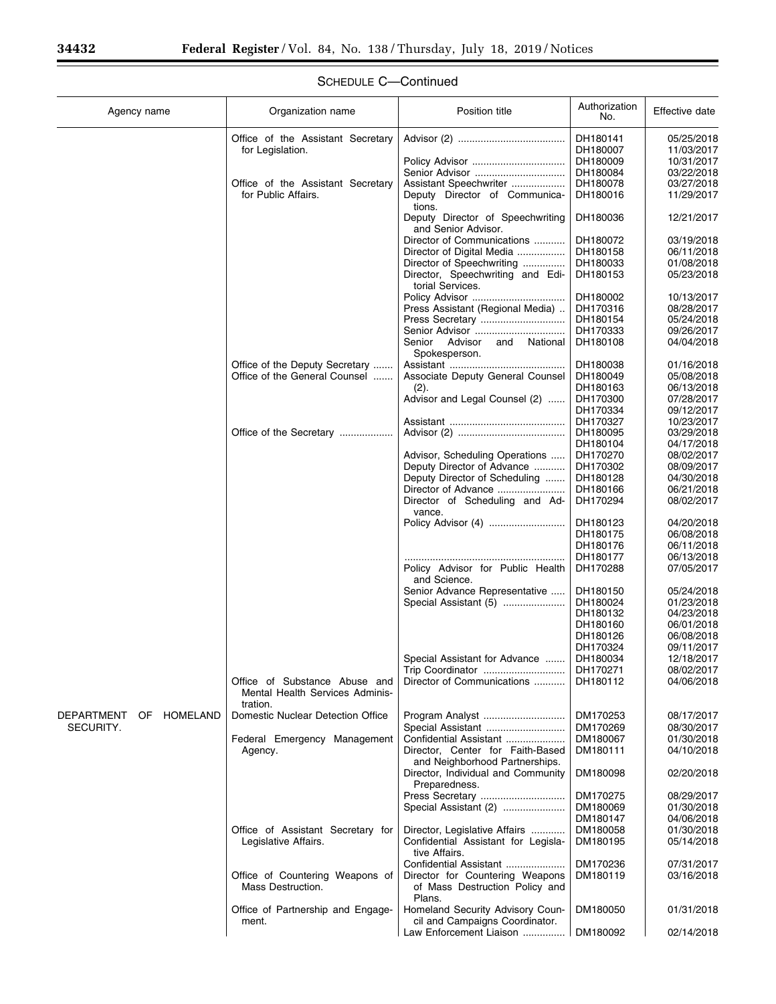۰

| Agency name               | Organization name                                                | Position title                                                       | Authorization<br>No. | Effective date           |
|---------------------------|------------------------------------------------------------------|----------------------------------------------------------------------|----------------------|--------------------------|
|                           | Office of the Assistant Secretary                                |                                                                      | DH180141             | 05/25/2018               |
|                           | for Legislation.                                                 |                                                                      | DH180007             | 11/03/2017               |
|                           |                                                                  |                                                                      | DH180009             | 10/31/2017               |
|                           |                                                                  | Senior Advisor                                                       | DH180084             | 03/22/2018               |
|                           | Office of the Assistant Secretary                                | Assistant Speechwriter                                               | DH180078             | 03/27/2018               |
|                           | for Public Affairs.                                              | Deputy Director of Communica-<br>tions.                              | DH180016             | 11/29/2017               |
|                           |                                                                  | Deputy Director of Speechwriting<br>and Senior Advisor.              | DH180036             | 12/21/2017               |
|                           |                                                                  | Director of Communications                                           | DH180072             | 03/19/2018               |
|                           |                                                                  | Director of Digital Media                                            | DH180158             | 06/11/2018               |
|                           |                                                                  | Director of Speechwriting                                            | DH180033             | 01/08/2018               |
|                           |                                                                  | Director, Speechwriting and Edi-<br>torial Services.                 | DH180153             | 05/23/2018               |
|                           |                                                                  |                                                                      | DH180002             | 10/13/2017               |
|                           |                                                                  | Press Assistant (Regional Media)                                     | DH170316             | 08/28/2017               |
|                           |                                                                  | Press Secretary                                                      | DH180154             | 05/24/2018               |
|                           |                                                                  | Senior Advisor                                                       | DH170333             | 09/26/2017               |
|                           |                                                                  | Senior Advisor<br>and National<br>Spokesperson.                      | DH180108             | 04/04/2018               |
|                           | Office of the Deputy Secretary<br>Office of the General Counsel  | Associate Deputy General Counsel                                     | DH180038<br>DH180049 | 01/16/2018<br>05/08/2018 |
|                           |                                                                  | (2).                                                                 | DH180163             | 06/13/2018               |
|                           |                                                                  | Advisor and Legal Counsel (2)                                        | DH170300             | 07/28/2017               |
|                           |                                                                  |                                                                      | DH170334             | 09/12/2017               |
|                           |                                                                  |                                                                      | DH170327             | 10/23/2017               |
|                           | Office of the Secretary                                          |                                                                      | DH180095             | 03/29/2018               |
|                           |                                                                  |                                                                      | DH180104             | 04/17/2018               |
|                           |                                                                  | Advisor, Scheduling Operations                                       | DH170270             | 08/02/2017               |
|                           |                                                                  | Deputy Director of Advance                                           | DH170302             | 08/09/2017               |
|                           |                                                                  | Deputy Director of Scheduling                                        | DH180128             | 04/30/2018               |
|                           |                                                                  | Director of Advance                                                  | DH180166             | 06/21/2018               |
|                           |                                                                  | Director of Scheduling and Ad-<br>vance.                             | DH170294             | 08/02/2017               |
|                           |                                                                  |                                                                      | DH180123             | 04/20/2018               |
|                           |                                                                  |                                                                      | DH180175             | 06/08/2018               |
|                           |                                                                  |                                                                      | DH180176             | 06/11/2018               |
|                           |                                                                  |                                                                      | DH180177             | 06/13/2018               |
|                           |                                                                  | Policy Advisor for Public Health<br>and Science.                     | DH170288             | 07/05/2017               |
|                           |                                                                  | Senior Advance Representative                                        | DH180150             | 05/24/2018               |
|                           |                                                                  | Special Assistant (5)                                                | DH180024<br>DH180132 | 01/23/2018<br>04/23/2018 |
|                           |                                                                  |                                                                      | DH180160             | 06/01/2018               |
|                           |                                                                  |                                                                      | DH180126             | 06/08/2018               |
|                           |                                                                  |                                                                      | DH170324             | 09/11/2017               |
|                           |                                                                  | Special Assistant for Advance                                        | DH180034             | 12/18/2017               |
|                           |                                                                  | Trip Coordinator                                                     | DH170271             | 08/02/2017               |
|                           | Office of Substance Abuse and<br>Mental Health Services Adminis- | Director of Communications                                           | DH180112             | 04/06/2018               |
|                           | tration.                                                         |                                                                      |                      |                          |
| DEPARTMENT<br>OF HOMELAND | Domestic Nuclear Detection Office                                | Program Analyst                                                      | DM170253             | 08/17/2017               |
| SECURITY.                 |                                                                  | Special Assistant                                                    | DM170269             | 08/30/2017               |
|                           | Federal Emergency Management<br>Agency.                          | Confidential Assistant<br>Director, Center for Faith-Based           | DM180067<br>DM180111 | 01/30/2018<br>04/10/2018 |
|                           |                                                                  | and Neighborhood Partnerships.<br>Director, Individual and Community | DM180098             | 02/20/2018               |
|                           |                                                                  | Preparedness.<br>Press Secretary                                     | DM170275             | 08/29/2017               |
|                           |                                                                  | Special Assistant (2)                                                | DM180069             | 01/30/2018               |
|                           |                                                                  |                                                                      | DM180147             | 04/06/2018               |
|                           | Office of Assistant Secretary for                                | Director, Legislative Affairs                                        | DM180058             | 01/30/2018               |
|                           | Legislative Affairs.                                             | Confidential Assistant for Legisla-<br>tive Affairs.                 | DM180195             | 05/14/2018               |
|                           |                                                                  | Confidential Assistant                                               | DM170236             | 07/31/2017               |
|                           | Office of Countering Weapons of<br>Mass Destruction.             | Director for Countering Weapons<br>of Mass Destruction Policy and    | DM180119             | 03/16/2018               |
|                           | Office of Partnership and Engage-                                | Plans.<br>Homeland Security Advisory Coun-                           | DM180050             | 01/31/2018               |
|                           | ment.                                                            | cil and Campaigns Coordinator.<br>Law Enforcement Liaison            | DM180092             | 02/14/2018               |
|                           |                                                                  |                                                                      |                      |                          |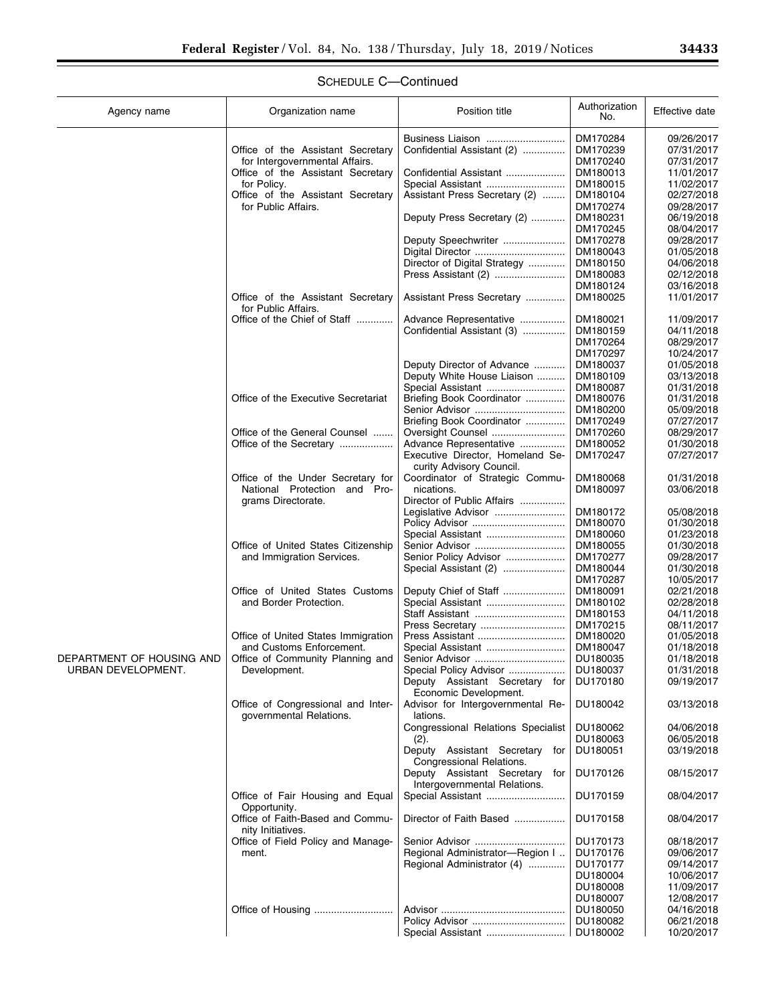e<br>B

| Agency name               | Organization name                                             | Position title                                                         | Authorization<br>No. | Effective date           |
|---------------------------|---------------------------------------------------------------|------------------------------------------------------------------------|----------------------|--------------------------|
|                           | Office of the Assistant Secretary                             | Business Liaison<br>Confidential Assistant (2)                         | DM170284<br>DM170239 | 09/26/2017<br>07/31/2017 |
|                           | for Intergovernmental Affairs.                                |                                                                        | DM170240             | 07/31/2017               |
|                           | Office of the Assistant Secretary                             | Confidential Assistant                                                 | DM180013             | 11/01/2017               |
|                           | for Policy.                                                   | Special Assistant                                                      | DM180015             | 11/02/2017               |
|                           | Office of the Assistant Secretary                             | Assistant Press Secretary (2)                                          | DM180104             | 02/27/2018               |
|                           | for Public Affairs.                                           |                                                                        | DM170274             | 09/28/2017               |
|                           |                                                               | Deputy Press Secretary (2)                                             | DM180231             | 06/19/2018               |
|                           |                                                               |                                                                        | DM170245             | 08/04/2017               |
|                           |                                                               | Deputy Speechwriter                                                    | DM170278             | 09/28/2017               |
|                           |                                                               |                                                                        | DM180043             | 01/05/2018               |
|                           |                                                               | Director of Digital Strategy                                           | DM180150             | 04/06/2018               |
|                           |                                                               |                                                                        | DM180083             | 02/12/2018               |
|                           |                                                               |                                                                        | DM180124             | 03/16/2018               |
|                           | Office of the Assistant Secretary                             | Assistant Press Secretary                                              | DM180025             | 11/01/2017               |
|                           | for Public Affairs.                                           |                                                                        |                      |                          |
|                           | Office of the Chief of Staff                                  | Advance Representative                                                 | DM180021             | 11/09/2017               |
|                           |                                                               | Confidential Assistant (3)                                             | DM180159             | 04/11/2018               |
|                           |                                                               |                                                                        | DM170264             | 08/29/2017               |
|                           |                                                               |                                                                        | DM170297             | 10/24/2017               |
|                           |                                                               | Deputy Director of Advance                                             | DM180037             | 01/05/2018               |
|                           |                                                               | Deputy White House Liaison                                             | DM180109             | 03/13/2018<br>01/31/2018 |
|                           | Office of the Executive Secretariat                           | Special Assistant                                                      | DM180087             |                          |
|                           |                                                               | Briefing Book Coordinator<br>Senior Advisor                            | DM180076<br>DM180200 | 01/31/2018<br>05/09/2018 |
|                           |                                                               | Briefing Book Coordinator                                              | DM170249             | 07/27/2017               |
|                           | Office of the General Counsel                                 | Oversight Counsel                                                      | DM170260             | 08/29/2017               |
|                           | Office of the Secretary                                       | Advance Representative                                                 | DM180052             | 01/30/2018               |
|                           |                                                               | Executive Director, Homeland Se-                                       | DM170247             | 07/27/2017               |
|                           |                                                               | curity Advisory Council.                                               |                      |                          |
|                           | Office of the Under Secretary for                             | Coordinator of Strategic Commu-                                        | DM180068             | 01/31/2018               |
|                           | National Protection<br>and Pro-                               | nications.                                                             | DM180097             | 03/06/2018               |
|                           | grams Directorate.                                            | Director of Public Affairs                                             |                      |                          |
|                           |                                                               | Legislative Advisor                                                    | DM180172             | 05/08/2018               |
|                           |                                                               |                                                                        | DM180070             | 01/30/2018               |
|                           |                                                               | Special Assistant                                                      | DM180060             | 01/23/2018               |
|                           | Office of United States Citizenship                           | Senior Advisor                                                         | DM180055             | 01/30/2018               |
|                           | and Immigration Services.                                     | Senior Policy Advisor                                                  | DM170277             | 09/28/2017               |
|                           |                                                               | Special Assistant (2)                                                  | DM180044             | 01/30/2018               |
|                           |                                                               |                                                                        | DM170287             | 10/05/2017               |
|                           | Office of United States Customs                               | Deputy Chief of Staff                                                  | DM180091             | 02/21/2018               |
|                           | and Border Protection.                                        | Special Assistant                                                      | DM180102             | 02/28/2018               |
|                           |                                                               |                                                                        | DM180153             | 04/11/2018               |
|                           |                                                               | Press Secretary                                                        | DM170215             | 08/11/2017               |
|                           | Office of United States Immigration                           |                                                                        | DM180020             | 01/05/2018               |
|                           | and Customs Enforcement.                                      |                                                                        | DM180047             | 01/18/2018               |
| DEPARTMENT OF HOUSING AND | Office of Community Planning and                              | Senior Advisor                                                         | DU180035             | 01/18/2018               |
| URBAN DEVELOPMENT.        | Development.                                                  | Special Policy Advisor                                                 | DU180037             | 01/31/2018               |
|                           |                                                               | Deputy Assistant Secretary for                                         | DU170180             | 09/19/2017               |
|                           | Office of Congressional and Inter-<br>governmental Relations. | Economic Development.<br>Advisor for Intergovernmental Re-<br>lations. | DU180042             | 03/13/2018               |
|                           |                                                               | Congressional Relations Specialist                                     | DU180062             | 04/06/2018               |
|                           |                                                               | (2).                                                                   | DU180063             | 06/05/2018               |
|                           |                                                               | Deputy Assistant Secretary for<br>Congressional Relations.             | DU180051             | 03/19/2018               |
|                           |                                                               | Deputy Assistant Secretary<br>for<br>Intergovernmental Relations.      | DU170126             | 08/15/2017               |
|                           | Office of Fair Housing and Equal<br>Opportunity.              |                                                                        | DU170159             | 08/04/2017               |
|                           | Office of Faith-Based and Commu-<br>nity Initiatives.         | Director of Faith Based                                                | DU170158             | 08/04/2017               |
|                           | Office of Field Policy and Manage-                            |                                                                        | DU170173             | 08/18/2017               |
|                           | ment.                                                         | Regional Administrator-Region I                                        | DU170176             | 09/06/2017               |
|                           |                                                               | Regional Administrator (4)                                             | DU170177             | 09/14/2017               |
|                           |                                                               |                                                                        | DU180004             | 10/06/2017               |
|                           |                                                               |                                                                        | DU180008             | 11/09/2017               |
|                           |                                                               |                                                                        | DU180007             | 12/08/2017               |
|                           | Office of Housing                                             |                                                                        | DU180050             | 04/16/2018               |
|                           |                                                               |                                                                        | DU180082             | 06/21/2018               |
|                           |                                                               |                                                                        | DU180002             | 10/20/2017               |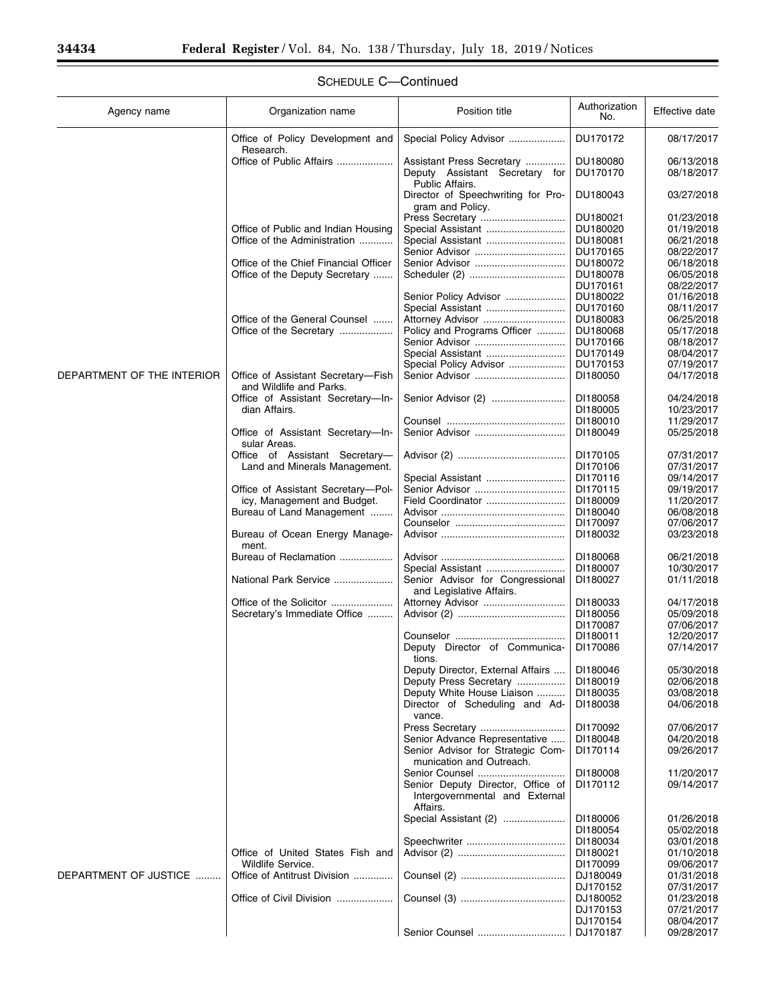| Agency name                | Organization name                                                       | Position title                                                                 | Authorization<br>No. | Effective date           |
|----------------------------|-------------------------------------------------------------------------|--------------------------------------------------------------------------------|----------------------|--------------------------|
|                            | Office of Policy Development and<br>Research.                           | Special Policy Advisor                                                         | DU170172             | 08/17/2017               |
|                            | Office of Public Affairs                                                | Assistant Press Secretary<br>Deputy Assistant Secretary for<br>Public Affairs. | DU180080<br>DU170170 | 06/13/2018<br>08/18/2017 |
|                            |                                                                         | Director of Speechwriting for Pro-<br>gram and Policy.                         | DU180043             | 03/27/2018               |
|                            |                                                                         | Press Secretary                                                                | DU180021             | 01/23/2018               |
|                            | Office of Public and Indian Housing                                     | Special Assistant                                                              | DU180020             | 01/19/2018               |
|                            | Office of the Administration                                            | Special Assistant                                                              | DU180081             | 06/21/2018               |
|                            |                                                                         | Senior Advisor                                                                 | DU170165             | 08/22/2017<br>06/18/2018 |
|                            | Office of the Chief Financial Officer<br>Office of the Deputy Secretary |                                                                                | DU180072<br>DU180078 | 06/05/2018               |
|                            |                                                                         |                                                                                | DU170161             | 08/22/2017               |
|                            |                                                                         | Senior Policy Advisor                                                          | DU180022             | 01/16/2018               |
|                            |                                                                         | Special Assistant                                                              | DU170160             | 08/11/2017               |
|                            | Office of the General Counsel                                           | Attorney Advisor                                                               | DU180083             | 06/25/2018               |
|                            | Office of the Secretary                                                 | Policy and Programs Officer                                                    | DU180068             | 05/17/2018               |
|                            |                                                                         | Senior Advisor                                                                 | DU170166             | 08/18/2017               |
|                            |                                                                         | Special Policy Advisor                                                         | DU170149<br>DU170153 | 08/04/2017<br>07/19/2017 |
| DEPARTMENT OF THE INTERIOR | Office of Assistant Secretary-Fish                                      |                                                                                | DI180050             | 04/17/2018               |
|                            | and Wildlife and Parks.                                                 |                                                                                |                      |                          |
|                            | Office of Assistant Secretary-In-                                       | Senior Advisor (2)                                                             | DI180058             | 04/24/2018               |
|                            | dian Affairs.                                                           |                                                                                | DI180005             | 10/23/2017               |
|                            |                                                                         |                                                                                | DI180010             | 11/29/2017               |
|                            | Office of Assistant Secretary-In-<br>sular Areas.                       |                                                                                | DI180049             | 05/25/2018               |
|                            | Office of Assistant Secretary-                                          |                                                                                | DI170105             | 07/31/2017               |
|                            | Land and Minerals Management.                                           |                                                                                | DI170106             | 07/31/2017               |
|                            | Office of Assistant Secretary-Pol-                                      | Senior Advisor                                                                 | DI170116<br>DI170115 | 09/14/2017<br>09/19/2017 |
|                            | icy, Management and Budget.                                             | Field Coordinator                                                              | DI180009             | 11/20/2017               |
|                            | Bureau of Land Management                                               |                                                                                | DI180040             | 06/08/2018               |
|                            |                                                                         |                                                                                | DI170097             | 07/06/2017               |
|                            | Bureau of Ocean Energy Manage-<br>ment.                                 |                                                                                | DI180032             | 03/23/2018               |
|                            | Bureau of Reclamation                                                   |                                                                                | DI180068<br>DI180007 | 06/21/2018<br>10/30/2017 |
|                            | National Park Service                                                   | Senior Advisor for Congressional<br>and Legislative Affairs.                   | DI180027             | 01/11/2018               |
|                            |                                                                         | Attorney Advisor                                                               | DI180033             | 04/17/2018               |
|                            | Secretary's Immediate Office                                            |                                                                                | DI180056             | 05/09/2018               |
|                            |                                                                         |                                                                                | DI170087             | 07/06/2017               |
|                            |                                                                         |                                                                                | DI180011             | 12/20/2017               |
|                            |                                                                         | Deputy Director of Communica-<br>tions.                                        | DI170086             | 07/14/2017               |
|                            |                                                                         | Deputy Director, External Affairs                                              | DI180046             | 05/30/2018               |
|                            |                                                                         | Deputy Press Secretary                                                         | DI180019             | 02/06/2018               |
|                            |                                                                         | Deputy White House Liaison                                                     | DI180035             | 03/08/2018               |
|                            |                                                                         | Director of Scheduling and Ad-<br>vance.                                       | DI180038             | 04/06/2018               |
|                            |                                                                         | Press Secretary                                                                | DI170092             | 07/06/2017               |
|                            |                                                                         | Senior Advance Representative                                                  | DI180048             | 04/20/2018               |
|                            |                                                                         | Senior Advisor for Strategic Com-<br>munication and Outreach.                  | DI170114             | 09/26/2017               |
|                            |                                                                         | Senior Counsel                                                                 | DI180008             | 11/20/2017               |
|                            |                                                                         | Senior Deputy Director, Office of<br>Intergovernmental and External            | DI170112             | 09/14/2017               |
|                            |                                                                         | Affairs.                                                                       |                      |                          |
|                            |                                                                         | Special Assistant (2)                                                          | DI180006             | 01/26/2018<br>05/02/2018 |
|                            |                                                                         |                                                                                | DI180054<br>DI180034 | 03/01/2018               |
|                            | Office of United States Fish and                                        |                                                                                | DI180021             | 01/10/2018               |
|                            | Wildlife Service.                                                       |                                                                                | DI170099             | 09/06/2017               |
| DEPARTMENT OF JUSTICE      | Office of Antitrust Division                                            |                                                                                | DJ180049             | 01/31/2018               |
|                            |                                                                         |                                                                                | DJ170152             | 07/31/2017               |
|                            | Office of Civil Division                                                |                                                                                | DJ180052             | 01/23/2018               |
|                            |                                                                         |                                                                                | DJ170153             | 07/21/2017               |
|                            |                                                                         |                                                                                | DJ170154             | 08/04/2017               |
|                            |                                                                         | Senior Counsel                                                                 | DJ170187             | 09/28/2017               |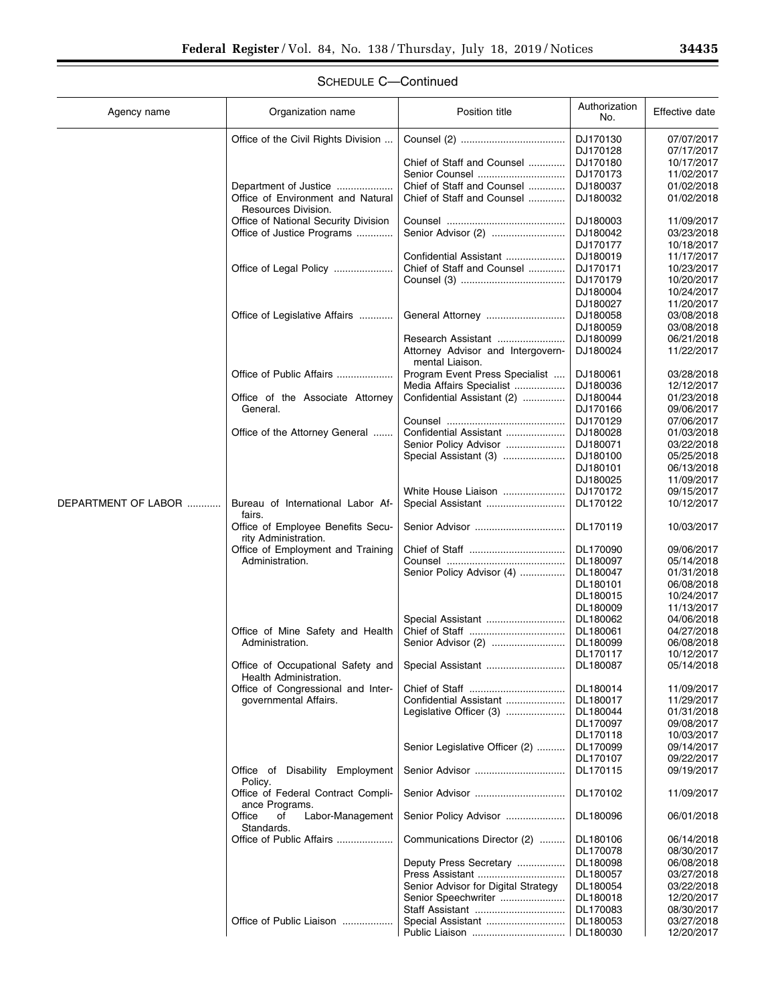t

| Agency name         | Organization name                                           | Position title                                       | Authorization<br>No. | Effective date |
|---------------------|-------------------------------------------------------------|------------------------------------------------------|----------------------|----------------|
|                     | Office of the Civil Rights Division                         |                                                      | DJ170130             | 07/07/2017     |
|                     |                                                             |                                                      | DJ170128             | 07/17/2017     |
|                     |                                                             | Chief of Staff and Counsel                           | DJ170180             | 10/17/2017     |
|                     |                                                             | Senior Counsel                                       | DJ170173             | 11/02/2017     |
|                     | Department of Justice                                       | Chief of Staff and Counsel                           | DJ180037             | 01/02/2018     |
|                     | Office of Environment and Natural<br>Resources Division.    | Chief of Staff and Counsel                           | DJ180032             | 01/02/2018     |
|                     | Office of National Security Division                        |                                                      | DJ180003             | 11/09/2017     |
|                     | Office of Justice Programs                                  |                                                      | DJ180042             | 03/23/2018     |
|                     |                                                             |                                                      | DJ170177             | 10/18/2017     |
|                     |                                                             | Confidential Assistant                               | DJ180019             | 11/17/2017     |
|                     | Office of Legal Policy                                      | Chief of Staff and Counsel                           | DJ170171             | 10/23/2017     |
|                     |                                                             |                                                      | DJ170179             | 10/20/2017     |
|                     |                                                             |                                                      | DJ180004             | 10/24/2017     |
|                     |                                                             |                                                      | DJ180027             | 11/20/2017     |
|                     | Office of Legislative Affairs                               |                                                      | DJ180058             | 03/08/2018     |
|                     |                                                             |                                                      | DJ180059             | 03/08/2018     |
|                     |                                                             | Research Assistant                                   | DJ180099             | 06/21/2018     |
|                     |                                                             | Attorney Advisor and Intergovern-<br>mental Liaison. | DJ180024             | 11/22/2017     |
|                     | Office of Public Affairs                                    | Program Event Press Specialist                       | DJ180061             | 03/28/2018     |
|                     |                                                             | Media Affairs Specialist                             | DJ180036             | 12/12/2017     |
|                     | Office of the Associate Attorney                            | Confidential Assistant (2)                           | DJ180044             | 01/23/2018     |
|                     | General.                                                    |                                                      | DJ170166             | 09/06/2017     |
|                     |                                                             |                                                      | DJ170129             | 07/06/2017     |
|                     | Office of the Attorney General                              | Confidential Assistant                               | DJ180028             | 01/03/2018     |
|                     |                                                             | Senior Policy Advisor                                | DJ180071             | 03/22/2018     |
|                     |                                                             | Special Assistant (3)                                | DJ180100             | 05/25/2018     |
|                     |                                                             |                                                      | DJ180101             | 06/13/2018     |
|                     |                                                             |                                                      | DJ180025             | 11/09/2017     |
|                     |                                                             | White House Liaison                                  | DJ170172             | 09/15/2017     |
| DEPARTMENT OF LABOR | Bureau of International Labor Af-<br>fairs.                 | Special Assistant                                    | DL170122             | 10/12/2017     |
|                     | Office of Employee Benefits Secu-<br>rity Administration.   |                                                      | DL170119             | 10/03/2017     |
|                     | Office of Employment and Training                           |                                                      | DL170090             | 09/06/2017     |
|                     | Administration.                                             |                                                      | DL180097             | 05/14/2018     |
|                     |                                                             | Senior Policy Advisor (4)                            | DL180047             | 01/31/2018     |
|                     |                                                             |                                                      | DL180101             | 06/08/2018     |
|                     |                                                             |                                                      | DL180015             | 10/24/2017     |
|                     |                                                             |                                                      | DL180009             | 11/13/2017     |
|                     |                                                             | Special Assistant                                    | DL180062             | 04/06/2018     |
|                     | Office of Mine Safety and Health                            |                                                      | DL180061             | 04/27/2018     |
|                     | Administration.                                             |                                                      | DL180099             | 06/08/2018     |
|                     |                                                             |                                                      | DL170117             | 10/12/2017     |
|                     | Office of Occupational Safety and<br>Health Administration. | Special Assistant                                    | DL180087             | 05/14/2018     |
|                     | Office of Congressional and Inter-                          |                                                      | DL180014             | 11/09/2017     |
|                     | governmental Affairs.                                       | Confidential Assistant                               | DL180017             | 11/29/2017     |
|                     |                                                             | Legislative Officer (3)                              | DL180044             | 01/31/2018     |
|                     |                                                             |                                                      | DL170097             | 09/08/2017     |
|                     |                                                             |                                                      | DL170118             | 10/03/2017     |
|                     |                                                             | Senior Legislative Officer (2)                       | DL170099             | 09/14/2017     |
|                     |                                                             |                                                      | DL170107             | 09/22/2017     |
|                     | Office of Disability Employment<br>Policy.                  |                                                      | DL170115             | 09/19/2017     |
|                     | Office of Federal Contract Compli-<br>ance Programs.        |                                                      | DL170102             | 11/09/2017     |
|                     | Office<br>of<br>Labor-Management<br>Standards.              | Senior Policy Advisor                                | DL180096             | 06/01/2018     |
|                     | Office of Public Affairs                                    | Communications Director (2)                          | DL180106             | 06/14/2018     |
|                     |                                                             |                                                      | DL170078             | 08/30/2017     |
|                     |                                                             | Deputy Press Secretary                               | DL180098             | 06/08/2018     |
|                     |                                                             |                                                      | DL180057             | 03/27/2018     |
|                     |                                                             | Senior Advisor for Digital Strategy                  | DL180054             | 03/22/2018     |
|                     |                                                             | Senior Speechwriter                                  | DL180018             | 12/20/2017     |
|                     |                                                             |                                                      | DL170083             | 08/30/2017     |
|                     | Office of Public Liaison                                    | Special Assistant                                    | DL180053             | 03/27/2018     |
|                     |                                                             |                                                      | DL180030             | 12/20/2017     |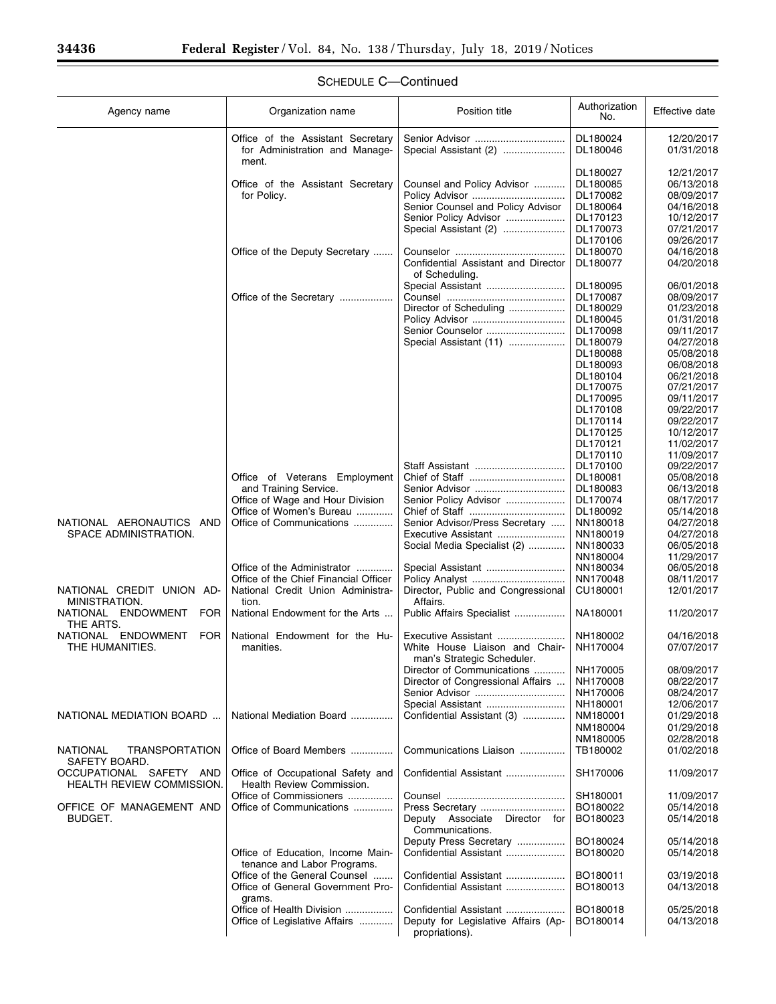| Agency name                                                 | Organization name                                                            | Position title                                               | Authorization<br>No. | Effective date           |
|-------------------------------------------------------------|------------------------------------------------------------------------------|--------------------------------------------------------------|----------------------|--------------------------|
|                                                             | Office of the Assistant Secretary<br>for Administration and Manage-<br>ment. | Senior Advisor<br>Special Assistant (2)                      | DL180024<br>DL180046 | 12/20/2017<br>01/31/2018 |
|                                                             |                                                                              |                                                              | DL180027             | 12/21/2017               |
|                                                             | Office of the Assistant Secretary                                            | Counsel and Policy Advisor                                   | DL180085             | 06/13/2018               |
|                                                             | for Policy.                                                                  | Policy Advisor                                               | DL170082             | 08/09/2017               |
|                                                             |                                                                              | Senior Counsel and Policy Advisor                            | DL180064             | 04/16/2018               |
|                                                             |                                                                              | Senior Policy Advisor                                        | DL170123             | 10/12/2017               |
|                                                             |                                                                              | Special Assistant (2)                                        | DL170073             | 07/21/2017               |
|                                                             | Office of the Deputy Secretary                                               |                                                              | DL170106<br>DL180070 | 09/26/2017<br>04/16/2018 |
|                                                             |                                                                              | Confidential Assistant and Director                          | DL180077             | 04/20/2018               |
|                                                             |                                                                              | of Scheduling.                                               |                      |                          |
|                                                             |                                                                              | Special Assistant                                            | DL180095             | 06/01/2018               |
|                                                             | Office of the Secretary                                                      |                                                              | DL170087             | 08/09/2017               |
|                                                             |                                                                              | Director of Scheduling                                       | DL180029             | 01/23/2018               |
|                                                             |                                                                              |                                                              | DL180045             | 01/31/2018               |
|                                                             |                                                                              | Senior Counselor                                             | DL170098             | 09/11/2017               |
|                                                             |                                                                              | Special Assistant (11)                                       | DL180079             | 04/27/2018               |
|                                                             |                                                                              |                                                              | DL180088<br>DL180093 | 05/08/2018<br>06/08/2018 |
|                                                             |                                                                              |                                                              | DL180104             | 06/21/2018               |
|                                                             |                                                                              |                                                              | DL170075             | 07/21/2017               |
|                                                             |                                                                              |                                                              | DL170095             | 09/11/2017               |
|                                                             |                                                                              |                                                              | DL170108             | 09/22/2017               |
|                                                             |                                                                              |                                                              | DL170114             | 09/22/2017               |
|                                                             |                                                                              |                                                              | DL170125             | 10/12/2017               |
|                                                             |                                                                              |                                                              | DL170121             | 11/02/2017               |
|                                                             |                                                                              |                                                              | DL170110             | 11/09/2017               |
|                                                             | Office of Veterans Employment                                                | Staff Assistant                                              | DL170100<br>DL180081 | 09/22/2017<br>05/08/2018 |
|                                                             | and Training Service.                                                        | Senior Advisor                                               | DL180083             | 06/13/2018               |
|                                                             | Office of Wage and Hour Division                                             | Senior Policy Advisor                                        | DL170074             | 08/17/2017               |
|                                                             | Office of Women's Bureau                                                     |                                                              | DL180092             | 05/14/2018               |
| NATIONAL AERONAUTICS AND                                    | Office of Communications                                                     | Senior Advisor/Press Secretary                               | NN180018             | 04/27/2018               |
| SPACE ADMINISTRATION.                                       |                                                                              | Executive Assistant                                          | NN180019             | 04/27/2018               |
|                                                             |                                                                              | Social Media Specialist (2)                                  | NN180033             | 06/05/2018               |
|                                                             |                                                                              |                                                              | NN180004             | 11/29/2017               |
|                                                             | Office of the Administrator<br>Office of the Chief Financial Officer         | Special Assistant                                            | NN180034<br>NN170048 | 06/05/2018<br>08/11/2017 |
| NATIONAL CREDIT UNION AD-                                   | National Credit Union Administra-                                            | Director, Public and Congressional                           | CU180001             | 12/01/2017               |
| MINISTRATION.                                               | tion.                                                                        | Affairs.                                                     |                      |                          |
| NATIONAL ENDOWMENT<br><b>FOR</b><br>THE ARTS.               | National Endowment for the Arts                                              | Public Affairs Specialist                                    | NA180001             | 11/20/2017               |
| NATIONAL<br><b>ENDOWMENT</b><br>FOR                         | National Endowment for the Hu-                                               | Executive Assistant                                          | NH180002             | 04/16/2018               |
| THE HUMANITIES.                                             | manities.                                                                    | White House Liaison and Chair-<br>man's Strategic Scheduler. | NH170004             | 07/07/2017               |
|                                                             |                                                                              | Director of Communications                                   | NH170005             | 08/09/2017               |
|                                                             |                                                                              | Director of Congressional Affairs                            | NH170008             | 08/22/2017               |
|                                                             |                                                                              | Senior Advisor                                               | NH170006             | 08/24/2017               |
|                                                             |                                                                              | Special Assistant                                            | NH180001             | 12/06/2017               |
| NATIONAL MEDIATION BOARD                                    | National Mediation Board                                                     | Confidential Assistant (3)                                   | NM180001             | 01/29/2018               |
|                                                             |                                                                              |                                                              | NM180004<br>NM180005 | 01/29/2018               |
| <b>TRANSPORTATION</b><br><b>NATIONAL</b><br>SAFETY BOARD.   | Office of Board Members                                                      | Communications Liaison                                       | TB180002             | 02/28/2018<br>01/02/2018 |
| OCCUPATIONAL SAFETY AND<br><b>HEALTH REVIEW COMMISSION.</b> | Office of Occupational Safety and<br>Health Review Commission.               | Confidential Assistant                                       | SH170006             | 11/09/2017               |
|                                                             | Office of Commissioners                                                      |                                                              | SH180001             | 11/09/2017               |
| OFFICE OF MANAGEMENT AND                                    | Office of Communications                                                     | Press Secretary                                              | BO180022             | 05/14/2018               |
| BUDGET.                                                     |                                                                              | Deputy Associate Director for<br>Communications.             | BO180023             | 05/14/2018               |
|                                                             |                                                                              | Deputy Press Secretary                                       | BO180024             | 05/14/2018               |
|                                                             | Office of Education, Income Main-<br>tenance and Labor Programs.             | Confidential Assistant                                       | BO180020             | 05/14/2018               |
|                                                             | Office of the General Counsel                                                | Confidential Assistant                                       | BO180011             | 03/19/2018               |
|                                                             | Office of General Government Pro-<br>grams.                                  | Confidential Assistant                                       | BO180013             | 04/13/2018               |
|                                                             | Office of Health Division                                                    | Confidential Assistant                                       | BO180018             | 05/25/2018               |
|                                                             | Office of Legislative Affairs                                                | Deputy for Legislative Affairs (Ap-<br>propriations).        | BO180014             | 04/13/2018               |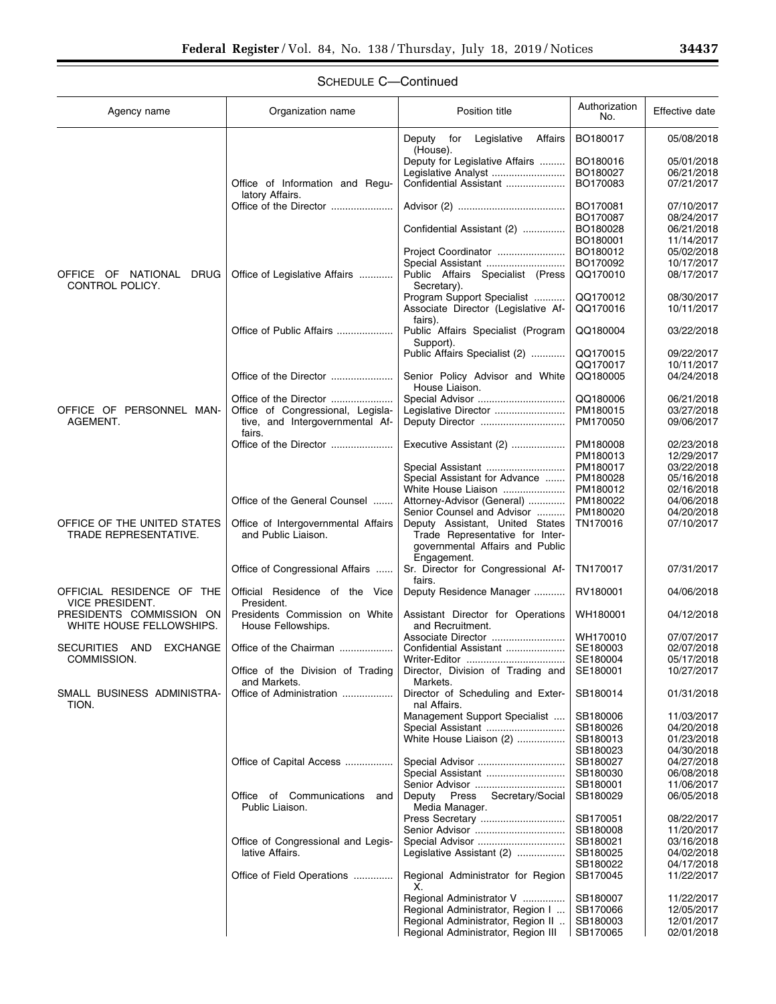$\equiv$ 

| Agency name                                          | Organization name                                          | Position title                                                                                                       | Authorization<br>No. | Effective date           |
|------------------------------------------------------|------------------------------------------------------------|----------------------------------------------------------------------------------------------------------------------|----------------------|--------------------------|
|                                                      |                                                            | Deputy for Legislative<br>Affairs<br>(House).                                                                        | BO180017             | 05/08/2018               |
|                                                      |                                                            | Deputy for Legislative Affairs                                                                                       | BO180016             | 05/01/2018               |
|                                                      |                                                            | Legislative Analyst                                                                                                  | BO180027             | 06/21/2018               |
|                                                      | Office of Information and Regu-<br>latory Affairs.         | Confidential Assistant                                                                                               | BO170083             | 07/21/2017               |
|                                                      | Office of the Director                                     |                                                                                                                      | BO170081             | 07/10/2017               |
|                                                      |                                                            |                                                                                                                      | BO170087             | 08/24/2017               |
|                                                      |                                                            | Confidential Assistant (2)                                                                                           | BO180028             | 06/21/2018               |
|                                                      |                                                            |                                                                                                                      | BO180001             | 11/14/2017               |
|                                                      |                                                            | Project Coordinator<br>Special Assistant                                                                             | BO180012<br>BO170092 | 05/02/2018<br>10/17/2017 |
| OFFICE OF NATIONAL<br>DRUG                           | Office of Legislative Affairs                              | Public Affairs Specialist (Press                                                                                     | QQ170010             | 08/17/2017               |
| CONTROL POLICY.                                      |                                                            | Secretary).<br>Program Support Specialist                                                                            | QQ170012             | 08/30/2017               |
|                                                      |                                                            | Associate Director (Legislative Af-<br>fairs).                                                                       | QQ170016             | 10/11/2017               |
|                                                      | Office of Public Affairs                                   | Public Affairs Specialist (Program                                                                                   | QQ180004             | 03/22/2018               |
|                                                      |                                                            | Support).                                                                                                            |                      |                          |
|                                                      |                                                            | Public Affairs Specialist (2)                                                                                        | QQ170015             | 09/22/2017               |
|                                                      |                                                            |                                                                                                                      | QQ170017             | 10/11/2017               |
|                                                      | Office of the Director                                     | Senior Policy Advisor and White<br>House Liaison.                                                                    | QQ180005             | 04/24/2018               |
|                                                      | Office of the Director                                     |                                                                                                                      | QQ180006             | 06/21/2018               |
| OFFICE OF PERSONNEL MAN-                             | Office of Congressional, Legisla-                          | Legislative Director                                                                                                 | PM180015             | 03/27/2018               |
| AGEMENT.                                             | tive, and Intergovernmental Af-<br>fairs.                  | Deputy Director                                                                                                      | PM170050             | 09/06/2017               |
|                                                      | Office of the Director                                     | Executive Assistant (2)                                                                                              | PM180008             | 02/23/2018               |
|                                                      |                                                            | Special Assistant                                                                                                    | PM180013<br>PM180017 | 12/29/2017<br>03/22/2018 |
|                                                      |                                                            | Special Assistant for Advance                                                                                        | PM180028             | 05/16/2018               |
|                                                      |                                                            | White House Liaison                                                                                                  | PM180012             | 02/16/2018               |
|                                                      | Office of the General Counsel                              | Attorney-Advisor (General)                                                                                           | PM180022             | 04/06/2018               |
|                                                      |                                                            | Senior Counsel and Advisor                                                                                           | PM180020             | 04/20/2018               |
| OFFICE OF THE UNITED STATES<br>TRADE REPRESENTATIVE. | Office of Intergovernmental Affairs<br>and Public Liaison. | Deputy Assistant, United States<br>Trade Representative for Inter-<br>governmental Affairs and Public<br>Engagement. | TN170016             | 07/10/2017               |
|                                                      | Office of Congressional Affairs                            | Sr. Director for Congressional Af-<br>fairs.                                                                         | TN170017             | 07/31/2017               |
| OFFICIAL RESIDENCE OF THE<br><b>VICE PRESIDENT.</b>  | Official Residence of the Vice<br>President.               | Deputy Residence Manager                                                                                             | RV180001             | 04/06/2018               |
| PRESIDENTS COMMISSION ON<br>WHITE HOUSE FELLOWSHIPS. | Presidents Commission on White<br>House Fellowships.       | Assistant Director for Operations<br>and Recruitment.                                                                | WH180001             | 04/12/2018               |
|                                                      |                                                            | Associate Director                                                                                                   | WH170010             | 07/07/2017               |
| SECURITIES AND<br><b>EXCHANGE</b>                    | Office of the Chairman                                     | Confidential Assistant                                                                                               | SE180003             | 02/07/2018               |
| COMMISSION.                                          |                                                            | Writer-Editor                                                                                                        | SE180004             | 05/17/2018               |
|                                                      | Office of the Division of Trading<br>and Markets.          | Director, Division of Trading and<br>Markets.                                                                        | SE180001             | 10/27/2017               |
| SMALL BUSINESS ADMINISTRA-<br>TION.                  | Office of Administration                                   | Director of Scheduling and Exter-<br>nal Affairs.                                                                    | SB180014             | 01/31/2018               |
|                                                      |                                                            | Management Support Specialist                                                                                        | SB180006             | 11/03/2017               |
|                                                      |                                                            | Special Assistant                                                                                                    | SB180026             | 04/20/2018               |
|                                                      |                                                            | White House Liaison (2)                                                                                              | SB180013             | 01/23/2018               |
|                                                      |                                                            |                                                                                                                      | SB180023             | 04/30/2018               |
|                                                      | Office of Capital Access                                   | Special Assistant                                                                                                    | SB180027<br>SB180030 | 04/27/2018<br>06/08/2018 |
|                                                      |                                                            | Senior Advisor                                                                                                       | SB180001             | 11/06/2017               |
|                                                      | Office of Communications and                               | Secretary/Social<br>Deputy Press                                                                                     | SB180029             | 06/05/2018               |
|                                                      | Public Liaison.                                            | Media Manager.                                                                                                       |                      |                          |
|                                                      |                                                            | Press Secretary                                                                                                      | SB170051             | 08/22/2017               |
|                                                      |                                                            |                                                                                                                      | SB180008             | 11/20/2017               |
|                                                      | Office of Congressional and Legis-                         | Special Advisor                                                                                                      | SB180021             | 03/16/2018               |
|                                                      | lative Affairs.                                            | Legislative Assistant (2)                                                                                            | SB180025             | 04/02/2018               |
|                                                      | Office of Field Operations                                 | Regional Administrator for Region                                                                                    | SB180022<br>SB170045 | 04/17/2018<br>11/22/2017 |
|                                                      |                                                            |                                                                                                                      |                      |                          |
|                                                      |                                                            | Regional Administrator V<br>Regional Administrator, Region I                                                         | SB180007<br>SB170066 | 11/22/2017<br>12/05/2017 |
|                                                      |                                                            | Regional Administrator, Region II                                                                                    | SB180003             | 12/01/2017               |
|                                                      |                                                            | Regional Administrator, Region III                                                                                   | SB170065             | 02/01/2018               |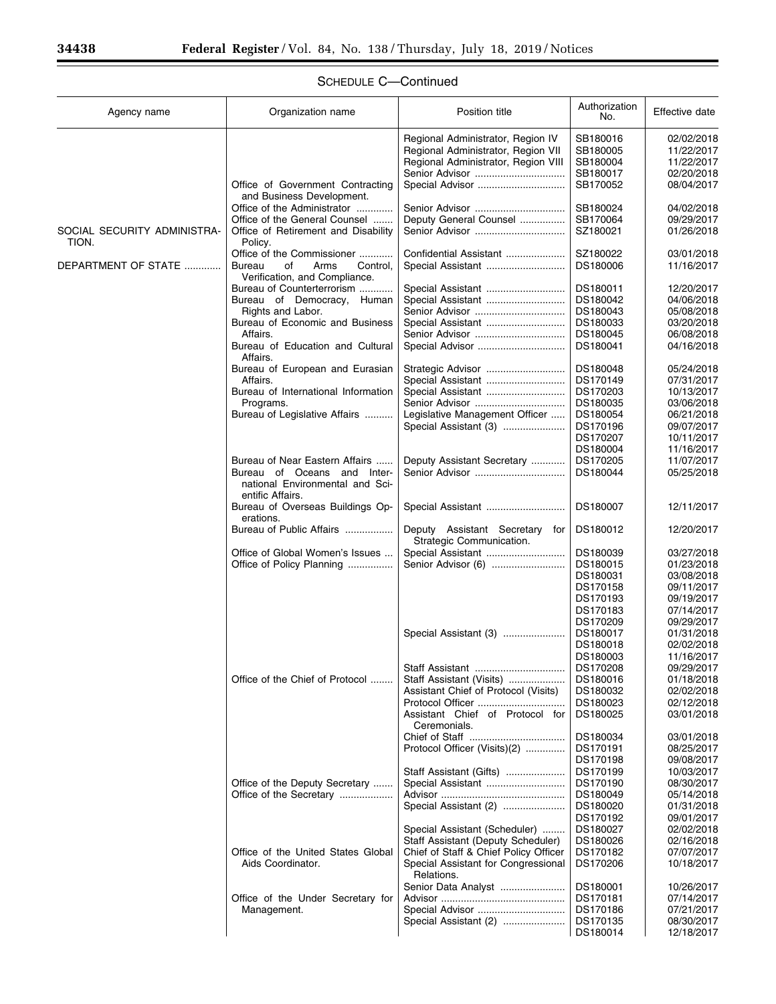| Agency name                          | Organization name                                                                  | Position title                                             | Authorization<br>No. | Effective date           |
|--------------------------------------|------------------------------------------------------------------------------------|------------------------------------------------------------|----------------------|--------------------------|
|                                      |                                                                                    | Regional Administrator, Region IV                          | SB180016             | 02/02/2018               |
|                                      |                                                                                    | Regional Administrator, Region VII                         | SB180005             | 11/22/2017               |
|                                      |                                                                                    | Regional Administrator, Region VIII<br>Senior Advisor      | SB180004<br>SB180017 | 11/22/2017<br>02/20/2018 |
|                                      | Office of Government Contracting<br>and Business Development.                      | Special Advisor                                            | SB170052             | 08/04/2017               |
|                                      | Office of the Administrator                                                        | Senior Advisor                                             | SB180024             | 04/02/2018               |
|                                      | Office of the General Counsel                                                      | Deputy General Counsel                                     | SB170064             | 09/29/2017               |
| SOCIAL SECURITY ADMINISTRA-<br>TION. | Office of Retirement and Disability<br>Policy.                                     |                                                            | SZ180021             | 01/26/2018               |
|                                      | Office of the Commissioner                                                         | Confidential Assistant                                     | SZ180022             | 03/01/2018               |
| DEPARTMENT OF STATE                  | Bureau<br>of<br>Arms<br>Control,<br>Verification, and Compliance.                  |                                                            | DS180006             | 11/16/2017               |
|                                      | Bureau of Counterterrorism                                                         |                                                            | DS180011             | 12/20/2017               |
|                                      | Bureau of Democracy, Human                                                         |                                                            | DS180042             | 04/06/2018               |
|                                      | Rights and Labor.                                                                  |                                                            | DS180043             | 05/08/2018               |
|                                      | Bureau of Economic and Business                                                    | Special Assistant                                          | DS180033             | 03/20/2018               |
|                                      | Affairs.<br>Bureau of Education and Cultural                                       |                                                            | DS180045<br>DS180041 | 06/08/2018<br>04/16/2018 |
|                                      | Affairs.                                                                           |                                                            |                      |                          |
|                                      | Bureau of European and Eurasian                                                    | Strategic Advisor                                          | DS180048             | 05/24/2018               |
|                                      | Affairs.                                                                           | Special Assistant                                          | DS170149             | 07/31/2017               |
|                                      | Bureau of International Information                                                | Special Assistant                                          | DS170203             | 10/13/2017               |
|                                      | Programs.<br>Bureau of Legislative Affairs                                         | Legislative Management Officer                             | DS180035<br>DS180054 | 03/06/2018<br>06/21/2018 |
|                                      |                                                                                    | Special Assistant (3)                                      | DS170196             | 09/07/2017               |
|                                      |                                                                                    |                                                            | DS170207             | 10/11/2017               |
|                                      |                                                                                    |                                                            | DS180004             | 11/16/2017               |
|                                      | Bureau of Near Eastern Affairs                                                     | Deputy Assistant Secretary                                 | DS170205             | 11/07/2017               |
|                                      | Bureau of Oceans and Inter-<br>national Environmental and Sci-<br>entific Affairs. |                                                            | DS180044             | 05/25/2018               |
|                                      | Bureau of Overseas Buildings Op-<br>erations.                                      |                                                            | DS180007             | 12/11/2017               |
|                                      | Bureau of Public Affairs                                                           | Deputy Assistant Secretary for<br>Strategic Communication. | DS180012             | 12/20/2017               |
|                                      | Office of Global Women's Issues                                                    | Special Assistant                                          | DS180039             | 03/27/2018               |
|                                      | Office of Policy Planning                                                          |                                                            | DS180015             | 01/23/2018               |
|                                      |                                                                                    |                                                            | DS180031             | 03/08/2018               |
|                                      |                                                                                    |                                                            | DS170158             | 09/11/2017               |
|                                      |                                                                                    |                                                            | DS170193             | 09/19/2017               |
|                                      |                                                                                    |                                                            | DS170183             | 07/14/2017               |
|                                      |                                                                                    | Special Assistant (3)                                      | DS170209<br>DS180017 | 09/29/2017<br>01/31/2018 |
|                                      |                                                                                    |                                                            | DS180018             | 02/02/2018               |
|                                      |                                                                                    |                                                            | DS180003             | 11/16/2017               |
|                                      |                                                                                    |                                                            | DS170208             | 09/29/2017               |
|                                      | Office of the Chief of Protocol                                                    | Staff Assistant (Visits)                                   | DS180016             | 01/18/2018               |
|                                      |                                                                                    | Assistant Chief of Protocol (Visits)                       | DS180032             | 02/02/2018               |
|                                      |                                                                                    | Assistant Chief of Protocol for                            | DS180023<br>DS180025 | 02/12/2018<br>03/01/2018 |
|                                      |                                                                                    | Ceremonials.                                               |                      | 03/01/2018               |
|                                      |                                                                                    | Protocol Officer (Visits)(2)                               | DS180034<br>DS170191 | 08/25/2017               |
|                                      |                                                                                    |                                                            | DS170198             | 09/08/2017               |
|                                      |                                                                                    | Staff Assistant (Gifts)                                    | DS170199             | 10/03/2017               |
|                                      | Office of the Deputy Secretary                                                     |                                                            | DS170190             | 08/30/2017               |
|                                      | Office of the Secretary                                                            |                                                            | DS180049             | 05/14/2018               |
|                                      |                                                                                    | Special Assistant (2)                                      | DS180020             | 01/31/2018               |
|                                      |                                                                                    |                                                            | DS170192             | 09/01/2017               |
|                                      |                                                                                    | Special Assistant (Scheduler)                              | DS180027             | 02/02/2018               |
|                                      |                                                                                    | Staff Assistant (Deputy Scheduler)                         | DS180026             | 02/16/2018               |
|                                      | Office of the United States Global                                                 | Chief of Staff & Chief Policy Officer                      | DS170182             | 07/07/2017               |
|                                      | Aids Coordinator.                                                                  | Special Assistant for Congressional<br>Relations.          | DS170206             | 10/18/2017               |
|                                      |                                                                                    | Senior Data Analyst                                        | DS180001             | 10/26/2017               |
|                                      | Office of the Under Secretary for                                                  |                                                            | DS170181             | 07/14/2017               |
|                                      | Management.                                                                        | Special Advisor                                            | DS170186             | 07/21/2017               |
|                                      |                                                                                    | Special Assistant (2)                                      | DS170135<br>DS180014 | 08/30/2017<br>12/18/2017 |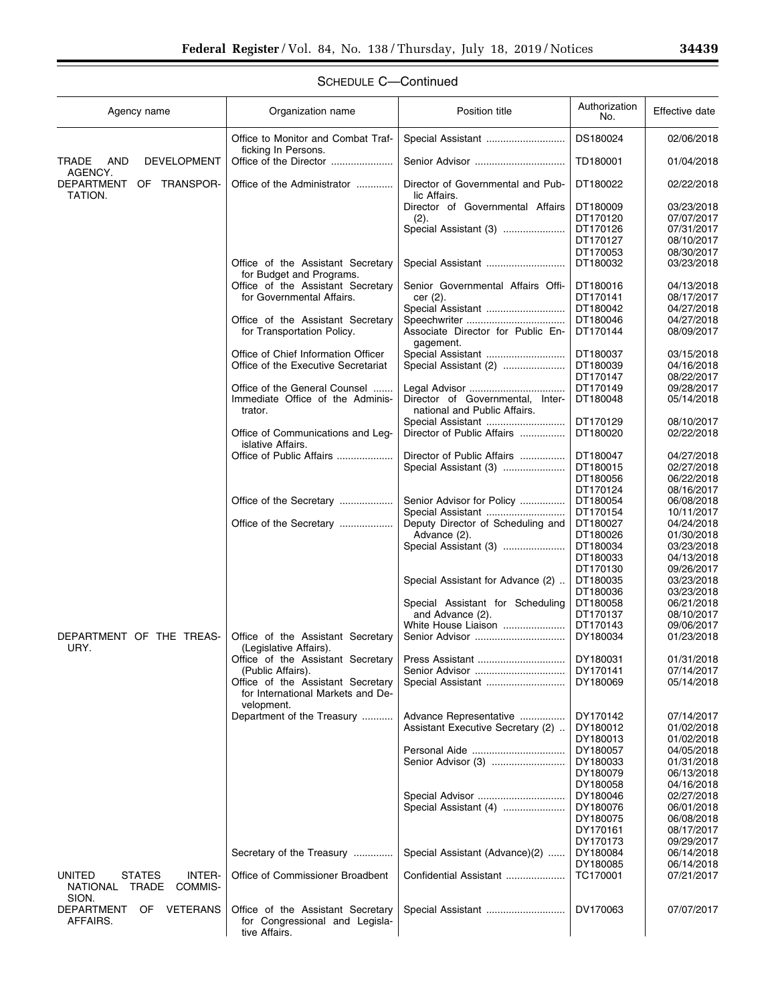| Agency name                                                                     | Organization name                                                      | Position title                                    | Authorization<br>No. | Effective date           |
|---------------------------------------------------------------------------------|------------------------------------------------------------------------|---------------------------------------------------|----------------------|--------------------------|
|                                                                                 | Office to Monitor and Combat Traf-<br>ficking In Persons.              | Special Assistant                                 | DS180024             | 02/06/2018               |
| AND<br>TRADE<br><b>DEVELOPMENT</b><br>AGENCY.                                   |                                                                        |                                                   | TD180001             | 01/04/2018               |
| DEPARTMENT<br>OF TRANSPOR-<br>TATION.                                           | Office of the Administrator                                            | Director of Governmental and Pub-<br>lic Affairs. | DT180022             | 02/22/2018               |
|                                                                                 |                                                                        | Director of Governmental Affairs                  | DT180009             | 03/23/2018               |
|                                                                                 |                                                                        | (2).                                              | DT170120             | 07/07/2017               |
|                                                                                 |                                                                        | Special Assistant (3)                             | DT170126             | 07/31/2017               |
|                                                                                 |                                                                        |                                                   | DT170127             | 08/10/2017               |
|                                                                                 | Office of the Assistant Secretary                                      |                                                   | DT170053<br>DT180032 | 08/30/2017<br>03/23/2018 |
|                                                                                 | for Budget and Programs.                                               | Special Assistant                                 |                      |                          |
|                                                                                 | Office of the Assistant Secretary                                      | Senior Governmental Affairs Offi-                 | DT180016             | 04/13/2018               |
|                                                                                 | for Governmental Affairs.                                              | cer (2).                                          | DT170141             | 08/17/2017               |
|                                                                                 |                                                                        | Special Assistant                                 | DT180042             | 04/27/2018               |
|                                                                                 | Office of the Assistant Secretary                                      |                                                   | DT180046             | 04/27/2018               |
|                                                                                 | for Transportation Policy.                                             | Associate Director for Public En-<br>gagement.    | DT170144             | 08/09/2017               |
|                                                                                 | Office of Chief Information Officer                                    | Special Assistant                                 | DT180037             | 03/15/2018               |
|                                                                                 | Office of the Executive Secretariat                                    | Special Assistant (2)                             | DT180039             | 04/16/2018               |
|                                                                                 |                                                                        |                                                   | DT170147             | 08/22/2017               |
|                                                                                 | Office of the General Counsel<br>Immediate Office of the Adminis-      | Director of Governmental, Inter-                  | DT170149<br>DT180048 | 09/28/2017<br>05/14/2018 |
|                                                                                 | trator.                                                                | national and Public Affairs.                      |                      |                          |
|                                                                                 |                                                                        | Special Assistant                                 | DT170129             | 08/10/2017               |
|                                                                                 | Office of Communications and Leg-<br>islative Affairs.                 | Director of Public Affairs                        | DT180020             | 02/22/2018               |
|                                                                                 | Office of Public Affairs                                               | Director of Public Affairs                        | DT180047             | 04/27/2018               |
|                                                                                 |                                                                        | Special Assistant (3)                             | DT180015             | 02/27/2018               |
|                                                                                 |                                                                        |                                                   | DT180056             | 06/22/2018               |
|                                                                                 |                                                                        |                                                   | DT170124<br>DT180054 | 08/16/2017               |
|                                                                                 | Office of the Secretary                                                | Senior Advisor for Policy<br>Special Assistant    | DT170154             | 06/08/2018<br>10/11/2017 |
|                                                                                 | Office of the Secretary                                                | Deputy Director of Scheduling and                 | DT180027             | 04/24/2018               |
|                                                                                 |                                                                        | Advance (2).                                      | DT180026             | 01/30/2018               |
|                                                                                 |                                                                        | Special Assistant (3)                             | DT180034             | 03/23/2018               |
|                                                                                 |                                                                        |                                                   | DT180033             | 04/13/2018               |
|                                                                                 |                                                                        |                                                   | DT170130             | 09/26/2017               |
|                                                                                 |                                                                        | Special Assistant for Advance (2)                 | DT180035             | 03/23/2018               |
|                                                                                 |                                                                        | Special Assistant for Scheduling                  | DT180036<br>DT180058 | 03/23/2018<br>06/21/2018 |
|                                                                                 |                                                                        | and Advance (2).                                  | DT170137             | 08/10/2017               |
|                                                                                 |                                                                        | White House Liaison                               | DT170143             | 09/06/2017               |
| DEPARTMENT OF THE TREAS-<br>URY.                                                | Office of the Assistant Secretary<br>(Legislative Affairs).            |                                                   | DY180034             | 01/23/2018               |
|                                                                                 | Office of the Assistant Secretary                                      |                                                   | DY180031             | 01/31/2018               |
|                                                                                 | (Public Affairs).                                                      | Senior Advisor                                    | DY170141             | 07/14/2017               |
|                                                                                 | Office of the Assistant Secretary<br>for International Markets and De- | Special Assistant                                 | DY180069             | 05/14/2018               |
|                                                                                 | velopment.<br>Department of the Treasury                               | Advance Representative                            | DY170142             | 07/14/2017               |
|                                                                                 |                                                                        | Assistant Executive Secretary (2)                 | DY180012             | 01/02/2018               |
|                                                                                 |                                                                        |                                                   | DY180013             | 01/02/2018               |
|                                                                                 |                                                                        |                                                   | DY180057             | 04/05/2018               |
|                                                                                 |                                                                        | Senior Advisor (3)                                | DY180033             | 01/31/2018               |
|                                                                                 |                                                                        |                                                   | DY180079             | 06/13/2018               |
|                                                                                 |                                                                        |                                                   | DY180058             | 04/16/2018               |
|                                                                                 |                                                                        | Special Advisor<br>Special Assistant (4)          | DY180046<br>DY180076 | 02/27/2018<br>06/01/2018 |
|                                                                                 |                                                                        |                                                   | DY180075             | 06/08/2018               |
|                                                                                 |                                                                        |                                                   | DY170161             | 08/17/2017               |
|                                                                                 |                                                                        |                                                   | DY170173             | 09/29/2017               |
|                                                                                 | Secretary of the Treasury                                              | Special Assistant (Advance)(2)                    | DY180084             | 06/14/2018               |
|                                                                                 |                                                                        |                                                   | DY180085             | 06/14/2018               |
| <b>UNITED</b><br>INTER-<br><b>STATES</b><br>COMMIS-<br>TRADE<br><b>NATIONAL</b> | Office of Commissioner Broadbent                                       | Confidential Assistant                            | TC170001             | 07/21/2017               |
| SION.<br>DEPARTMENT<br><b>VETERANS</b><br>OF                                    | Office of the Assistant Secretary                                      | Special Assistant                                 | DV170063             | 07/07/2017               |
| AFFAIRS.                                                                        | for Congressional and Legisla-<br>tive Affairs.                        |                                                   |                      |                          |